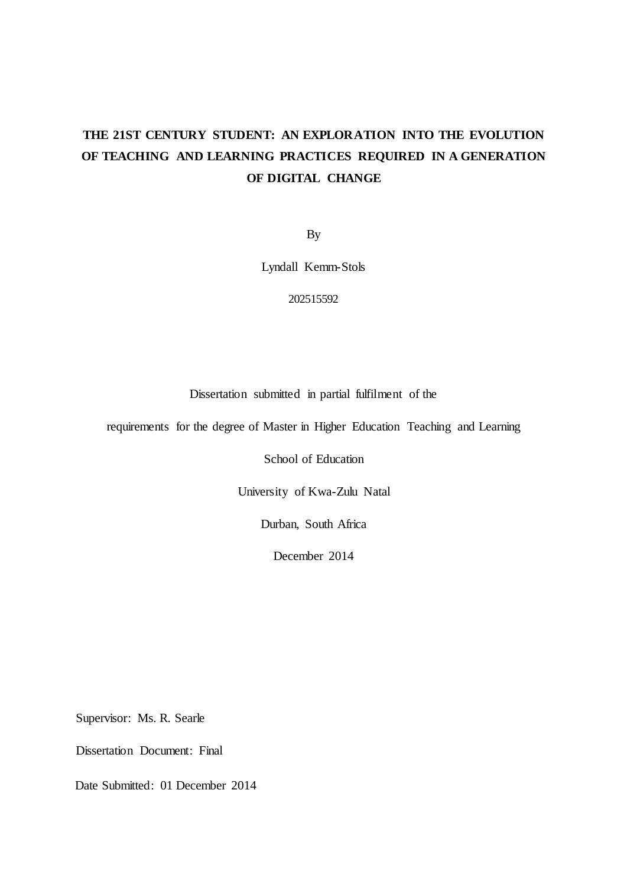# <span id="page-0-0"></span>**THE 21ST CENTURY STUDENT: AN EXPLORATION INTO THE EVOLUTION OF TEACHING AND LEARNING PRACTICES REQUIRED IN A GENERATION OF DIGITAL CHANGE**

By

Lyndall Kemm-Stols

202515592

Dissertation submitted in partial fulfilment of the

requirements for the degree of Master in Higher Education Teaching and Learning

School of Education

University of Kwa-Zulu Natal

Durban, South Africa

December 2014

Supervisor: Ms. R. Searle

Dissertation Document: Final

Date Submitted: 01 December 2014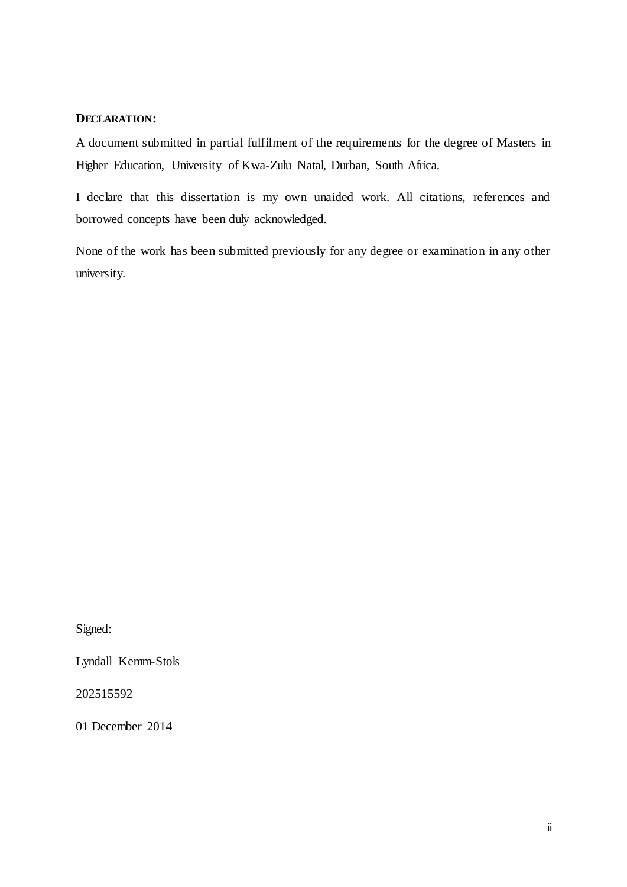#### <span id="page-1-0"></span>**DECLARATION:**

A document submitted in partial fulfilment of the requirements for the degree of Masters in Higher Education, University of Kwa-Zulu Natal, Durban, South Africa.

I declare that this dissertation is my own unaided work. All citations, references and borrowed concepts have been duly acknowledged.

None of the work has been submitted previously for any degree or examination in any other university.

Signed:

Lyndall Kemm-Stols

202515592

01 December 2014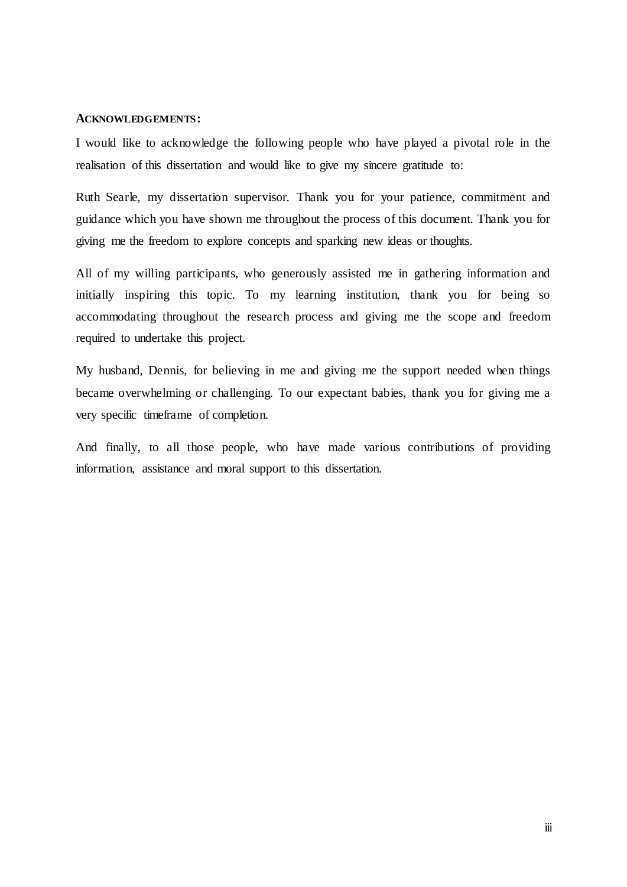#### <span id="page-2-0"></span>**ACKNOWLEDGEMENTS:**

I would like to acknowledge the following people who have played a pivotal role in the realisation of this dissertation and would like to give my sincere gratitude to:

Ruth Searle, my dissertation supervisor. Thank you for your patience, commitment and guidance which you have shown me throughout the process of this document. Thank you for giving me the freedom to explore concepts and sparking new ideas or thoughts.

All of my willing participants, who generously assisted me in gathering information and initially inspiring this topic. To my learning institution, thank you for being so accommodating throughout the research process and giving me the scope and freedom required to undertake this project.

My husband, Dennis, for believing in me and giving me the support needed when things became overwhelming or challenging. To our expectant babies, thank you for giving me a very specific timeframe of completion.

And finally, to all those people, who have made various contributions of providing information, assistance and moral support to this dissertation.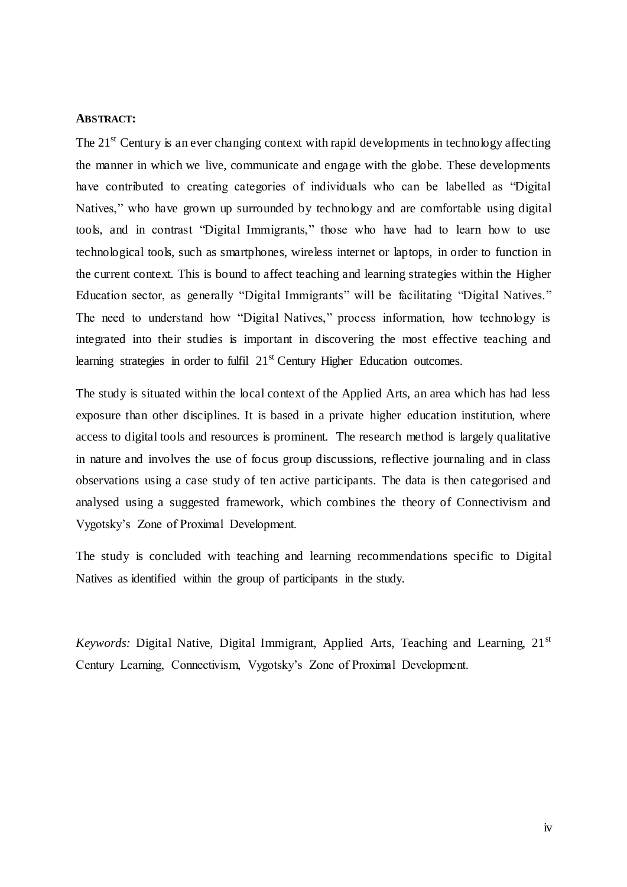#### <span id="page-3-0"></span>**ABSTRACT:**

The  $21<sup>st</sup>$  Century is an ever changing context with rapid developments in technology affecting the manner in which we live, communicate and engage with the globe. These developments have contributed to creating categories of individuals who can be labelled as "Digital Natives," who have grown up surrounded by technology and are comfortable using digital tools, and in contrast "Digital Immigrants," those who have had to learn how to use technological tools, such as smartphones, wireless internet or laptops, in order to function in the current context. This is bound to affect teaching and learning strategies within the Higher Education sector, as generally "Digital Immigrants" will be facilitating "Digital Natives." The need to understand how "Digital Natives," process information, how technology is integrated into their studies is important in discovering the most effective teaching and learning strategies in order to fulfil  $21<sup>st</sup>$  Century Higher Education outcomes.

The study is situated within the local context of the Applied Arts, an area which has had less exposure than other disciplines. It is based in a private higher education institution, where access to digital tools and resources is prominent. The research method is largely qualitative in nature and involves the use of focus group discussions, reflective journaling and in class observations using a case study of ten active participants. The data is then categorised and analysed using a suggested framework, which combines the theory of Connectivism and Vygotsky"s Zone of Proximal Development.

The study is concluded with teaching and learning recommendations specific to Digital Natives as identified within the group of participants in the study.

*Keywords:* Digital Native, Digital Immigrant, Applied Arts, Teaching and Learning, 21<sup>st</sup> Century Learning, Connectivism, Vygotsky"s Zone of Proximal Development.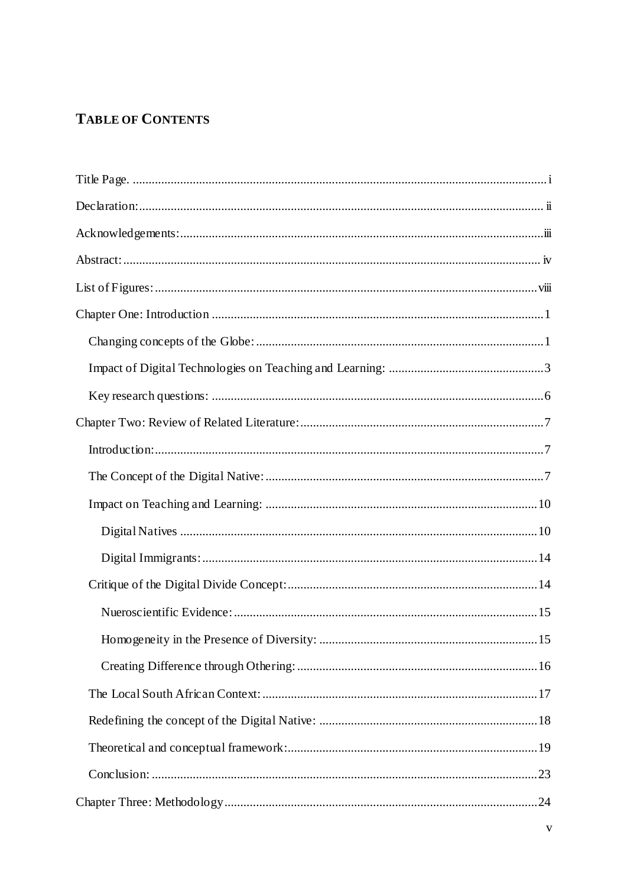## **TABLE OF CONTENTS**

| .15 |
|-----|
|     |
|     |
|     |
|     |
|     |
|     |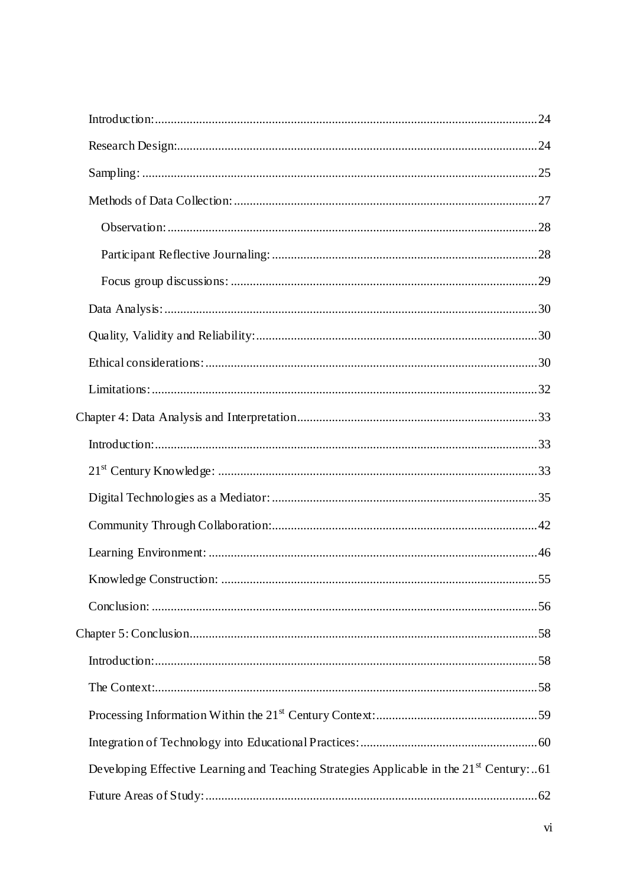| Knowledge Construction:                                                                             | 55 |
|-----------------------------------------------------------------------------------------------------|----|
|                                                                                                     |    |
|                                                                                                     |    |
|                                                                                                     |    |
|                                                                                                     |    |
|                                                                                                     |    |
|                                                                                                     |    |
| Developing Effective Learning and Teaching Strategies Applicable in the 21 <sup>st</sup> Century:61 |    |
|                                                                                                     |    |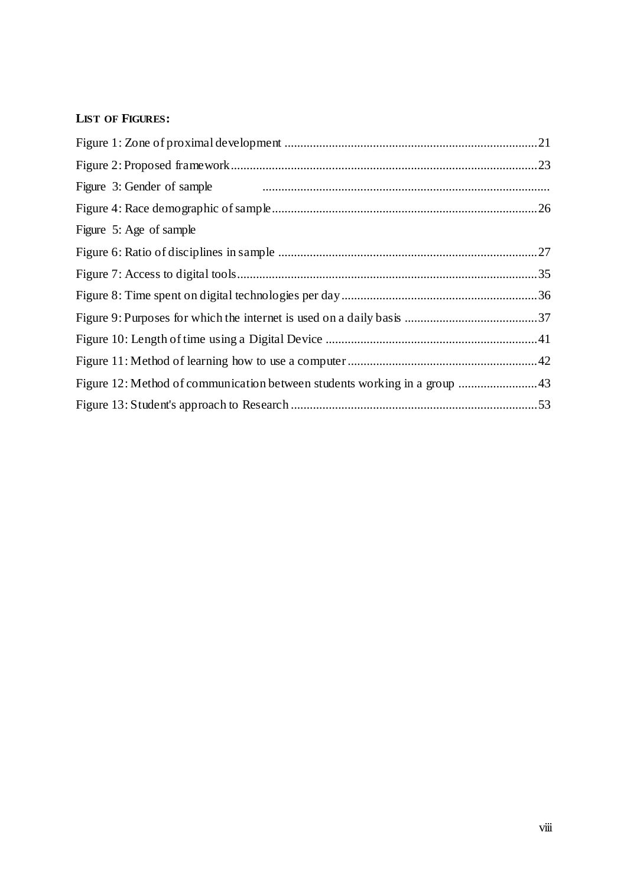## <span id="page-7-0"></span>**LIST OF FIGURES:**

| Figure 3: Gender of sample <i>manufacture contained a manufacture 3</i> : Gender of sample |  |
|--------------------------------------------------------------------------------------------|--|
|                                                                                            |  |
| Figure 5: Age of sample                                                                    |  |
|                                                                                            |  |
|                                                                                            |  |
|                                                                                            |  |
|                                                                                            |  |
|                                                                                            |  |
|                                                                                            |  |
| Figure 12: Method of communication between students working in a group  43                 |  |
|                                                                                            |  |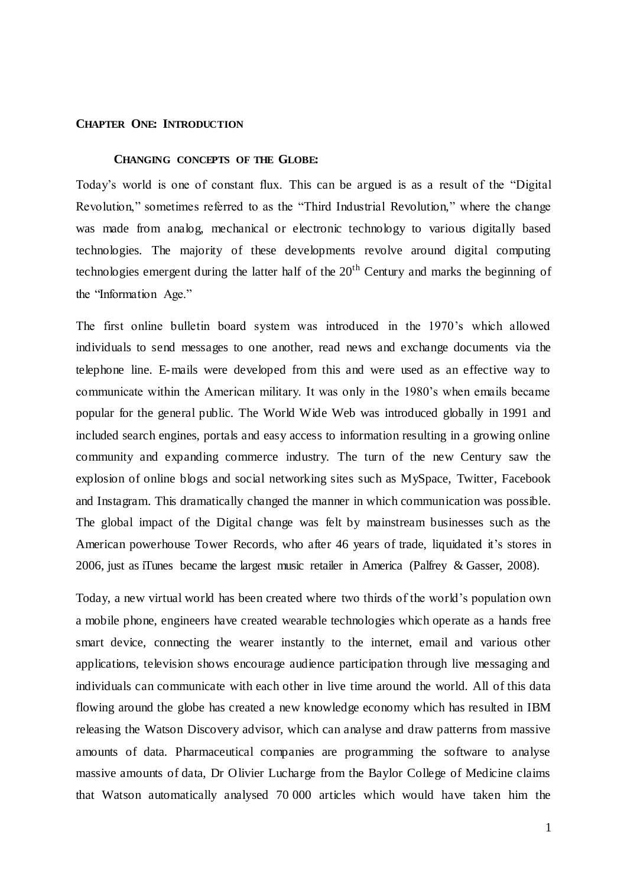#### <span id="page-8-1"></span><span id="page-8-0"></span>**CHAPTER ONE: INTRODUCTION**

#### **CHANGING CONCEPTS OF THE GLOBE:**

Today"s world is one of constant flux. This can be argued is as a result of the "Digital Revolution," sometimes referred to as the "Third Industrial Revolution," where the change was made from analog, mechanical or electronic technology to various digitally based technologies. The majority of these developments revolve around digital computing technologies emergent during the latter half of the  $20<sup>th</sup>$  Century and marks the beginning of the "Information Age."

The first online bulletin board system was introduced in the 1970"s which allowed individuals to send messages to one another, read news and exchange documents via the telephone line. E-mails were developed from this and were used as an effective way to communicate within the American military. It was only in the 1980"s when emails became popular for the general public. The World Wide Web was introduced globally in 1991 and included search engines, portals and easy access to information resulting in a growing online community and expanding commerce industry. The turn of the new Century saw the explosion of online blogs and social networking sites such as MySpace, Twitter, Facebook and Instagram. This dramatically changed the manner in which communication was possible. The global impact of the Digital change was felt by mainstream businesses such as the American powerhouse Tower Records, who after 46 years of trade, liquidated it's stores in 2006, just as iTunes became the largest music retailer in America (Palfrey & Gasser, 2008).

Today, a new virtual world has been created where two thirds of the world"s population own a mobile phone, engineers have created wearable technologies which operate as a hands free smart device, connecting the wearer instantly to the internet, email and various other applications, television shows encourage audience participation through live messaging and individuals can communicate with each other in live time around the world. All of this data flowing around the globe has created a new knowledge economy which has resulted in IBM releasing the Watson Discovery advisor, which can analyse and draw patterns from massive amounts of data. Pharmaceutical companies are programming the software to analyse massive amounts of data, Dr Olivier Lucharge from the Baylor College of Medicine claims that Watson automatically analysed 70 000 articles which would have taken him the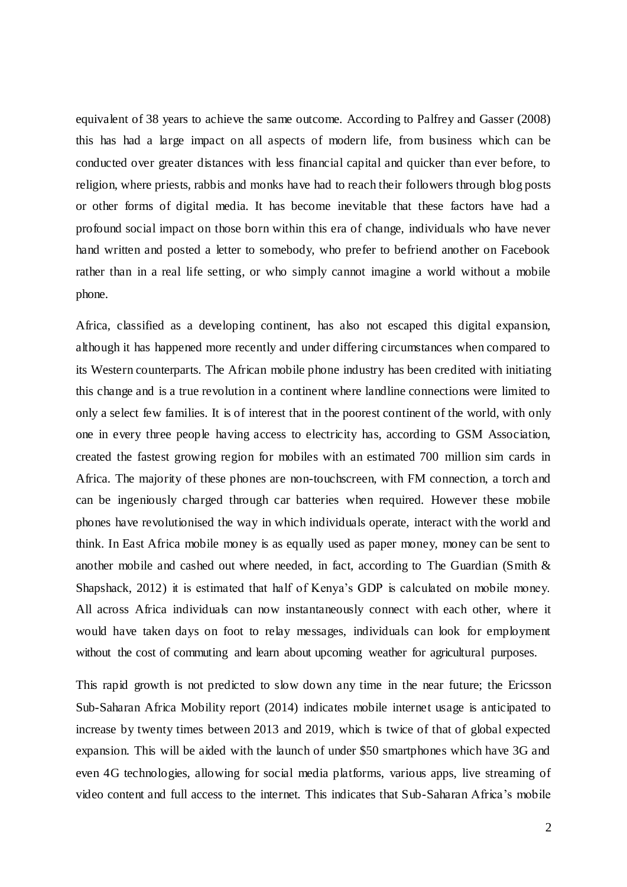equivalent of 38 years to achieve the same outcome. According to Palfrey and Gasser (2008) this has had a large impact on all aspects of modern life, from business which can be conducted over greater distances with less financial capital and quicker than ever before, to religion, where priests, rabbis and monks have had to reach their followers through blog posts or other forms of digital media. It has become inevitable that these factors have had a profound social impact on those born within this era of change, individuals who have never hand written and posted a letter to somebody, who prefer to befriend another on Facebook rather than in a real life setting, or who simply cannot imagine a world without a mobile phone.

Africa, classified as a developing continent, has also not escaped this digital expansion, although it has happened more recently and under differing circumstances when compared to its Western counterparts. The African mobile phone industry has been credited with initiating this change and is a true revolution in a continent where landline connections were limited to only a select few families. It is of interest that in the poorest continent of the world, with only one in every three people having access to electricity has, according to GSM Association, created the fastest growing region for mobiles with an estimated 700 million sim cards in Africa. The majority of these phones are non-touchscreen, with FM connection, a torch and can be ingeniously charged through car batteries when required. However these mobile phones have revolutionised the way in which individuals operate, interact with the world and think. In East Africa mobile money is as equally used as paper money, money can be sent to another mobile and cashed out where needed, in fact, according to The Guardian (Smith & Shapshack, 2012) it is estimated that half of Kenya's GDP is calculated on mobile money. All across Africa individuals can now instantaneously connect with each other, where it would have taken days on foot to relay messages, individuals can look for employment without the cost of commuting and learn about upcoming weather for agricultural purposes.

This rapid growth is not predicted to slow down any time in the near future; the Ericsson Sub-Saharan Africa Mobility report (2014) indicates mobile internet usage is anticipated to increase by twenty times between 2013 and 2019, which is twice of that of global expected expansion. This will be aided with the launch of under \$50 smartphones which have 3G and even 4G technologies, allowing for social media platforms, various apps, live streaming of video content and full access to the internet. This indicates that Sub-Saharan Africa"s mobile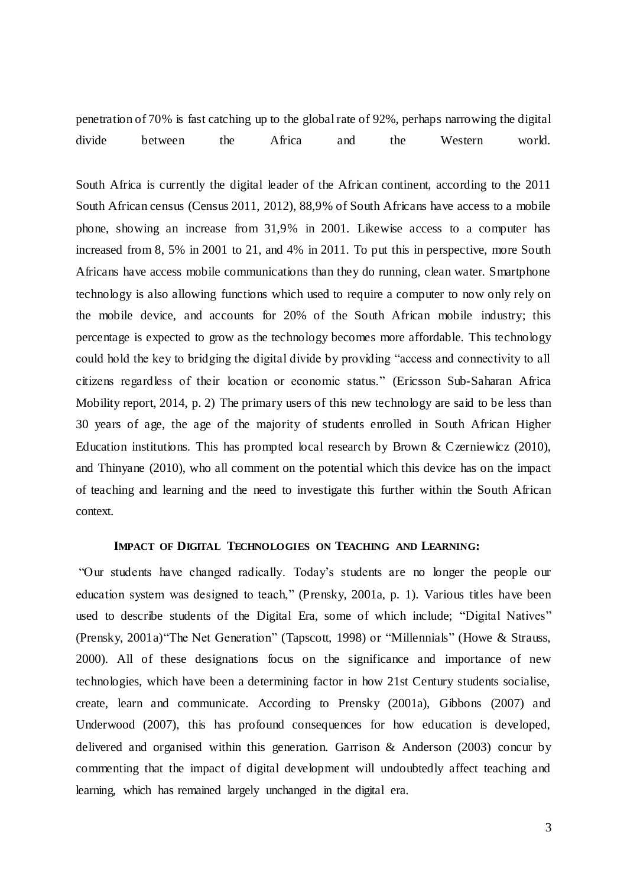penetration of 70% is fast catching up to the global rate of 92%, perhaps narrowing the digital divide between the Africa and the Western world.

South Africa is currently the digital leader of the African continent, according to the 2011 South African census (Census 2011, 2012), 88,9% of South Africans have access to a mobile phone, showing an increase from 31,9% in 2001. Likewise access to a computer has increased from 8, 5% in 2001 to 21, and 4% in 2011. To put this in perspective, more South Africans have access mobile communications than they do running, clean water. Smartphone technology is also allowing functions which used to require a computer to now only rely on the mobile device, and accounts for 20% of the South African mobile industry; this percentage is expected to grow as the technology becomes more affordable. This technology could hold the key to bridging the digital divide by providing "access and connectivity to all citizens regardless of their location or economic status." (Ericsson Sub-Saharan Africa Mobility report, 2014, p. 2) The primary users of this new technology are said to be less than 30 years of age, the age of the majority of students enrolled in South African Higher Education institutions. This has prompted local research by Brown & Czerniewicz (2010), and Thinyane (2010), who all comment on the potential which this device has on the impact of teaching and learning and the need to investigate this further within the South African context.

### **IMPACT OF DIGITAL TECHNOLOGIES ON TEACHING AND LEARNING:**

<span id="page-10-0"></span>"Our students have changed radically. Today"s students are no longer the people our education system was designed to teach," (Prensky, 2001a, p. 1). Various titles have been used to describe students of the Digital Era, some of which include; "Digital Natives" (Prensky, 2001a)"The Net Generation" (Tapscott, 1998) or "Millennials" (Howe & Strauss, 2000). All of these designations focus on the significance and importance of new technologies, which have been a determining factor in how 21st Century students socialise, create, learn and communicate. According to Prensky (2001a), Gibbons (2007) and Underwood (2007), this has profound consequences for how education is developed, delivered and organised within this generation. Garrison & Anderson (2003) concur by commenting that the impact of digital development will undoubtedly affect teaching and learning, which has remained largely unchanged in the digital era.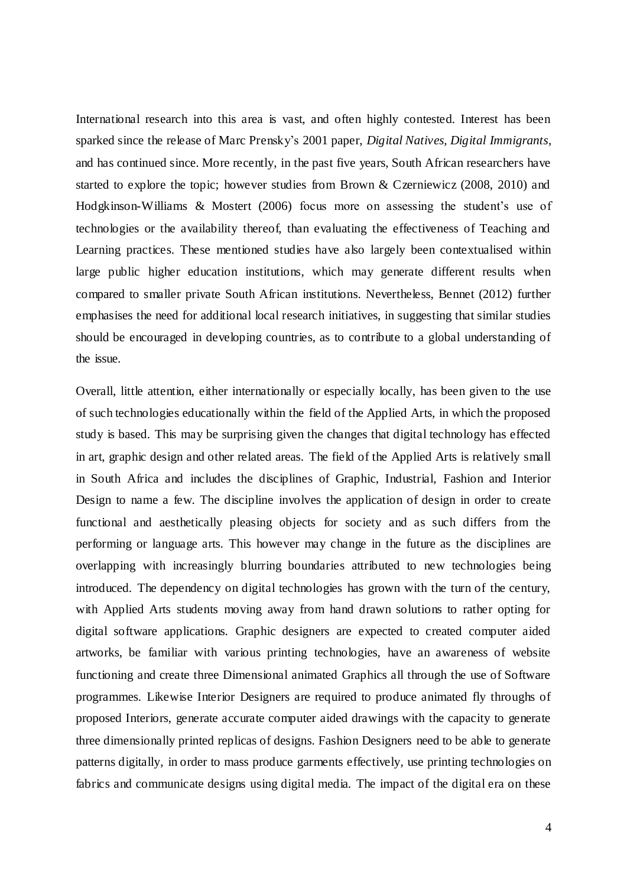International research into this area is vast, and often highly contested. Interest has been sparked since the release of Marc Prensky"s 2001 paper, *Digital Natives, Digital Immigrants*, and has continued since. More recently, in the past five years, South African researchers have started to explore the topic; however studies from Brown & Czerniewicz (2008, 2010) and Hodgkinson-Williams & Mostert (2006) focus more on assessing the student"s use of technologies or the availability thereof, than evaluating the effectiveness of Teaching and Learning practices. These mentioned studies have also largely been contextualised within large public higher education institutions, which may generate different results when compared to smaller private South African institutions. Nevertheless, Bennet (2012) further emphasises the need for additional local research initiatives, in suggesting that similar studies should be encouraged in developing countries, as to contribute to a global understanding of the issue.

Overall, little attention, either internationally or especially locally, has been given to the use of such technologies educationally within the field of the Applied Arts, in which the proposed study is based. This may be surprising given the changes that digital technology has effected in art, graphic design and other related areas. The field of the Applied Arts is relatively small in South Africa and includes the disciplines of Graphic, Industrial, Fashion and Interior Design to name a few. The discipline involves the application of design in order to create functional and aesthetically pleasing objects for society and as such differs from the performing or language arts. This however may change in the future as the disciplines are overlapping with increasingly blurring boundaries attributed to new technologies being introduced. The dependency on digital technologies has grown with the turn of the century, with Applied Arts students moving away from hand drawn solutions to rather opting for digital software applications. Graphic designers are expected to created computer aided artworks, be familiar with various printing technologies, have an awareness of website functioning and create three Dimensional animated Graphics all through the use of Software programmes. Likewise Interior Designers are required to produce animated fly throughs of proposed Interiors, generate accurate computer aided drawings with the capacity to generate three dimensionally printed replicas of designs. Fashion Designers need to be able to generate patterns digitally, in order to mass produce garments effectively, use printing technologies on fabrics and communicate designs using digital media. The impact of the digital era on these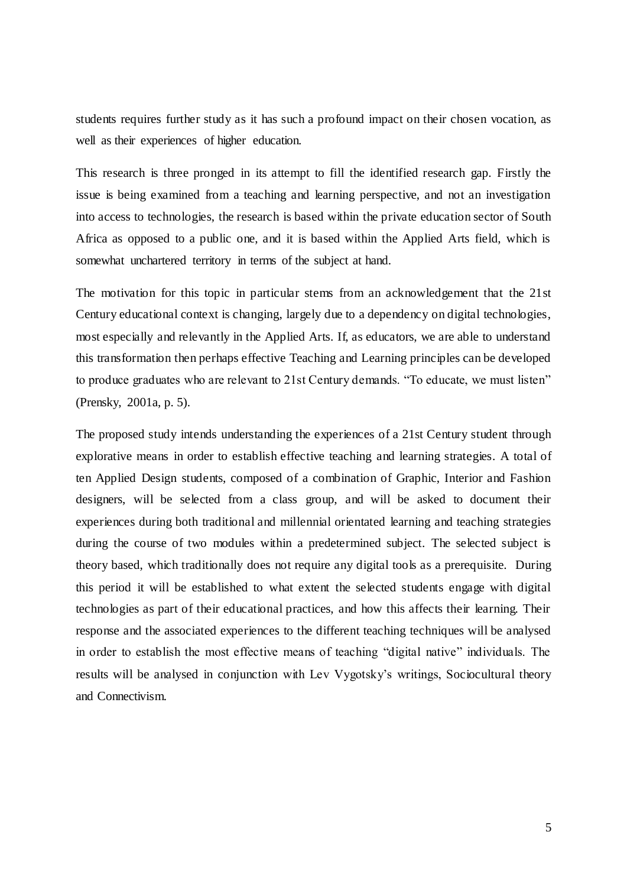students requires further study as it has such a profound impact on their chosen vocation, as well as their experiences of higher education.

This research is three pronged in its attempt to fill the identified research gap. Firstly the issue is being examined from a teaching and learning perspective, and not an investigation into access to technologies, the research is based within the private education sector of South Africa as opposed to a public one, and it is based within the Applied Arts field, which is somewhat unchartered territory in terms of the subject at hand.

The motivation for this topic in particular stems from an acknowledgement that the 21st Century educational context is changing, largely due to a dependency on digital technologies, most especially and relevantly in the Applied Arts. If, as educators, we are able to understand this transformation then perhaps effective Teaching and Learning principles can be developed to produce graduates who are relevant to 21st Century demands. "To educate, we must listen" (Prensky, 2001a, p. 5).

<span id="page-12-0"></span>The proposed study intends understanding the experiences of a 21st Century student through explorative means in order to establish effective teaching and learning strategies. A total of ten Applied Design students, composed of a combination of Graphic, Interior and Fashion designers, will be selected from a class group, and will be asked to document their experiences during both traditional and millennial orientated learning and teaching strategies during the course of two modules within a predetermined subject. The selected subject is theory based, which traditionally does not require any digital tools as a prerequisite. During this period it will be established to what extent the selected students engage with digital technologies as part of their educational practices, and how this affects their learning. Their response and the associated experiences to the different teaching techniques will be analysed in order to establish the most effective means of teaching "digital native" individuals. The results will be analysed in conjunction with Lev Vygotsky"s writings, Sociocultural theory and Connectivism.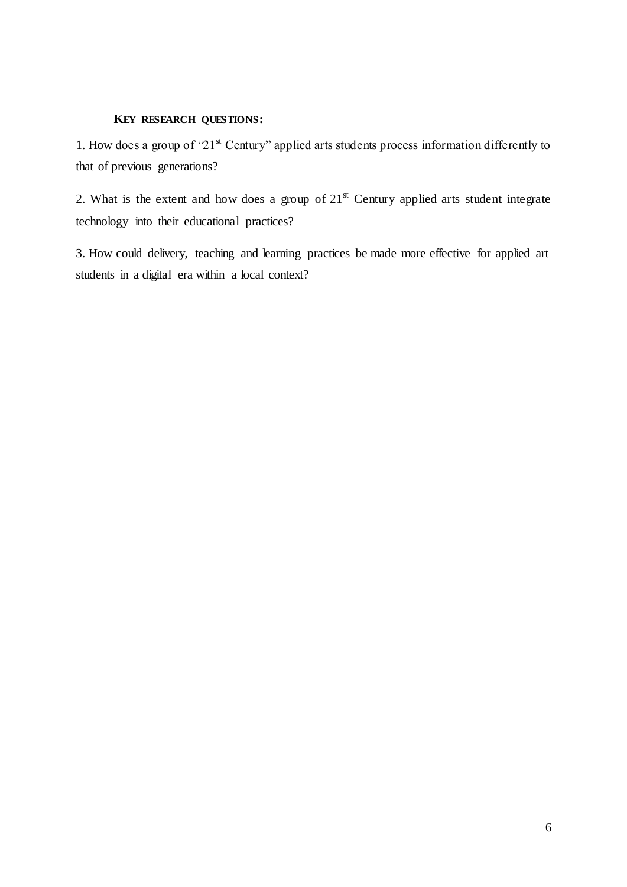#### **KEY RESEARCH QUESTIONS:**

1. How does a group of " $21<sup>st</sup>$  Century" applied arts students process information differently to that of previous generations?

2. What is the extent and how does a group of  $21<sup>st</sup>$  Century applied arts student integrate technology into their educational practices?

3. How could delivery, teaching and learning practices be made more effective for applied art students in a digital era within a local context?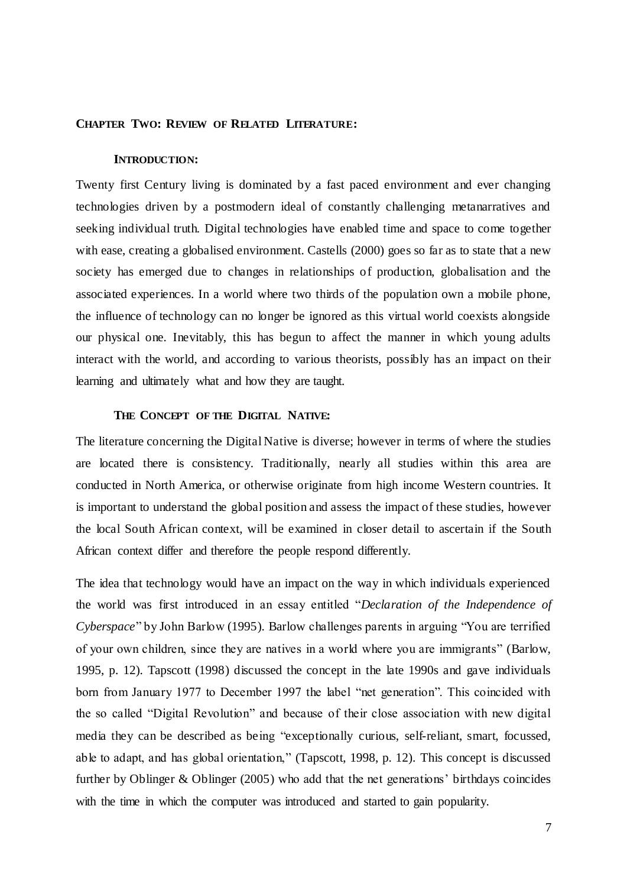#### <span id="page-14-1"></span><span id="page-14-0"></span>**CHAPTER TWO: REVIEW OF RELATED LITERATURE:**

#### **INTRODUCTION:**

Twenty first Century living is dominated by a fast paced environment and ever changing technologies driven by a postmodern ideal of constantly challenging metanarratives and seeking individual truth. Digital technologies have enabled time and space to come together with ease, creating a globalised environment. Castells (2000) goes so far as to state that a new society has emerged due to changes in relationships of production, globalisation and the associated experiences. In a world where two thirds of the population own a mobile phone, the influence of technology can no longer be ignored as this virtual world coexists alongside our physical one. Inevitably, this has begun to affect the manner in which young adults interact with the world, and according to various theorists, possibly has an impact on their learning and ultimately what and how they are taught.

#### **THE CONCEPT OF THE DIGITAL NATIVE:**

<span id="page-14-2"></span>The literature concerning the Digital Native is diverse; however in terms of where the studies are located there is consistency. Traditionally, nearly all studies within this area are conducted in North America, or otherwise originate from high income Western countries. It is important to understand the global position and assess the impact of these studies, however the local South African context, will be examined in closer detail to ascertain if the South African context differ and therefore the people respond differently.

The idea that technology would have an impact on the way in which individuals experienced the world was first introduced in an essay entitled "*Declaration of the Independence of Cyberspace*" by John Barlow (1995). Barlow challenges parents in arguing "You are terrified of your own children, since they are natives in a world where you are immigrants" (Barlow, 1995, p. 12). Tapscott (1998) discussed the concept in the late 1990s and gave individuals born from January 1977 to December 1997 the label "net generation". This coincided with the so called "Digital Revolution" and because of their close association with new digital media they can be described as being "exceptionally curious, self-reliant, smart, focussed, able to adapt, and has global orientation," (Tapscott, 1998, p. 12). This concept is discussed further by Oblinger & Oblinger (2005) who add that the net generations" birthdays coincides with the time in which the computer was introduced and started to gain popularity.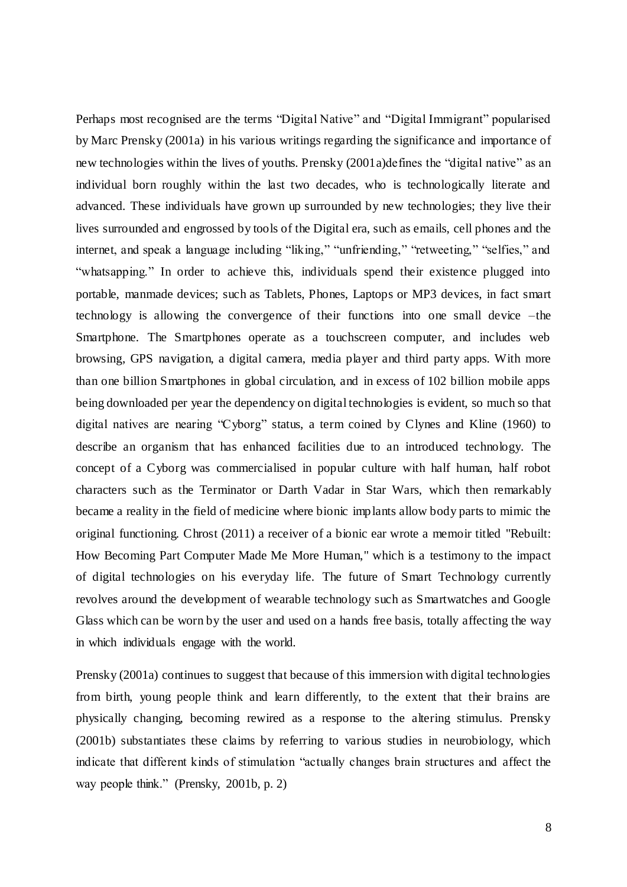Perhaps most recognised are the terms "Digital Native" and "Digital Immigrant" popularised by Marc Prensky (2001a) in his various writings regarding the significance and importance of new technologies within the lives of youths. Prensky (2001a)defines the "digital native" as an individual born roughly within the last two decades, who is technologically literate and advanced. These individuals have grown up surrounded by new technologies; they live their lives surrounded and engrossed by tools of the Digital era, such as emails, cell phones and the internet, and speak a language including "liking," "unfriending," "retweeting," "selfies," and "whatsapping." In order to achieve this, individuals spend their existence plugged into portable, manmade devices; such as Tablets, Phones, Laptops or MP3 devices, in fact smart technology is allowing the convergence of their functions into one small device –the Smartphone. The Smartphones operate as a touchscreen computer, and includes web browsing, GPS navigation, a digital camera, media player and third party apps. With more than one billion Smartphones in global circulation, and in excess of 102 billion mobile apps being downloaded per year the dependency on digital technologies is evident, so much so that digital natives are nearing "Cyborg" status, a term coined by Clynes and Kline (1960) to describe an organism that has enhanced facilities due to an introduced technology. The concept of a Cyborg was commercialised in popular culture with half human, half robot characters such as the Terminator or Darth Vadar in Star Wars, which then remarkably became a reality in the field of medicine where bionic implants allow body parts to mimic the original functioning. Chrost (2011) a receiver of a bionic ear wrote a memoir titled "Rebuilt: How Becoming Part Computer Made Me More Human," which is a testimony to the impact of digital technologies on his everyday life. The future of Smart Technology currently revolves around the development of wearable technology such as Smartwatches and Google Glass which can be worn by the user and used on a hands free basis, totally affecting the way in which individuals engage with the world.

Prensky (2001a) continues to suggest that because of this immersion with digital technologies from birth, young people think and learn differently, to the extent that their brains are physically changing, becoming rewired as a response to the altering stimulus. Prensky (2001b) substantiates these claims by referring to various studies in neurobiology, which indicate that different kinds of stimulation "actually changes brain structures and affect the way people think." (Prensky, 2001b, p. 2)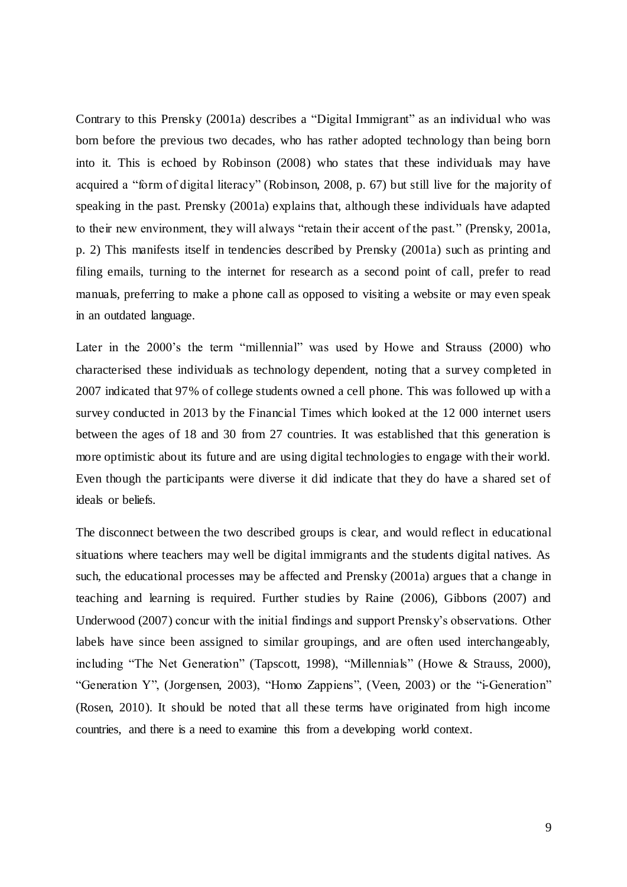Contrary to this Prensky (2001a) describes a "Digital Immigrant" as an individual who was born before the previous two decades, who has rather adopted technology than being born into it. This is echoed by Robinson (2008) who states that these individuals may have acquired a "form of digital literacy" (Robinson, 2008, p. 67) but still live for the majority of speaking in the past. Prensky (2001a) explains that, although these individuals have adapted to their new environment, they will always "retain their accent of the past." (Prensky, 2001a, p. 2) This manifests itself in tendencies described by Prensky (2001a) such as printing and filing emails, turning to the internet for research as a second point of call, prefer to read manuals, preferring to make a phone call as opposed to visiting a website or may even speak in an outdated language.

Later in the 2000's the term "millennial" was used by Howe and Strauss (2000) who characterised these individuals as technology dependent, noting that a survey completed in 2007 indicated that 97% of college students owned a cell phone. This was followed up with a survey conducted in 2013 by the Financial Times which looked at the 12 000 internet users between the ages of 18 and 30 from 27 countries. It was established that this generation is more optimistic about its future and are using digital technologies to engage with their world. Even though the participants were diverse it did indicate that they do have a shared set of ideals or beliefs.

The disconnect between the two described groups is clear, and would reflect in educational situations where teachers may well be digital immigrants and the students digital natives. As such, the educational processes may be affected and Prensky (2001a) argues that a change in teaching and learning is required. Further studies by Raine (2006), Gibbons (2007) and Underwood (2007) concur with the initial findings and support Prensky"s observations. Other labels have since been assigned to similar groupings, and are often used interchangeably, including "The Net Generation" (Tapscott, 1998), "Millennials" (Howe & Strauss, 2000), "Generation Y", (Jorgensen, 2003), "Homo Zappiens", (Veen, 2003) or the "i-Generation" (Rosen, 2010). It should be noted that all these terms have originated from high income countries, and there is a need to examine this from a developing world context.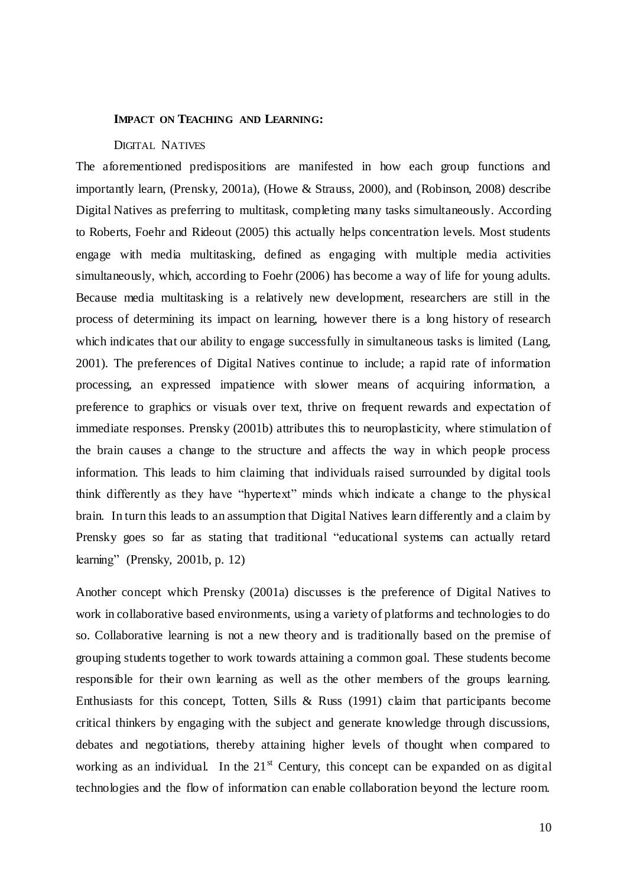#### <span id="page-17-0"></span>**IMPACT ON TEACHING AND LEARNING:**

#### DIGITAL NATIVES

<span id="page-17-1"></span>The aforementioned predispositions are manifested in how each group functions and importantly learn, (Prensky, 2001a), (Howe & Strauss, 2000), and (Robinson, 2008) describe Digital Natives as preferring to multitask, completing many tasks simultaneously. According to Roberts, Foehr and Rideout (2005) this actually helps concentration levels. Most students engage with media multitasking, defined as engaging with multiple media activities simultaneously, which, according to Foehr (2006) has become a way of life for young adults. Because media multitasking is a relatively new development, researchers are still in the process of determining its impact on learning, however there is a long history of research which indicates that our ability to engage successfully in simultaneous tasks is limited (Lang, 2001). The preferences of Digital Natives continue to include; a rapid rate of information processing, an expressed impatience with slower means of acquiring information, a preference to graphics or visuals over text, thrive on frequent rewards and expectation of immediate responses. Prensky (2001b) attributes this to neuroplasticity, where stimulation of the brain causes a change to the structure and affects the way in which people process information. This leads to him claiming that individuals raised surrounded by digital tools think differently as they have "hypertext" minds which indicate a change to the physical brain. In turn this leads to an assumption that Digital Natives learn differently and a claim by Prensky goes so far as stating that traditional "educational systems can actually retard learning" (Prensky, 2001b, p. 12)

Another concept which Prensky (2001a) discusses is the preference of Digital Natives to work in collaborative based environments, using a variety of platforms and technologies to do so. Collaborative learning is not a new theory and is traditionally based on the premise of grouping students together to work towards attaining a common goal. These students become responsible for their own learning as well as the other members of the groups learning. Enthusiasts for this concept, Totten, Sills & Russ (1991) claim that participants become critical thinkers by engaging with the subject and generate knowledge through discussions, debates and negotiations, thereby attaining higher levels of thought when compared to working as an individual. In the  $21<sup>st</sup>$  Century, this concept can be expanded on as digital technologies and the flow of information can enable collaboration beyond the lecture room.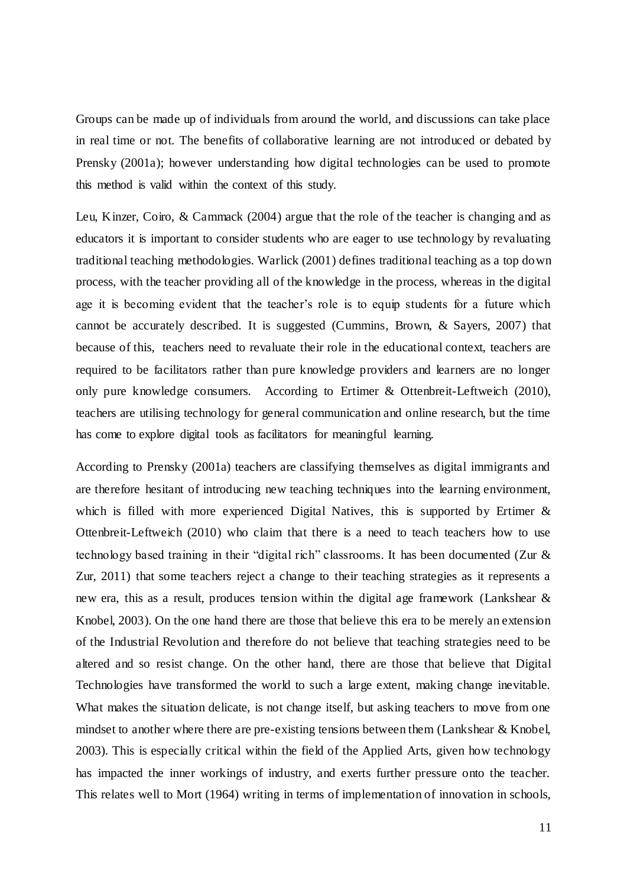Groups can be made up of individuals from around the world, and discussions can take place in real time or not. The benefits of collaborative learning are not introduced or debated by Prensky (2001a); however understanding how digital technologies can be used to promote this method is valid within the context of this study.

Leu, Kinzer, Coiro, & Cammack (2004) argue that the role of the teacher is changing and as educators it is important to consider students who are eager to use technology by revaluating traditional teaching methodologies. Warlick (2001) defines traditional teaching as a top down process, with the teacher providing all of the knowledge in the process, whereas in the digital age it is becoming evident that the teacher"s role is to equip students for a future which cannot be accurately described. It is suggested (Cummins, Brown, & Sayers, 2007) that because of this, teachers need to revaluate their role in the educational context, teachers are required to be facilitators rather than pure knowledge providers and learners are no longer only pure knowledge consumers. According to Ertimer & Ottenbreit-Leftweich (2010), teachers are utilising technology for general communication and online research, but the time has come to explore digital tools as facilitators for meaningful learning.

According to Prensky (2001a) teachers are classifying themselves as digital immigrants and are therefore hesitant of introducing new teaching techniques into the learning environment, which is filled with more experienced Digital Natives, this is supported by Ertimer & Ottenbreit-Leftweich (2010) who claim that there is a need to teach teachers how to use technology based training in their "digital rich" classrooms. It has been documented (Zur & Zur, 2011) that some teachers reject a change to their teaching strategies as it represents a new era, this as a result, produces tension within the digital age framework (Lankshear & Knobel, 2003). On the one hand there are those that believe this era to be merely an extension of the Industrial Revolution and therefore do not believe that teaching strategies need to be altered and so resist change. On the other hand, there are those that believe that Digital Technologies have transformed the world to such a large extent, making change inevitable. What makes the situation delicate, is not change itself, but asking teachers to move from one mindset to another where there are pre-existing tensions between them (Lankshear & Knobel, 2003). This is especially critical within the field of the Applied Arts, given how technology has impacted the inner workings of industry, and exerts further pressure onto the teacher. This relates well to Mort (1964) writing in terms of implementation of innovation in schools,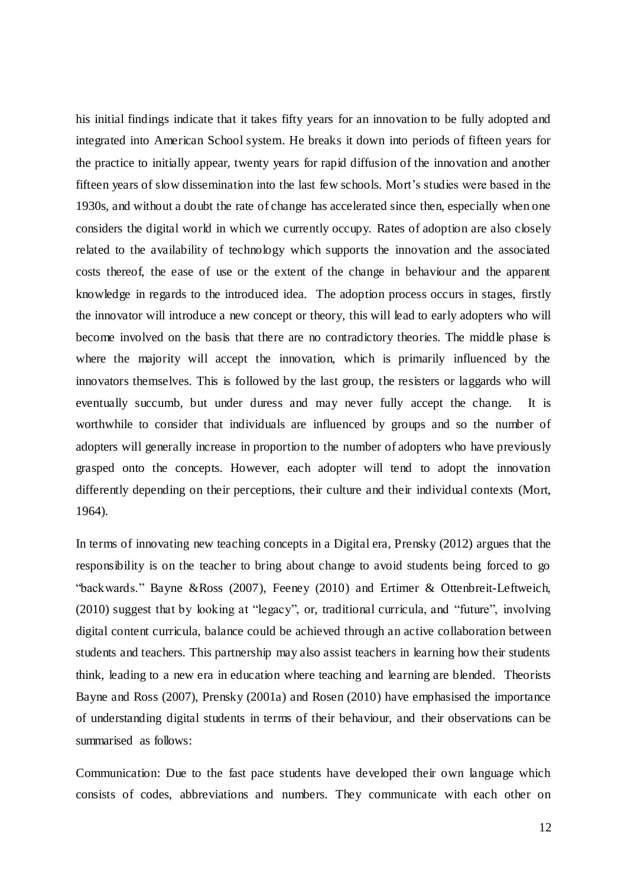his initial findings indicate that it takes fifty years for an innovation to be fully adopted and integrated into American School system. He breaks it down into periods of fifteen years for the practice to initially appear, twenty years for rapid diffusion of the innovation and another fifteen years of slow dissemination into the last few schools. Mort"s studies were based in the 1930s, and without a doubt the rate of change has accelerated since then, especially when one considers the digital world in which we currently occupy. Rates of adoption are also closely related to the availability of technology which supports the innovation and the associated costs thereof, the ease of use or the extent of the change in behaviour and the apparent knowledge in regards to the introduced idea. The adoption process occurs in stages, firstly the innovator will introduce a new concept or theory, this will lead to early adopters who will become involved on the basis that there are no contradictory theories. The middle phase is where the majority will accept the innovation, which is primarily influenced by the innovators themselves. This is followed by the last group, the resisters or laggards who will eventually succumb, but under duress and may never fully accept the change. It is worthwhile to consider that individuals are influenced by groups and so the number of adopters will generally increase in proportion to the number of adopters who have previously grasped onto the concepts. However, each adopter will tend to adopt the innovation differently depending on their perceptions, their culture and their individual contexts (Mort, 1964).

In terms of innovating new teaching concepts in a Digital era, Prensky (2012) argues that the responsibility is on the teacher to bring about change to avoid students being forced to go "backwards." Bayne &Ross (2007), Feeney (2010) and Ertimer & Ottenbreit-Leftweich, (2010) suggest that by looking at "legacy", or, traditional curricula, and "future", involving digital content curricula, balance could be achieved through an active collaboration between students and teachers. This partnership may also assist teachers in learning how their students think, leading to a new era in education where teaching and learning are blended. Theorists Bayne and Ross (2007), Prensky (2001a) and Rosen (2010) have emphasised the importance of understanding digital students in terms of their behaviour, and their observations can be summarised as follows:

Communication: Due to the fast pace students have developed their own language which consists of codes, abbreviations and numbers. They communicate with each other on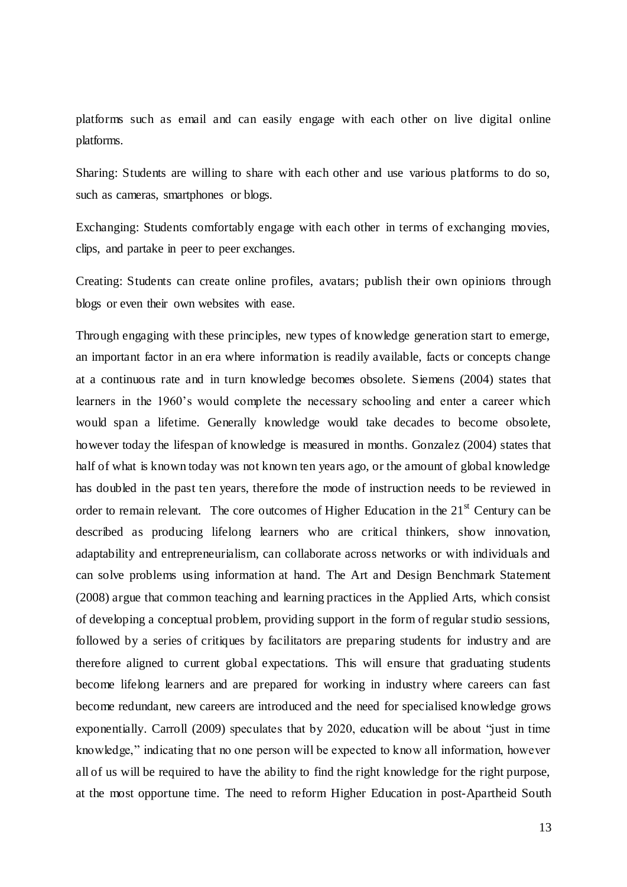platforms such as email and can easily engage with each other on live digital online platforms.

Sharing: Students are willing to share with each other and use various platforms to do so, such as cameras, smartphones or blogs.

Exchanging: Students comfortably engage with each other in terms of exchanging movies, clips, and partake in peer to peer exchanges.

Creating: Students can create online profiles, avatars; publish their own opinions through blogs or even their own websites with ease.

Through engaging with these principles, new types of knowledge generation start to emerge, an important factor in an era where information is readily available, facts or concepts change at a continuous rate and in turn knowledge becomes obsolete. Siemens (2004) states that learners in the 1960"s would complete the necessary schooling and enter a career which would span a lifetime. Generally knowledge would take decades to become obsolete, however today the lifespan of knowledge is measured in months. Gonzalez (2004) states that half of what is known today was not known ten years ago, or the amount of global knowledge has doubled in the past ten years, therefore the mode of instruction needs to be reviewed in order to remain relevant. The core outcomes of Higher Education in the  $21<sup>st</sup>$  Century can be described as producing lifelong learners who are critical thinkers, show innovation, adaptability and entrepreneurialism, can collaborate across networks or with individuals and can solve problems using information at hand. The Art and Design Benchmark Statement (2008) argue that common teaching and learning practices in the Applied Arts, which consist of developing a conceptual problem, providing support in the form of regular studio sessions, followed by a series of critiques by facilitators are preparing students for industry and are therefore aligned to current global expectations. This will ensure that graduating students become lifelong learners and are prepared for working in industry where careers can fast become redundant, new careers are introduced and the need for specialised knowledge grows exponentially. Carroll (2009) speculates that by 2020, education will be about "just in time knowledge," indicating that no one person will be expected to know all information, however all of us will be required to have the ability to find the right knowledge for the right purpose, at the most opportune time. The need to reform Higher Education in post-Apartheid South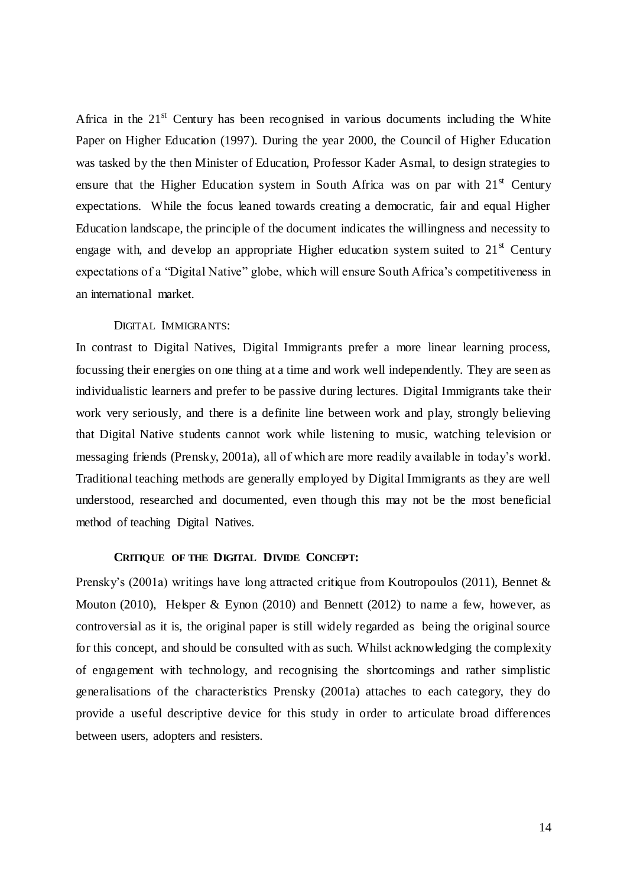Africa in the  $21<sup>st</sup>$  Century has been recognised in various documents including the White Paper on Higher Education (1997). During the year 2000, the Council of Higher Education was tasked by the then Minister of Education, Professor Kader Asmal, to design strategies to ensure that the Higher Education system in South Africa was on par with 21<sup>st</sup> Century expectations. While the focus leaned towards creating a democratic, fair and equal Higher Education landscape, the principle of the document indicates the willingness and necessity to engage with, and develop an appropriate Higher education system suited to  $21<sup>st</sup>$  Century expectations of a "Digital Native" globe, which will ensure South Africa"s competitiveness in an international market.

#### DIGITAL IMMIGRANTS:

<span id="page-21-0"></span>In contrast to Digital Natives, Digital Immigrants prefer a more linear learning process, focussing their energies on one thing at a time and work well independently. They are seen as individualistic learners and prefer to be passive during lectures. Digital Immigrants take their work very seriously, and there is a definite line between work and play, strongly believing that Digital Native students cannot work while listening to music, watching television or messaging friends (Prensky, 2001a), all of which are more readily available in today"s world. Traditional teaching methods are generally employed by Digital Immigrants as they are well understood, researched and documented, even though this may not be the most beneficial method of teaching Digital Natives.

#### **CRITIQUE OF THE DIGITAL DIVIDE CONCEPT:**

<span id="page-21-1"></span>Prensky's (2001a) writings have long attracted critique from Koutropoulos (2011), Bennet & Mouton (2010), Helsper & Eynon (2010) and Bennett (2012) to name a few, however, as controversial as it is, the original paper is still widely regarded as being the original source for this concept, and should be consulted with as such. Whilst acknowledging the complexity of engagement with technology, and recognising the shortcomings and rather simplistic generalisations of the characteristics Prensky (2001a) attaches to each category, they do provide a useful descriptive device for this study in order to articulate broad differences between users, adopters and resisters.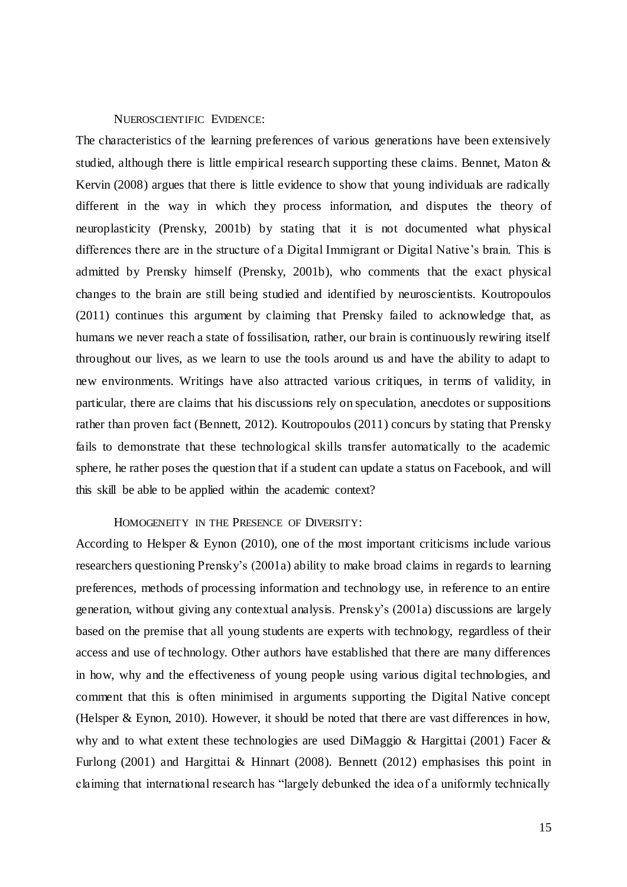#### NUEROSCIENTIFIC EVIDENCE:

<span id="page-22-0"></span>The characteristics of the learning preferences of various generations have been extensively studied, although there is little empirical research supporting these claims. Bennet, Maton  $\&$ Kervin (2008) argues that there is little evidence to show that young individuals are radically different in the way in which they process information, and disputes the theory of neuroplasticity (Prensky, 2001b) by stating that it is not documented what physical differences there are in the structure of a Digital Immigrant or Digital Native's brain. This is admitted by Prensky himself (Prensky, 2001b), who comments that the exact physical changes to the brain are still being studied and identified by neuroscientists. Koutropoulos (2011) continues this argument by claiming that Prensky failed to acknowledge that, as humans we never reach a state of fossilisation, rather, our brain is continuously rewiring itself throughout our lives, as we learn to use the tools around us and have the ability to adapt to new environments. Writings have also attracted various critiques, in terms of validity, in particular, there are claims that his discussions rely on speculation, anecdotes or suppositions rather than proven fact (Bennett, 2012). Koutropoulos (2011) concurs by stating that Prensky fails to demonstrate that these technological skills transfer automatically to the academic sphere, he rather poses the question that if a student can update a status on Facebook, and will this skill be able to be applied within the academic context?

#### HOMOGENEITY IN THE PRESENCE OF DIVERSITY:

<span id="page-22-1"></span>According to Helsper & Eynon (2010), one of the most important criticisms include various researchers questioning Prensky's (2001a) ability to make broad claims in regards to learning preferences, methods of processing information and technology use, in reference to an entire generation, without giving any contextual analysis. Prensky"s (2001a) discussions are largely based on the premise that all young students are experts with technology, regardless of their access and use of technology. Other authors have established that there are many differences in how, why and the effectiveness of young people using various digital technologies, and comment that this is often minimised in arguments supporting the Digital Native concept (Helsper & Eynon, 2010). However, it should be noted that there are vast differences in how, why and to what extent these technologies are used DiMaggio & Hargittai (2001) Facer & Furlong (2001) and Hargittai & Hinnart (2008). Bennett (2012) emphasises this point in claiming that international research has "largely debunked the idea of a uniformly technically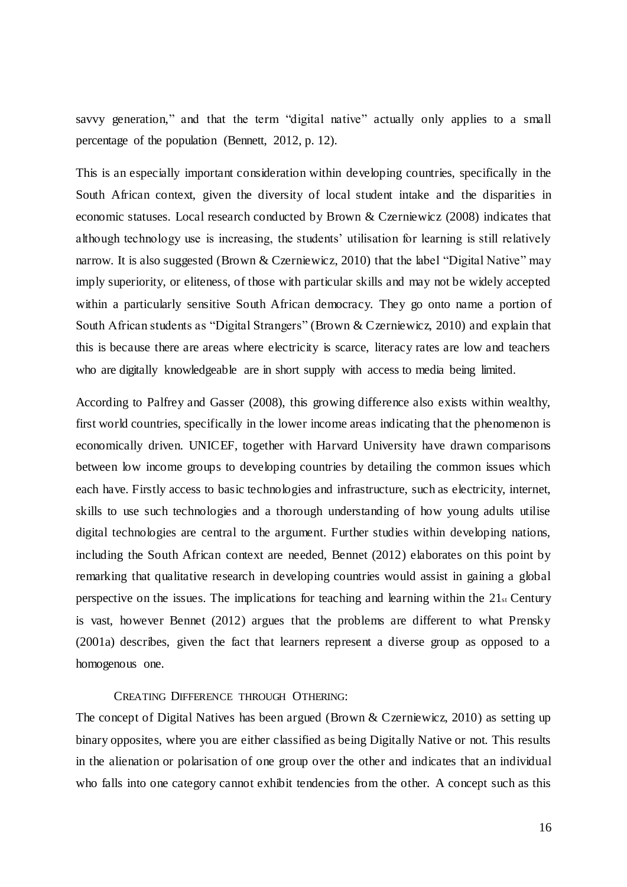savvy generation," and that the term "digital native" actually only applies to a small percentage of the population (Bennett, 2012, p. 12).

This is an especially important consideration within developing countries, specifically in the South African context, given the diversity of local student intake and the disparities in economic statuses. Local research conducted by Brown & Czerniewicz (2008) indicates that although technology use is increasing, the students' utilisation for learning is still relatively narrow. It is also suggested (Brown & Czerniewicz, 2010) that the label "Digital Native" may imply superiority, or eliteness, of those with particular skills and may not be widely accepted within a particularly sensitive South African democracy. They go onto name a portion of South African students as "Digital Strangers" (Brown & Czerniewicz, 2010) and explain that this is because there are areas where electricity is scarce, literacy rates are low and teachers who are digitally knowledgeable are in short supply with access to media being limited.

According to Palfrey and Gasser (2008), this growing difference also exists within wealthy, first world countries, specifically in the lower income areas indicating that the phenomenon is economically driven. UNICEF, together with Harvard University have drawn comparisons between low income groups to developing countries by detailing the common issues which each have. Firstly access to basic technologies and infrastructure, such as electricity, internet, skills to use such technologies and a thorough understanding of how young adults utilise digital technologies are central to the argument. Further studies within developing nations, including the South African context are needed, Bennet (2012) elaborates on this point by remarking that qualitative research in developing countries would assist in gaining a global perspective on the issues. The implications for teaching and learning within the  $21<sub>st</sub>$  Century is vast, however Bennet (2012) argues that the problems are different to what Prensky (2001a) describes, given the fact that learners represent a diverse group as opposed to a homogenous one.

CREATING DIFFERENCE THROUGH OTHERING:

<span id="page-23-0"></span>The concept of Digital Natives has been argued (Brown & Czerniewicz, 2010) as setting up binary opposites, where you are either classified as being Digitally Native or not. This results in the alienation or polarisation of one group over the other and indicates that an individual who falls into one category cannot exhibit tendencies from the other. A concept such as this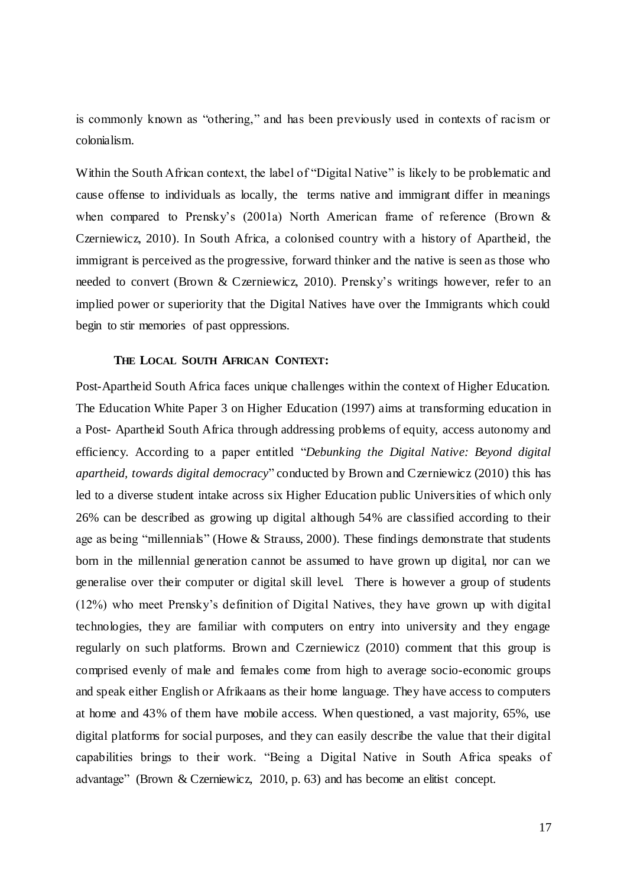is commonly known as "othering," and has been previously used in contexts of racism or colonialism.

Within the South African context, the label of "Digital Native" is likely to be problematic and cause offense to individuals as locally, the terms native and immigrant differ in meanings when compared to Prensky's (2001a) North American frame of reference (Brown & Czerniewicz, 2010). In South Africa, a colonised country with a history of Apartheid, the immigrant is perceived as the progressive, forward thinker and the native is seen as those who needed to convert (Brown & Czerniewicz, 2010). Prensky"s writings however, refer to an implied power or superiority that the Digital Natives have over the Immigrants which could begin to stir memories of past oppressions.

#### **THE LOCAL SOUTH AFRICAN CONTEXT:**

<span id="page-24-0"></span>Post-Apartheid South Africa faces unique challenges within the context of Higher Education. The Education White Paper 3 on Higher Education (1997) aims at transforming education in a Post- Apartheid South Africa through addressing problems of equity, access autonomy and efficiency. According to a paper entitled "*Debunking the Digital Native: Beyond digital apartheid, towards digital democracy*" conducted by Brown and Czerniewicz (2010) this has led to a diverse student intake across six Higher Education public Universities of which only 26% can be described as growing up digital although 54% are classified according to their age as being "millennials" (Howe & Strauss, 2000). These findings demonstrate that students born in the millennial generation cannot be assumed to have grown up digital, nor can we generalise over their computer or digital skill level. There is however a group of students (12%) who meet Prensky"s definition of Digital Natives, they have grown up with digital technologies, they are familiar with computers on entry into university and they engage regularly on such platforms. Brown and Czerniewicz (2010) comment that this group is comprised evenly of male and females come from high to average socio-economic groups and speak either English or Afrikaans as their home language. They have access to computers at home and 43% of them have mobile access. When questioned, a vast majority, 65%, use digital platforms for social purposes, and they can easily describe the value that their digital capabilities brings to their work. "Being a Digital Native in South Africa speaks of advantage" (Brown & Czerniewicz, 2010, p. 63) and has become an elitist concept.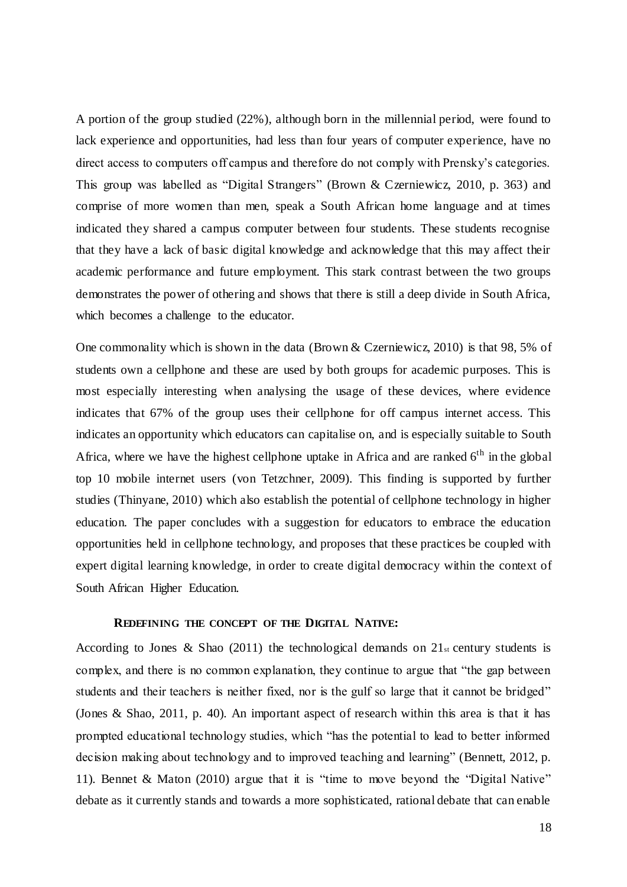A portion of the group studied (22%), although born in the millennial period, were found to lack experience and opportunities, had less than four years of computer experience, have no direct access to computers off campus and therefore do not comply with Prensky's categories. This group was labelled as "Digital Strangers" (Brown & Czerniewicz, 2010, p. 363) and comprise of more women than men, speak a South African home language and at times indicated they shared a campus computer between four students. These students recognise that they have a lack of basic digital knowledge and acknowledge that this may affect their academic performance and future employment. This stark contrast between the two groups demonstrates the power of othering and shows that there is still a deep divide in South Africa, which becomes a challenge to the educator.

One commonality which is shown in the data (Brown & Czerniewicz, 2010) is that 98, 5% of students own a cellphone and these are used by both groups for academic purposes. This is most especially interesting when analysing the usage of these devices, where evidence indicates that 67% of the group uses their cellphone for off campus internet access. This indicates an opportunity which educators can capitalise on, and is especially suitable to South Africa, where we have the highest cellphone uptake in Africa and are ranked  $6<sup>th</sup>$  in the global top 10 mobile internet users (von Tetzchner, 2009). This finding is supported by further studies (Thinyane, 2010) which also establish the potential of cellphone technology in higher education. The paper concludes with a suggestion for educators to embrace the education opportunities held in cellphone technology, and proposes that these practices be coupled with expert digital learning knowledge, in order to create digital democracy within the context of South African Higher Education.

#### **REDEFINING THE CONCEPT OF THE DIGITAL NATIVE:**

<span id="page-25-0"></span>According to Jones & Shao (2011) the technological demands on  $21<sub>st</sub>$  century students is complex, and there is no common explanation, they continue to argue that "the gap between students and their teachers is neither fixed, nor is the gulf so large that it cannot be bridged" (Jones & Shao, 2011, p. 40). An important aspect of research within this area is that it has prompted educational technology studies, which "has the potential to lead to better informed decision making about technology and to improved teaching and learning" (Bennett, 2012, p. 11). Bennet & Maton (2010) argue that it is "time to move beyond the "Digital Native" debate as it currently stands and towards a more sophisticated, rational debate that can enable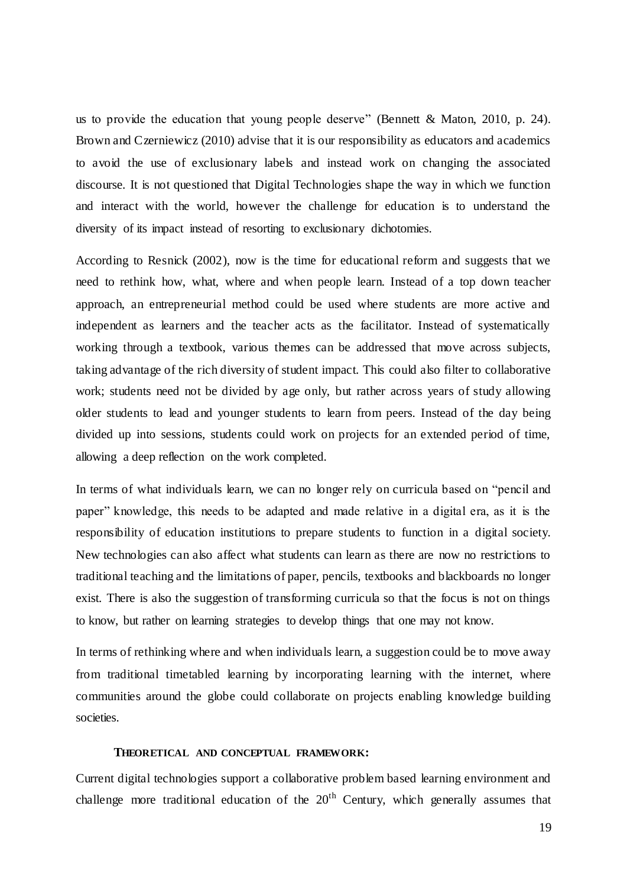us to provide the education that young people deserve" (Bennett & Maton, 2010, p. 24). Brown and Czerniewicz (2010) advise that it is our responsibility as educators and academics to avoid the use of exclusionary labels and instead work on changing the associated discourse. It is not questioned that Digital Technologies shape the way in which we function and interact with the world, however the challenge for education is to understand the diversity of its impact instead of resorting to exclusionary dichotomies.

According to Resnick (2002), now is the time for educational reform and suggests that we need to rethink how, what, where and when people learn. Instead of a top down teacher approach, an entrepreneurial method could be used where students are more active and independent as learners and the teacher acts as the facilitator. Instead of systematically working through a textbook, various themes can be addressed that move across subjects, taking advantage of the rich diversity of student impact. This could also filter to collaborative work; students need not be divided by age only, but rather across years of study allowing older students to lead and younger students to learn from peers. Instead of the day being divided up into sessions, students could work on projects for an extended period of time, allowing a deep reflection on the work completed.

In terms of what individuals learn, we can no longer rely on curricula based on "pencil and paper" knowledge, this needs to be adapted and made relative in a digital era, as it is the responsibility of education institutions to prepare students to function in a digital society. New technologies can also affect what students can learn as there are now no restrictions to traditional teaching and the limitations of paper, pencils, textbooks and blackboards no longer exist. There is also the suggestion of transforming curricula so that the focus is not on things to know, but rather on learning strategies to develop things that one may not know.

In terms of rethinking where and when individuals learn, a suggestion could be to move away from traditional timetabled learning by incorporating learning with the internet, where communities around the globe could collaborate on projects enabling knowledge building societies.

#### **THEORETICAL AND CONCEPTUAL FRAMEWORK:**

<span id="page-26-0"></span>Current digital technologies support a collaborative problem based learning environment and challenge more traditional education of the  $20<sup>th</sup>$  Century, which generally assumes that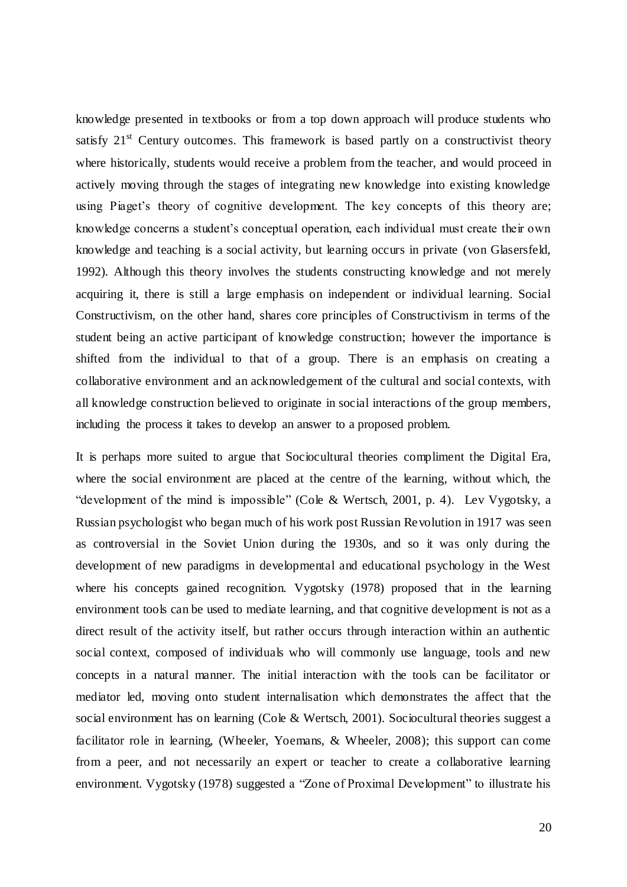knowledge presented in textbooks or from a top down approach will produce students who satisfy  $21<sup>st</sup>$  Century outcomes. This framework is based partly on a constructivist theory where historically, students would receive a problem from the teacher, and would proceed in actively moving through the stages of integrating new knowledge into existing knowledge using Piaget's theory of cognitive development. The key concepts of this theory are; knowledge concerns a student"s conceptual operation, each individual must create their own knowledge and teaching is a social activity, but learning occurs in private (von Glasersfeld, 1992). Although this theory involves the students constructing knowledge and not merely acquiring it, there is still a large emphasis on independent or individual learning. Social Constructivism, on the other hand, shares core principles of Constructivism in terms of the student being an active participant of knowledge construction; however the importance is shifted from the individual to that of a group. There is an emphasis on creating a collaborative environment and an acknowledgement of the cultural and social contexts, with all knowledge construction believed to originate in social interactions of the group members, including the process it takes to develop an answer to a proposed problem.

It is perhaps more suited to argue that Sociocultural theories compliment the Digital Era, where the social environment are placed at the centre of the learning, without which, the "development of the mind is impossible" (Cole & Wertsch, 2001, p. 4). Lev Vygotsky, a Russian psychologist who began much of his work post Russian Revolution in 1917 was seen as controversial in the Soviet Union during the 1930s, and so it was only during the development of new paradigms in developmental and educational psychology in the West where his concepts gained recognition. Vygotsky (1978) proposed that in the learning environment tools can be used to mediate learning, and that cognitive development is not as a direct result of the activity itself, but rather occurs through interaction within an authentic social context, composed of individuals who will commonly use language, tools and new concepts in a natural manner. The initial interaction with the tools can be facilitator or mediator led, moving onto student internalisation which demonstrates the affect that the social environment has on learning (Cole & Wertsch, 2001). Sociocultural theories suggest a facilitator role in learning, (Wheeler, Yoemans, & Wheeler, 2008); this support can come from a peer, and not necessarily an expert or teacher to create a collaborative learning environment. Vygotsky (1978) suggested a "Zone of Proximal Development" to illustrate his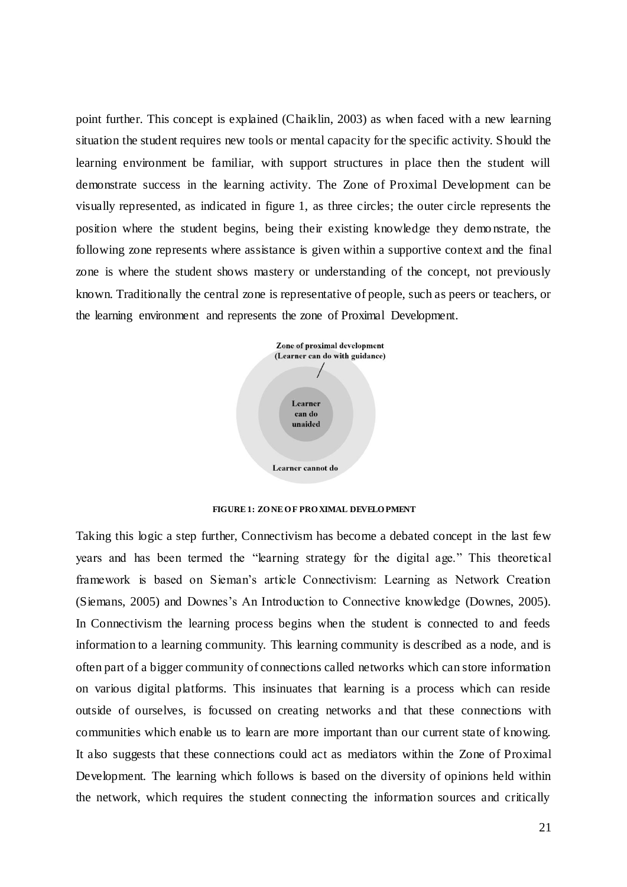point further. This concept is explained (Chaiklin, 2003) as when faced with a new learning situation the student requires new tools or mental capacity for the specific activity. Should the learning environment be familiar, with support structures in place then the student will demonstrate success in the learning activity. The Zone of Proximal Development can be visually represented, as indicated in figure 1, as three circles; the outer circle represents the position where the student begins, being their existing knowledge they demo nstrate, the following zone represents where assistance is given within a supportive context and the final zone is where the student shows mastery or understanding of the concept, not previously known. Traditionally the central zone is representative of people, such as peers or teachers, or the learning environment and represents the zone of Proximal Development.



**FIGURE 1: ZO NE O F PRO XIMAL DEVELO PMENT**

<span id="page-28-0"></span>Taking this logic a step further, Connectivism has become a debated concept in the last few years and has been termed the "learning strategy for the digital age." This theoretical framework is based on Sieman"s article Connectivism: Learning as Network Creation (Siemans, 2005) and Downes"s An Introduction to Connective knowledge (Downes, 2005). In Connectivism the learning process begins when the student is connected to and feeds information to a learning community. This learning community is described as a node, and is often part of a bigger community of connections called networks which can store information on various digital platforms. This insinuates that learning is a process which can reside outside of ourselves, is focussed on creating networks and that these connections with communities which enable us to learn are more important than our current state of knowing. It also suggests that these connections could act as mediators within the Zone of Proximal Development. The learning which follows is based on the diversity of opinions held within the network, which requires the student connecting the information sources and critically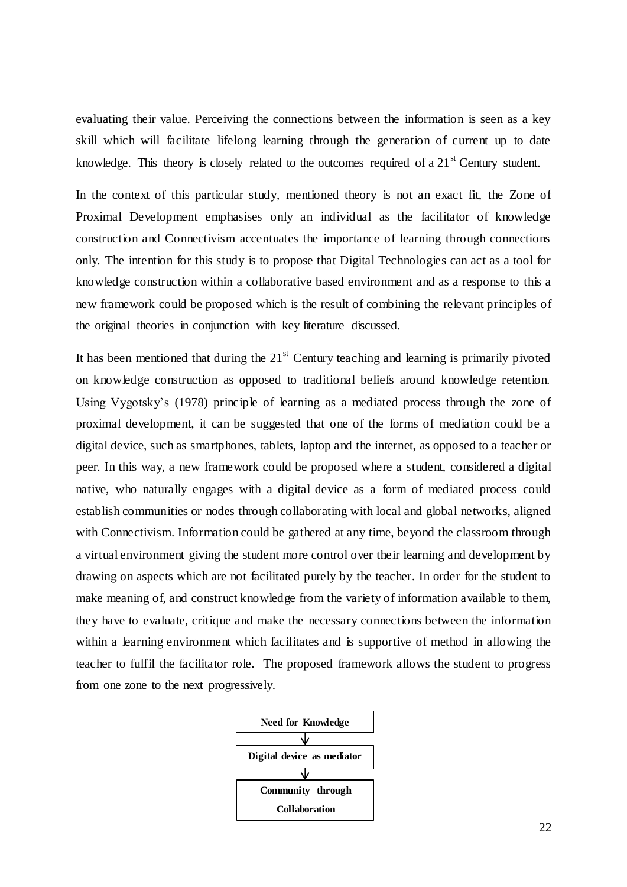evaluating their value. Perceiving the connections between the information is seen as a key skill which will facilitate lifelong learning through the generation of current up to date knowledge. This theory is closely related to the outcomes required of a 21<sup>st</sup> Century student.

In the context of this particular study, mentioned theory is not an exact fit, the Zone of Proximal Development emphasises only an individual as the facilitator of knowledge construction and Connectivism accentuates the importance of learning through connections only. The intention for this study is to propose that Digital Technologies can act as a tool for knowledge construction within a collaborative based environment and as a response to this a new framework could be proposed which is the result of combining the relevant principles of the original theories in conjunction with key literature discussed.

It has been mentioned that during the  $21<sup>st</sup>$  Century teaching and learning is primarily pivoted on knowledge construction as opposed to traditional beliefs around knowledge retention. Using Vygotsky"s (1978) principle of learning as a mediated process through the zone of proximal development, it can be suggested that one of the forms of mediation could be a digital device, such as smartphones, tablets, laptop and the internet, as opposed to a teacher or peer. In this way, a new framework could be proposed where a student, considered a digital native, who naturally engages with a digital device as a form of mediated process could establish communities or nodes through collaborating with local and global networks, aligned with Connectivism. Information could be gathered at any time, beyond the classroom through a virtual environment giving the student more control over their learning and development by drawing on aspects which are not facilitated purely by the teacher. In order for the student to make meaning of, and construct knowledge from the variety of information available to them, they have to evaluate, critique and make the necessary connections between the information within a learning environment which facilitates and is supportive of method in allowing the teacher to fulfil the facilitator role. The proposed framework allows the student to progress from one zone to the next progressively.

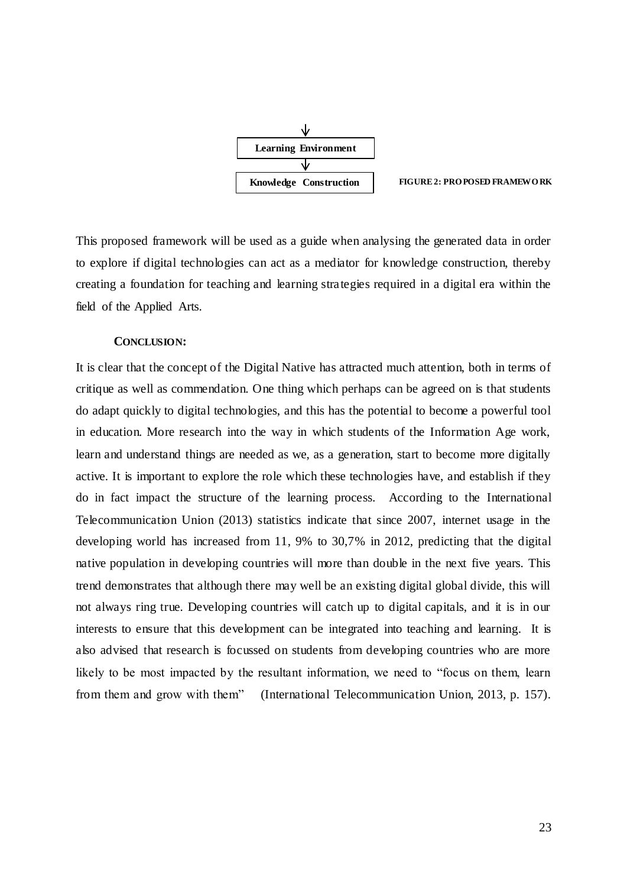

**FIGURE 2: PRO POSED FRAMEWO RK**

<span id="page-30-1"></span>This proposed framework will be used as a guide when analysing the generated data in order to explore if digital technologies can act as a mediator for knowledge construction, thereby creating a foundation for teaching and learning strategies required in a digital era within the field of the Applied Arts.

#### **CONCLUSION:**

<span id="page-30-0"></span>It is clear that the concept of the Digital Native has attracted much attention, both in terms of critique as well as commendation. One thing which perhaps can be agreed on is that students do adapt quickly to digital technologies, and this has the potential to become a powerful tool in education. More research into the way in which students of the Information Age work, learn and understand things are needed as we, as a generation, start to become more digitally active. It is important to explore the role which these technologies have, and establish if they do in fact impact the structure of the learning process. According to the International Telecommunication Union (2013) statistics indicate that since 2007, internet usage in the developing world has increased from 11, 9% to 30,7% in 2012, predicting that the digital native population in developing countries will more than double in the next five years. This trend demonstrates that although there may well be an existing digital global divide, this will not always ring true. Developing countries will catch up to digital capitals, and it is in our interests to ensure that this development can be integrated into teaching and learning. It is also advised that research is focussed on students from developing countries who are more likely to be most impacted by the resultant information, we need to "focus on them, learn from them and grow with them" (International Telecommunication Union, 2013, p. 157).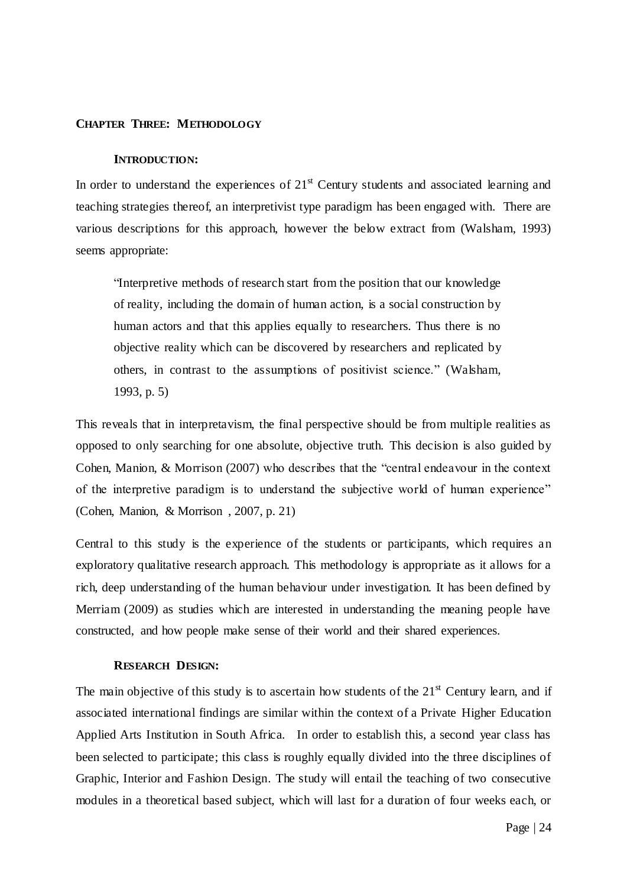#### <span id="page-31-1"></span><span id="page-31-0"></span>**CHAPTER THREE: METHODOLOGY**

#### **INTRODUCTION:**

In order to understand the experiences of  $21<sup>st</sup>$  Century students and associated learning and teaching strategies thereof, an interpretivist type paradigm has been engaged with. There are various descriptions for this approach, however the below extract from (Walsham, 1993) seems appropriate:

"Interpretive methods of research start from the position that our knowledge of reality, including the domain of human action, is a social construction by human actors and that this applies equally to researchers. Thus there is no objective reality which can be discovered by researchers and replicated by others, in contrast to the assumptions of positivist science." (Walsham, 1993, p. 5)

This reveals that in interpretavism, the final perspective should be from multiple realities as opposed to only searching for one absolute, objective truth. This decision is also guided by Cohen, Manion, & Morrison (2007) who describes that the "central endeavour in the context of the interpretive paradigm is to understand the subjective world of human experience" (Cohen, Manion, & Morrison , 2007, p. 21)

Central to this study is the experience of the students or participants, which requires an exploratory qualitative research approach. This methodology is appropriate as it allows for a rich, deep understanding of the human behaviour under investigation. It has been defined by Merriam (2009) as studies which are interested in understanding the meaning people have constructed, and how people make sense of their world and their shared experiences.

#### **RESEARCH DESIGN:**

<span id="page-31-2"></span>The main objective of this study is to ascertain how students of the  $21<sup>st</sup>$  Century learn, and if associated international findings are similar within the context of a Private Higher Education Applied Arts Institution in South Africa. In order to establish this, a second year class has been selected to participate; this class is roughly equally divided into the three disciplines of Graphic, Interior and Fashion Design. The study will entail the teaching of two consecutive modules in a theoretical based subject, which will last for a duration of four weeks each, or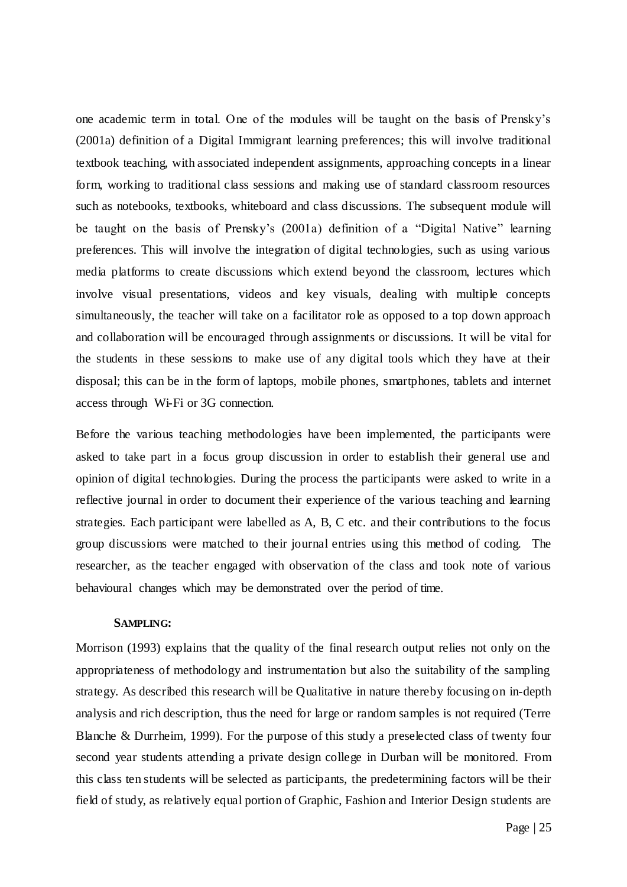one academic term in total. One of the modules will be taught on the basis of Prensky"s (2001a) definition of a Digital Immigrant learning preferences; this will involve traditional textbook teaching, with associated independent assignments, approaching concepts in a linear form, working to traditional class sessions and making use of standard classroom resources such as notebooks, textbooks, whiteboard and class discussions. The subsequent module will be taught on the basis of Prensky"s (2001a) definition of a "Digital Native" learning preferences. This will involve the integration of digital technologies, such as using various media platforms to create discussions which extend beyond the classroom, lectures which involve visual presentations, videos and key visuals, dealing with multiple concepts simultaneously, the teacher will take on a facilitator role as opposed to a top down approach and collaboration will be encouraged through assignments or discussions. It will be vital for the students in these sessions to make use of any digital tools which they have at their disposal; this can be in the form of laptops, mobile phones, smartphones, tablets and internet access through Wi-Fi or 3G connection.

Before the various teaching methodologies have been implemented, the participants were asked to take part in a focus group discussion in order to establish their general use and opinion of digital technologies. During the process the participants were asked to write in a reflective journal in order to document their experience of the various teaching and learning strategies. Each participant were labelled as A, B, C etc. and their contributions to the focus group discussions were matched to their journal entries using this method of coding. The researcher, as the teacher engaged with observation of the class and took note of various behavioural changes which may be demonstrated over the period of time.

#### **SAMPLING:**

<span id="page-32-0"></span>Morrison (1993) explains that the quality of the final research output relies not only on the appropriateness of methodology and instrumentation but also the suitability of the sampling strategy. As described this research will be Qualitative in nature thereby focusing on in-depth analysis and rich description, thus the need for large or random samples is not required (Terre Blanche & Durrheim, 1999). For the purpose of this study a preselected class of twenty four second year students attending a private design college in Durban will be monitored. From this class ten students will be selected as participants, the predetermining factors will be their field of study, as relatively equal portion of Graphic, Fashion and Interior Design students are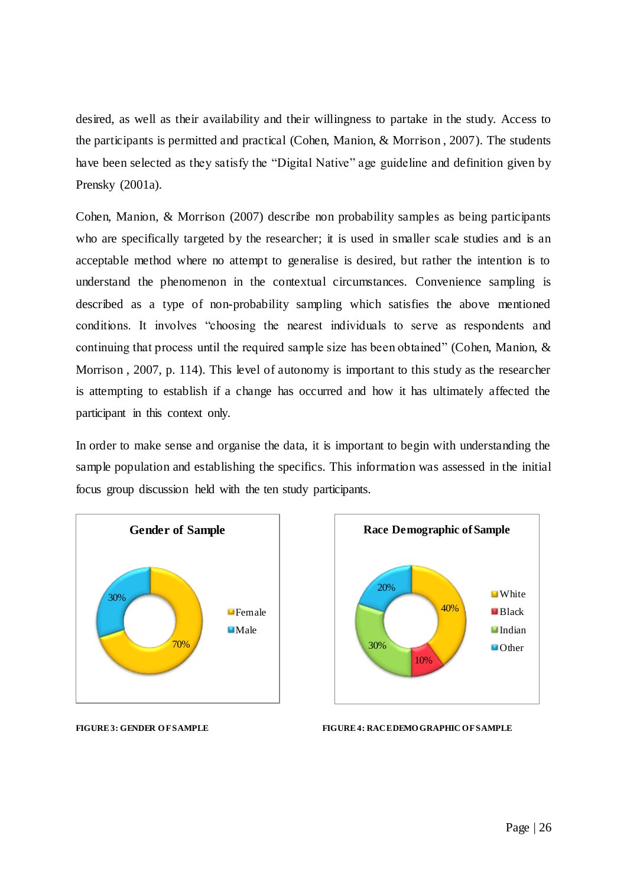desired, as well as their availability and their willingness to partake in the study. Access to the participants is permitted and practical (Cohen, Manion, & Morrison , 2007). The students have been selected as they satisfy the "Digital Native" age guideline and definition given by Prensky (2001a).

Cohen, Manion, & Morrison (2007) describe non probability samples as being participants who are specifically targeted by the researcher; it is used in smaller scale studies and is an acceptable method where no attempt to generalise is desired, but rather the intention is to understand the phenomenon in the contextual circumstances. Convenience sampling is described as a type of non-probability sampling which satisfies the above mentioned conditions. It involves "choosing the nearest individuals to serve as respondents and continuing that process until the required sample size has been obtained" (Cohen, Manion, & Morrison, 2007, p. 114). This level of autonomy is important to this study as the researcher is attempting to establish if a change has occurred and how it has ultimately affected the participant in this context only.

In order to make sense and organise the data, it is important to begin with understanding the sample population and establishing the specifics. This information was assessed in the initial focus group discussion held with the ten study participants.





<span id="page-33-0"></span>

**FIGURE 3: GENDER OF SAMPLE FIGURE 4: RACEDEMO GRAPHIC OF SAMPLE**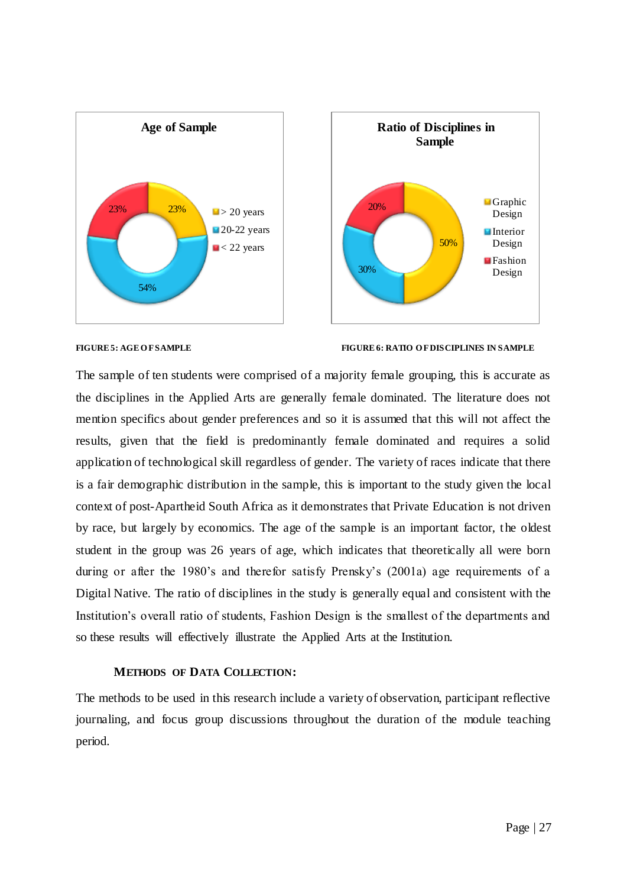



#### <span id="page-34-1"></span>**FIGURE 5: AGE O F SAMPLE FIGURE 6: RATIO O F DISCIPLINES IN SAMPLE**

The sample of ten students were comprised of a majority female grouping, this is accurate as the disciplines in the Applied Arts are generally female dominated. The literature does not mention specifics about gender preferences and so it is assumed that this will not affect the results, given that the field is predominantly female dominated and requires a solid application of technological skill regardless of gender. The variety of races indicate that there is a fair demographic distribution in the sample, this is important to the study given the local context of post-Apartheid South Africa as it demonstrates that Private Education is not driven by race, but largely by economics. The age of the sample is an important factor, the oldest student in the group was 26 years of age, which indicates that theoretically all were born during or after the 1980's and therefor satisfy Prensky's (2001a) age requirements of a Digital Native. The ratio of disciplines in the study is generally equal and consistent with the Institution"s overall ratio of students, Fashion Design is the smallest of the departments and so these results will effectively illustrate the Applied Arts at the Institution.

#### **METHODS OF DATA COLLECTION:**

<span id="page-34-0"></span>The methods to be used in this research include a variety of observation, participant reflective journaling, and focus group discussions throughout the duration of the module teaching period.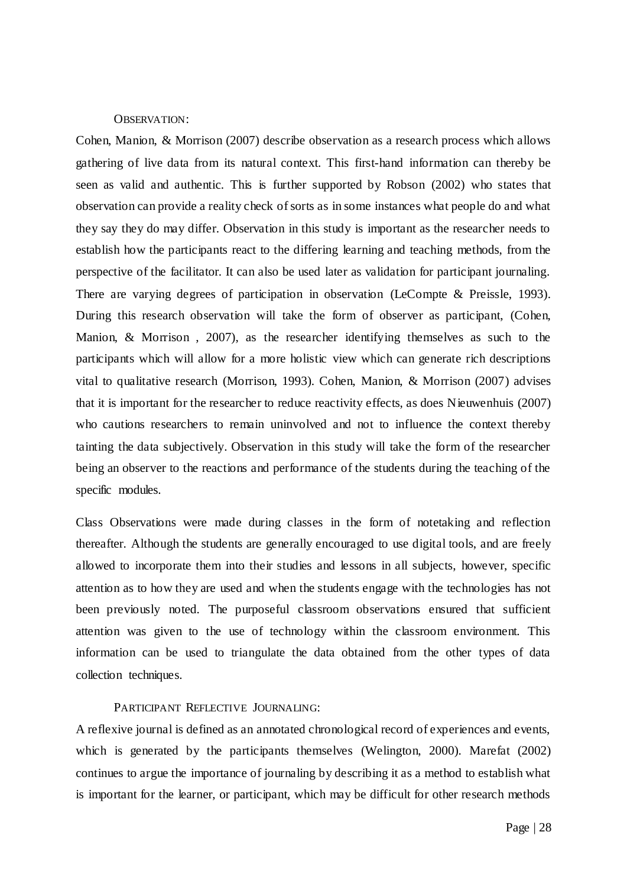#### OBSERVATION:

<span id="page-35-0"></span>Cohen, Manion, & Morrison (2007) describe observation as a research process which allows gathering of live data from its natural context. This first-hand information can thereby be seen as valid and authentic. This is further supported by Robson (2002) who states that observation can provide a reality check of sorts as in some instances what people do and what they say they do may differ. Observation in this study is important as the researcher needs to establish how the participants react to the differing learning and teaching methods, from the perspective of the facilitator. It can also be used later as validation for participant journaling. There are varying degrees of participation in observation (LeCompte & Preissle, 1993). During this research observation will take the form of observer as participant, (Cohen, Manion, & Morrison , 2007), as the researcher identifying themselves as such to the participants which will allow for a more holistic view which can generate rich descriptions vital to qualitative research (Morrison, 1993). Cohen, Manion, & Morrison (2007) advises that it is important for the researcher to reduce reactivity effects, as does Nieuwenhuis (2007) who cautions researchers to remain uninvolved and not to influence the context thereby tainting the data subjectively. Observation in this study will take the form of the researcher being an observer to the reactions and performance of the students during the teaching of the specific modules.

Class Observations were made during classes in the form of notetaking and reflection thereafter. Although the students are generally encouraged to use digital tools, and are freely allowed to incorporate them into their studies and lessons in all subjects, however, specific attention as to how they are used and when the students engage with the technologies has not been previously noted. The purposeful classroom observations ensured that sufficient attention was given to the use of technology within the classroom environment. This information can be used to triangulate the data obtained from the other types of data collection techniques.

#### PARTICIPANT REFLECTIVE JOURNALING:

<span id="page-35-1"></span>A reflexive journal is defined as an annotated chronological record of experiences and events, which is generated by the participants themselves (Welington, 2000). Marefat (2002) continues to argue the importance of journaling by describing it as a method to establish what is important for the learner, or participant, which may be difficult for other research methods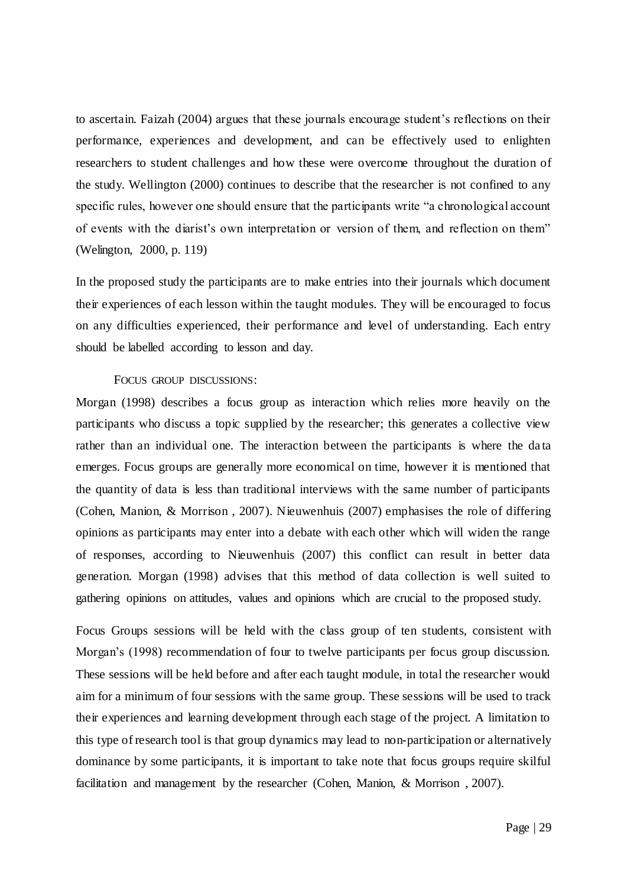to ascertain. Faizah (2004) argues that these journals encourage student's reflections on their performance, experiences and development, and can be effectively used to enlighten researchers to student challenges and how these were overcome throughout the duration of the study. Wellington (2000) continues to describe that the researcher is not confined to any specific rules, however one should ensure that the participants write "a chronological account of events with the diarist's own interpretation or version of them, and reflection on them" (Welington, 2000, p. 119)

In the proposed study the participants are to make entries into their journals which document their experiences of each lesson within the taught modules. They will be encouraged to focus on any difficulties experienced, their performance and level of understanding. Each entry should be labelled according to lesson and day.

### FOCUS GROUP DISCUSSIONS:

Morgan (1998) describes a focus group as interaction which relies more heavily on the participants who discuss a topic supplied by the researcher; this generates a collective view rather than an individual one. The interaction between the participants is where the da ta emerges. Focus groups are generally more economical on time, however it is mentioned that the quantity of data is less than traditional interviews with the same number of participants (Cohen, Manion, & Morrison , 2007). Nieuwenhuis (2007) emphasises the role of differing opinions as participants may enter into a debate with each other which will widen the range of responses, according to Nieuwenhuis (2007) this conflict can result in better data generation. Morgan (1998) advises that this method of data collection is well suited to gathering opinions on attitudes, values and opinions which are crucial to the proposed study.

Focus Groups sessions will be held with the class group of ten students, consistent with Morgan's (1998) recommendation of four to twelve participants per focus group discussion. These sessions will be held before and after each taught module, in total the researcher would aim for a minimum of four sessions with the same group. These sessions will be used to track their experiences and learning development through each stage of the project. A limitation to this type of research tool is that group dynamics may lead to non-participation or alternatively dominance by some participants, it is important to take note that focus groups require skilful facilitation and management by the researcher (Cohen, Manion, & Morrison , 2007).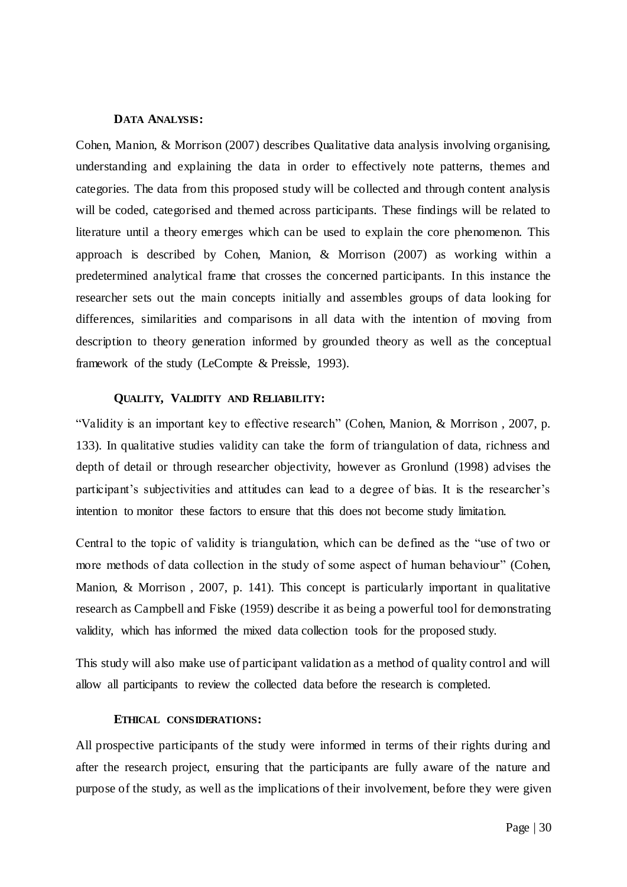### **DATA ANALYSIS:**

Cohen, Manion, & Morrison (2007) describes Qualitative data analysis involving organising, understanding and explaining the data in order to effectively note patterns, themes and categories. The data from this proposed study will be collected and through content analysis will be coded, categorised and themed across participants. These findings will be related to literature until a theory emerges which can be used to explain the core phenomenon. This approach is described by Cohen, Manion, & Morrison (2007) as working within a predetermined analytical frame that crosses the concerned participants. In this instance the researcher sets out the main concepts initially and assembles groups of data looking for differences, similarities and comparisons in all data with the intention of moving from description to theory generation informed by grounded theory as well as the conceptual framework of the study (LeCompte & Preissle, 1993).

### **QUALITY, VALIDITY AND RELIABILITY:**

"Validity is an important key to effective research" (Cohen, Manion, & Morrison , 2007, p. 133). In qualitative studies validity can take the form of triangulation of data, richness and depth of detail or through researcher objectivity, however as Gronlund (1998) advises the participant's subjectivities and attitudes can lead to a degree of bias. It is the researcher's intention to monitor these factors to ensure that this does not become study limitation.

Central to the topic of validity is triangulation, which can be defined as the "use of two or more methods of data collection in the study of some aspect of human behaviour" (Cohen, Manion, & Morrison , 2007, p. 141). This concept is particularly important in qualitative research as Campbell and Fiske (1959) describe it as being a powerful tool for demonstrating validity, which has informed the mixed data collection tools for the proposed study.

This study will also make use of participant validation as a method of quality control and will allow all participants to review the collected data before the research is completed.

### **ETHICAL CONSIDERATIONS:**

All prospective participants of the study were informed in terms of their rights during and after the research project, ensuring that the participants are fully aware of the nature and purpose of the study, as well as the implications of their involvement, before they were given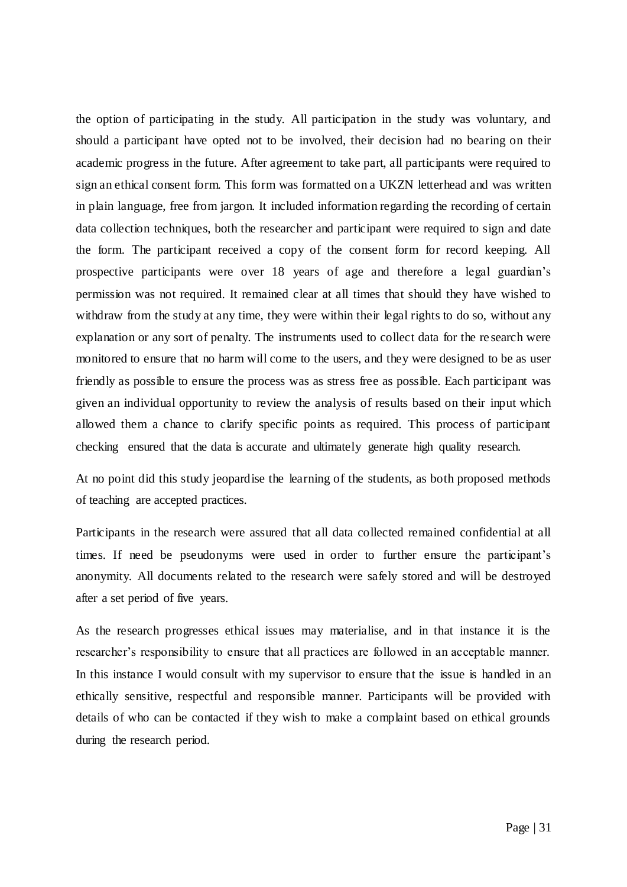the option of participating in the study. All participation in the study was voluntary, and should a participant have opted not to be involved, their decision had no bearing on their academic progress in the future. After agreement to take part, all participants were required to sign an ethical consent form. This form was formatted on a UKZN letterhead and was written in plain language, free from jargon. It included information regarding the recording of certain data collection techniques, both the researcher and participant were required to sign and date the form. The participant received a copy of the consent form for record keeping. All prospective participants were over 18 years of age and therefore a legal guardian"s permission was not required. It remained clear at all times that should they have wished to withdraw from the study at any time, they were within their legal rights to do so, without any explanation or any sort of penalty. The instruments used to collect data for the re search were monitored to ensure that no harm will come to the users, and they were designed to be as user friendly as possible to ensure the process was as stress free as possible. Each participant was given an individual opportunity to review the analysis of results based on their input which allowed them a chance to clarify specific points as required. This process of participant checking ensured that the data is accurate and ultimately generate high quality research.

At no point did this study jeopardise the learning of the students, as both proposed methods of teaching are accepted practices.

Participants in the research were assured that all data collected remained confidential at all times. If need be pseudonyms were used in order to further ensure the participant"s anonymity. All documents related to the research were safely stored and will be destroyed after a set period of five years.

As the research progresses ethical issues may materialise, and in that instance it is the researcher's responsibility to ensure that all practices are followed in an acceptable manner. In this instance I would consult with my supervisor to ensure that the issue is handled in an ethically sensitive, respectful and responsible manner. Participants will be provided with details of who can be contacted if they wish to make a complaint based on ethical grounds during the research period.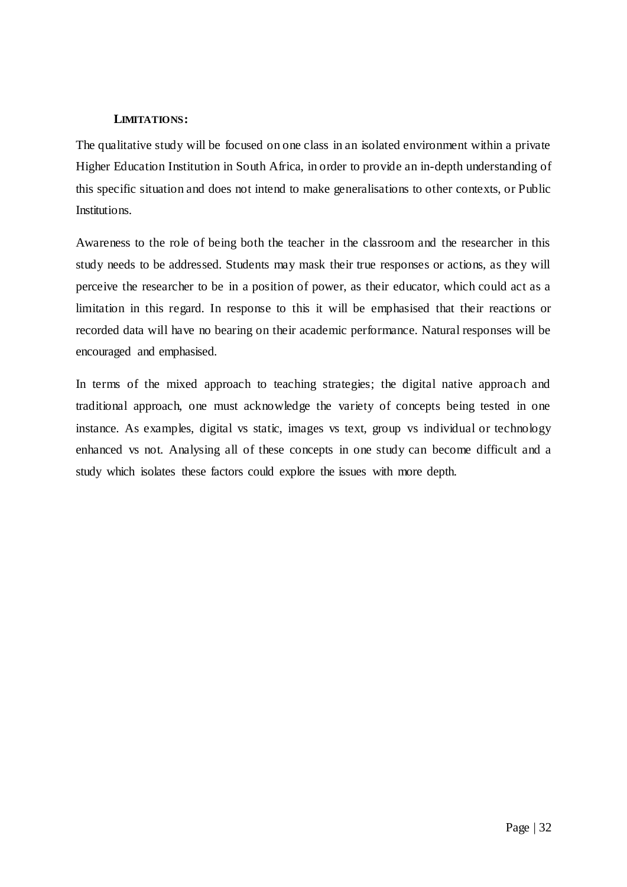### **LIMITATIONS:**

The qualitative study will be focused on one class in an isolated environment within a private Higher Education Institution in South Africa, in order to provide an in-depth understanding of this specific situation and does not intend to make generalisations to other contexts, or Public Institutions.

Awareness to the role of being both the teacher in the classroom and the researcher in this study needs to be addressed. Students may mask their true responses or actions, as they will perceive the researcher to be in a position of power, as their educator, which could act as a limitation in this regard. In response to this it will be emphasised that their reactions or recorded data will have no bearing on their academic performance. Natural responses will be encouraged and emphasised.

In terms of the mixed approach to teaching strategies; the digital native approach and traditional approach, one must acknowledge the variety of concepts being tested in one instance. As examples, digital vs static, images vs text, group vs individual or technology enhanced vs not. Analysing all of these concepts in one study can become difficult and a study which isolates these factors could explore the issues with more depth.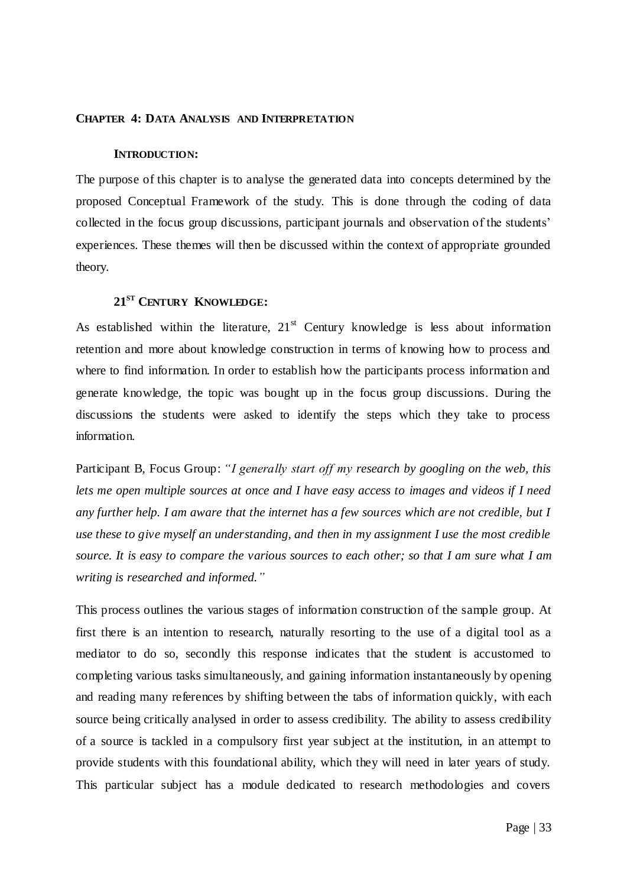### **CHAPTER 4: DATA ANALYSIS AND INTERPRETATION**

#### **INTRODUCTION:**

The purpose of this chapter is to analyse the generated data into concepts determined by the proposed Conceptual Framework of the study. This is done through the coding of data collected in the focus group discussions, participant journals and observation of the students" experiences. These themes will then be discussed within the context of appropriate grounded theory.

## **21ST CENTURY KNOWLEDGE:**

As established within the literature,  $21<sup>st</sup>$  Century knowledge is less about information retention and more about knowledge construction in terms of knowing how to process and where to find information. In order to establish how the participants process information and generate knowledge, the topic was bought up in the focus group discussions. During the discussions the students were asked to identify the steps which they take to process information.

Participant B, Focus Group: *"I generally start off my research by googling on the web, this lets me open multiple sources at once and I have easy access to images and videos if I need any further help. I am aware that the internet has a few sources which are not credible, but I use these to give myself an understanding, and then in my assignment I use the most credible source. It is easy to compare the various sources to each other; so that I am sure what I am writing is researched and informed."*

This process outlines the various stages of information construction of the sample group. At first there is an intention to research, naturally resorting to the use of a digital tool as a mediator to do so, secondly this response indicates that the student is accustomed to completing various tasks simultaneously, and gaining information instantaneously by opening and reading many references by shifting between the tabs of information quickly, with each source being critically analysed in order to assess credibility. The ability to assess credibility of a source is tackled in a compulsory first year subject at the institution, in an attempt to provide students with this foundational ability, which they will need in later years of study. This particular subject has a module dedicated to research methodologies and covers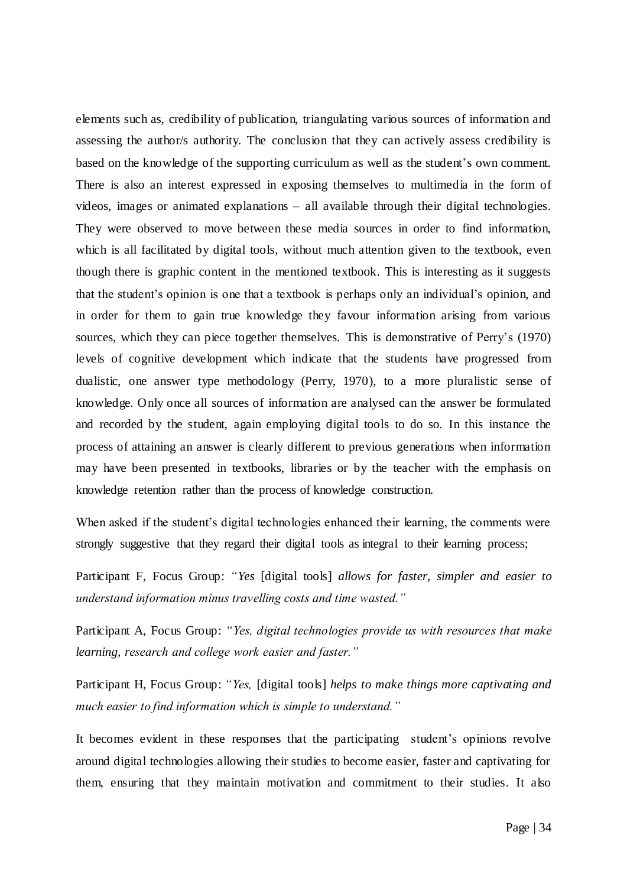elements such as, credibility of publication, triangulating various sources of information and assessing the author/s authority. The conclusion that they can actively assess credibility is based on the knowledge of the supporting curriculum as well as the student's own comment. There is also an interest expressed in exposing themselves to multimedia in the form of videos, images or animated explanations – all available through their digital technologies. They were observed to move between these media sources in order to find information, which is all facilitated by digital tools, without much attention given to the textbook, even though there is graphic content in the mentioned textbook. This is interesting as it suggests that the student"s opinion is one that a textbook is perhaps only an individual"s opinion, and in order for them to gain true knowledge they favour information arising from various sources, which they can piece together themselves. This is demonstrative of Perry's (1970) levels of cognitive development which indicate that the students have progressed from dualistic, one answer type methodology (Perry, 1970), to a more pluralistic sense of knowledge. Only once all sources of information are analysed can the answer be formulated and recorded by the student, again employing digital tools to do so. In this instance the process of attaining an answer is clearly different to previous generations when information may have been presented in textbooks, libraries or by the teacher with the emphasis on knowledge retention rather than the process of knowledge construction.

When asked if the student's digital technologies enhanced their learning, the comments were strongly suggestive that they regard their digital tools as integral to their learning process;

Participant F, Focus Group: *"Yes* [digital tools] *allows for faster, simpler and easier to understand information minus travelling costs and time wasted."*

Participant A, Focus Group: *"Yes, digital technologies provide us with resources that make learning, research and college work easier and faster."* 

Participant H, Focus Group: *"Yes,* [digital tools] *helps to make things more captivating and much easier to find information which is simple to understand."*

It becomes evident in these responses that the participating student's opinions revolve around digital technologies allowing their studies to become easier, faster and captivating for them, ensuring that they maintain motivation and commitment to their studies. It also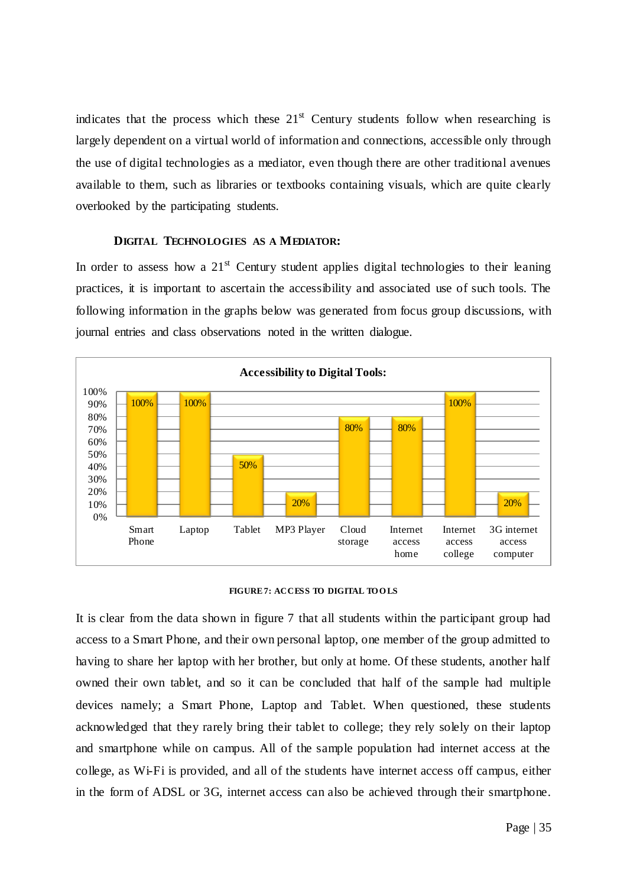indicates that the process which these  $21<sup>st</sup>$  Century students follow when researching is largely dependent on a virtual world of information and connections, accessible only through the use of digital technologies as a mediator, even though there are other traditional avenues available to them, such as libraries or textbooks containing visuals, which are quite clearly overlooked by the participating students.

#### **DIGITAL TECHNOLOGIES AS A MEDIATOR:**

In order to assess how a  $21<sup>st</sup>$  Century student applies digital technologies to their leaning practices, it is important to ascertain the accessibility and associated use of such tools. The following information in the graphs below was generated from focus group discussions, with journal entries and class observations noted in the written dialogue.



#### **FIGURE 7: ACCESS TO DIGITAL TOOLS**

It is clear from the data shown in figure 7 that all students within the participant group had access to a Smart Phone, and their own personal laptop, one member of the group admitted to having to share her laptop with her brother, but only at home. Of these students, another half owned their own tablet, and so it can be concluded that half of the sample had multiple devices namely; a Smart Phone, Laptop and Tablet. When questioned, these students acknowledged that they rarely bring their tablet to college; they rely solely on their laptop and smartphone while on campus. All of the sample population had internet access at the college, as Wi-Fi is provided, and all of the students have internet access off campus, either in the form of ADSL or 3G, internet access can also be achieved through their smartphone.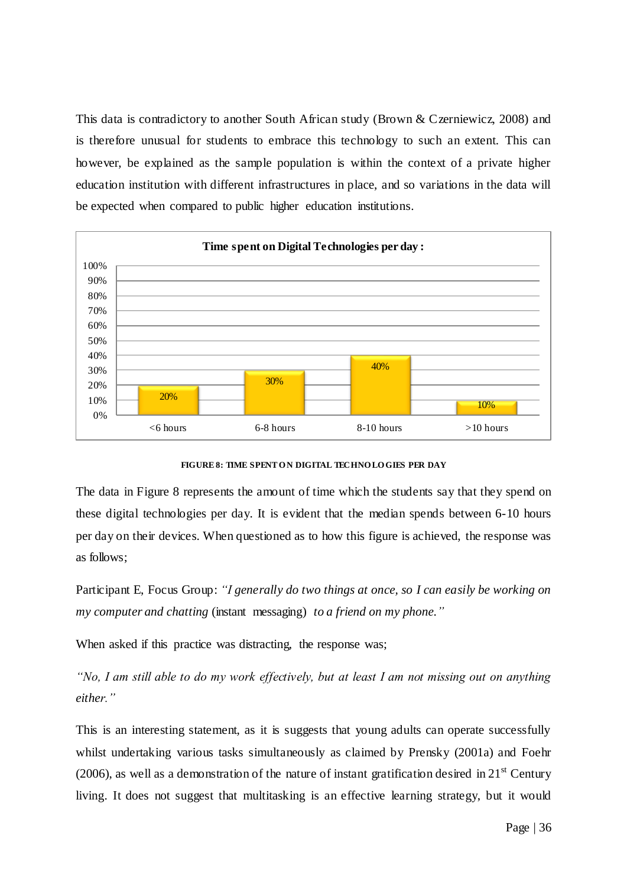This data is contradictory to another South African study (Brown & Czerniewicz, 2008) and is therefore unusual for students to embrace this technology to such an extent. This can however, be explained as the sample population is within the context of a private higher education institution with different infrastructures in place, and so variations in the data will be expected when compared to public higher education institutions.



**FIGURE 8: TIME SPENT O N DIGITAL TECHNO LO GIES PER DAY**

The data in Figure 8 represents the amount of time which the students say that they spend on these digital technologies per day. It is evident that the median spends between 6-10 hours per day on their devices. When questioned as to how this figure is achieved, the response was as follows;

Participant E, Focus Group: *"I generally do two things at once, so I can easily be working on my computer and chatting* (instant messaging) *to a friend on my phone."*

When asked if this practice was distracting, the response was;

*"No, I am still able to do my work effectively, but at least I am not missing out on anything either."*

This is an interesting statement, as it is suggests that young adults can operate successfully whilst undertaking various tasks simultaneously as claimed by Prensky (2001a) and Foehr (2006), as well as a demonstration of the nature of instant gratification desired in  $21<sup>st</sup>$  Century living. It does not suggest that multitasking is an effective learning strategy, but it would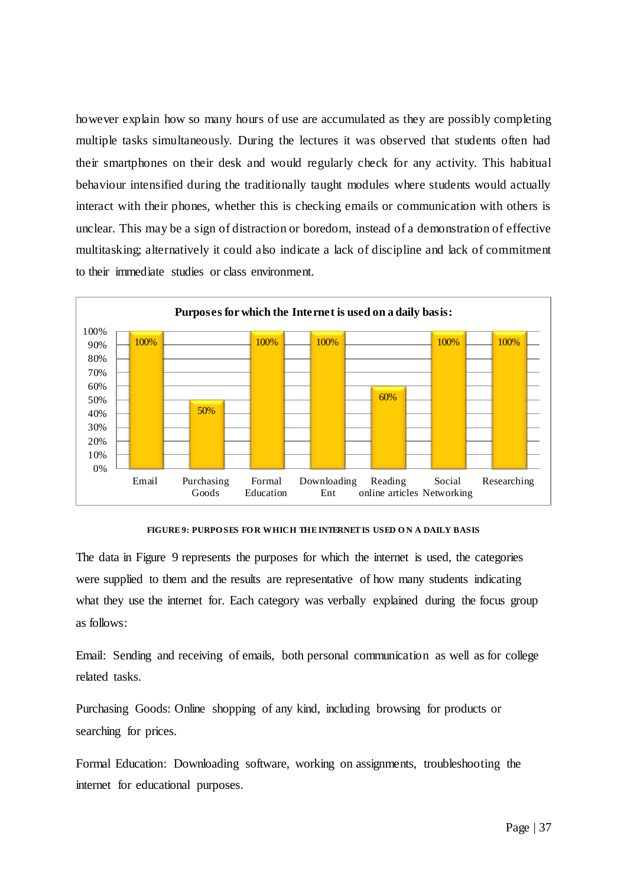however explain how so many hours of use are accumulated as they are possibly completing multiple tasks simultaneously. During the lectures it was observed that students often had their smartphones on their desk and would regularly check for any activity. This habitual behaviour intensified during the traditionally taught modules where students would actually interact with their phones, whether this is checking emails or communication with others is unclear. This may be a sign of distraction or boredom, instead of a demonstration of effective multitasking; alternatively it could also indicate a lack of discipline and lack of commitment to their immediate studies or class environment.



**FIGURE 9: PURPO SES FO R WHICH THE INTERNET IS USED O N A DAILY BASIS**

The data in Figure 9 represents the purposes for which the internet is used, the categories were supplied to them and the results are representative of how many students indicating what they use the internet for. Each category was verbally explained during the focus group as follows:

Email: Sending and receiving of emails, both personal communication as well as for college related tasks.

Purchasing Goods: Online shopping of any kind, including browsing for products or searching for prices.

Formal Education: Downloading software, working on assignments, troubleshooting the internet for educational purposes.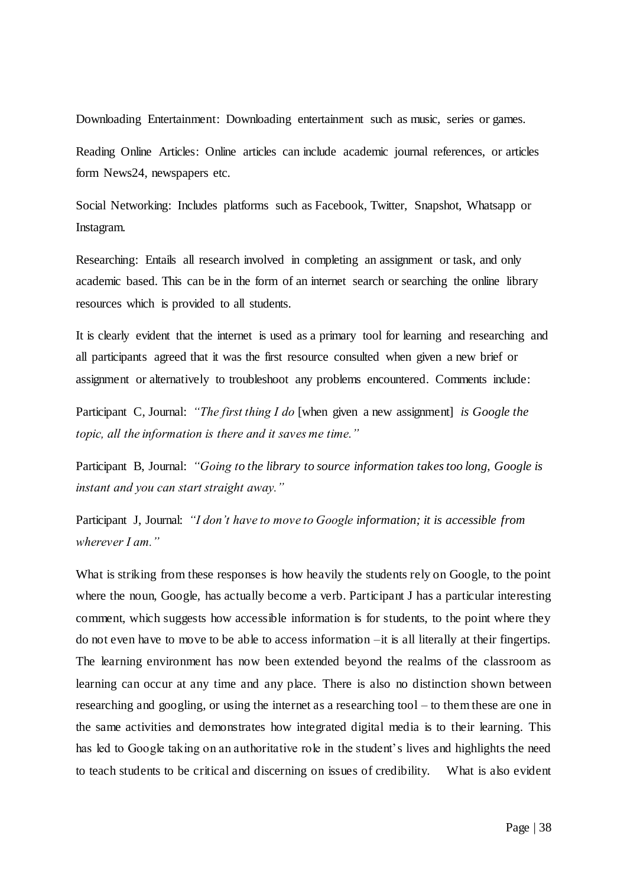Downloading Entertainment: Downloading entertainment such as music, series or games.

Reading Online Articles: Online articles can include academic journal references, or articles form News24, newspapers etc.

Social Networking: Includes platforms such as Facebook, Twitter, Snapshot, Whatsapp or Instagram.

Researching: Entails all research involved in completing an assignment or task, and only academic based. This can be in the form of an internet search or searching the online library resources which is provided to all students.

It is clearly evident that the internet is used as a primary tool for learning and researching and all participants agreed that it was the first resource consulted when given a new brief or assignment or alternatively to troubleshoot any problems encountered. Comments include:

Participant C, Journal: *"The first thing I do* [when given a new assignment] *is Google the topic, all the information is there and it saves me time."*

Participant B, Journal: *"Going to the library to source information takes too long, Google is instant and you can start straight away."* 

Participant J, Journal: *"I don"t have to move to Google information; it is accessible from wherever I am."* 

What is striking from these responses is how heavily the students rely on Google, to the point where the noun, Google, has actually become a verb. Participant J has a particular interesting comment, which suggests how accessible information is for students, to the point where they do not even have to move to be able to access information –it is all literally at their fingertips. The learning environment has now been extended beyond the realms of the classroom as learning can occur at any time and any place. There is also no distinction shown between researching and googling, or using the internet as a researching tool – to them these are one in the same activities and demonstrates how integrated digital media is to their learning. This has led to Google taking on an authoritative role in the student's lives and highlights the need to teach students to be critical and discerning on issues of credibility. What is also evident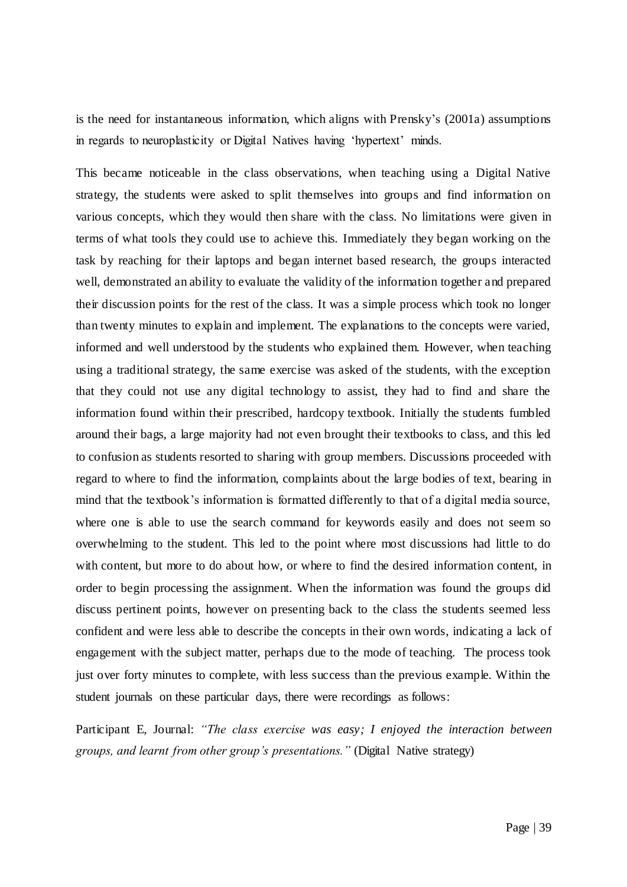is the need for instantaneous information, which aligns with Prensky"s (2001a) assumptions in regards to neuroplasticity or Digital Natives having 'hypertext' minds.

This became noticeable in the class observations, when teaching using a Digital Native strategy, the students were asked to split themselves into groups and find information on various concepts, which they would then share with the class. No limitations were given in terms of what tools they could use to achieve this. Immediately they began working on the task by reaching for their laptops and began internet based research, the groups interacted well, demonstrated an ability to evaluate the validity of the information together and prepared their discussion points for the rest of the class. It was a simple process which took no longer than twenty minutes to explain and implement. The explanations to the concepts were varied, informed and well understood by the students who explained them. However, when teaching using a traditional strategy, the same exercise was asked of the students, with the exception that they could not use any digital technology to assist, they had to find and share the information found within their prescribed, hardcopy textbook. Initially the students fumbled around their bags, a large majority had not even brought their textbooks to class, and this led to confusion as students resorted to sharing with group members. Discussions proceeded with regard to where to find the information, complaints about the large bodies of text, bearing in mind that the textbook"s information is formatted differently to that of a digital media source, where one is able to use the search command for keywords easily and does not seem so overwhelming to the student. This led to the point where most discussions had little to do with content, but more to do about how, or where to find the desired information content, in order to begin processing the assignment. When the information was found the groups did discuss pertinent points, however on presenting back to the class the students seemed less confident and were less able to describe the concepts in their own words, indicating a lack of engagement with the subject matter, perhaps due to the mode of teaching. The process took just over forty minutes to complete, with less success than the previous example. Within the student journals on these particular days, there were recordings as follows:

Participant E, Journal: *"The class exercise was easy; I enjoyed the interaction between groups, and learnt from other group"s presentations."* (Digital Native strategy)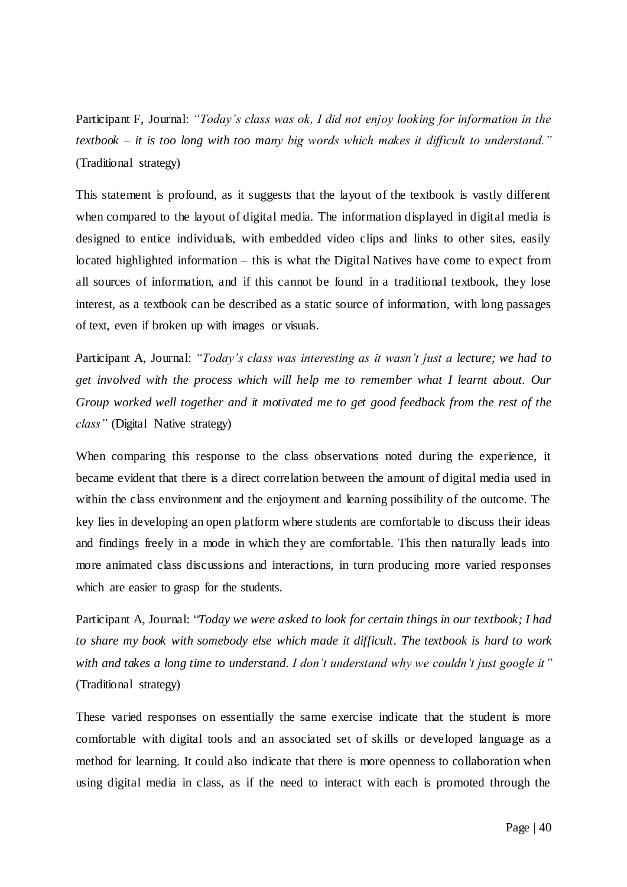Participant F, Journal: *"Today"s class was ok, I did not enjoy looking for information in the textbook – it is too long with too many big words which makes it difficult to understand."*  (Traditional strategy)

This statement is profound, as it suggests that the layout of the textbook is vastly different when compared to the layout of digital media. The information displayed in digital media is designed to entice individuals, with embedded video clips and links to other sites, easily located highlighted information – this is what the Digital Natives have come to expect from all sources of information, and if this cannot be found in a traditional textbook, they lose interest, as a textbook can be described as a static source of information, with long passages of text, even if broken up with images or visuals.

Participant A, Journal: *"Today"s class was interesting as it wasn"t just a lecture; we had to get involved with the process which will help me to remember what I learnt about. Our Group worked well together and it motivated me to get good feedback from the rest of the class"* (Digital Native strategy)

When comparing this response to the class observations noted during the experience, it became evident that there is a direct correlation between the amount of digital media used in within the class environment and the enjoyment and learning possibility of the outcome. The key lies in developing an open platform where students are comfortable to discuss their ideas and findings freely in a mode in which they are comfortable. This then naturally leads into more animated class discussions and interactions, in turn producing more varied responses which are easier to grasp for the students.

Participant A, Journal: "*Today we were asked to look for certain things in our textbook; I had to share my book with somebody else which made it difficult. The textbook is hard to work with and takes a long time to understand. I don"t understand why we couldn"t just google it"* (Traditional strategy)

These varied responses on essentially the same exercise indicate that the student is more comfortable with digital tools and an associated set of skills or developed language as a method for learning. It could also indicate that there is more openness to collaboration when using digital media in class, as if the need to interact with each is promoted through the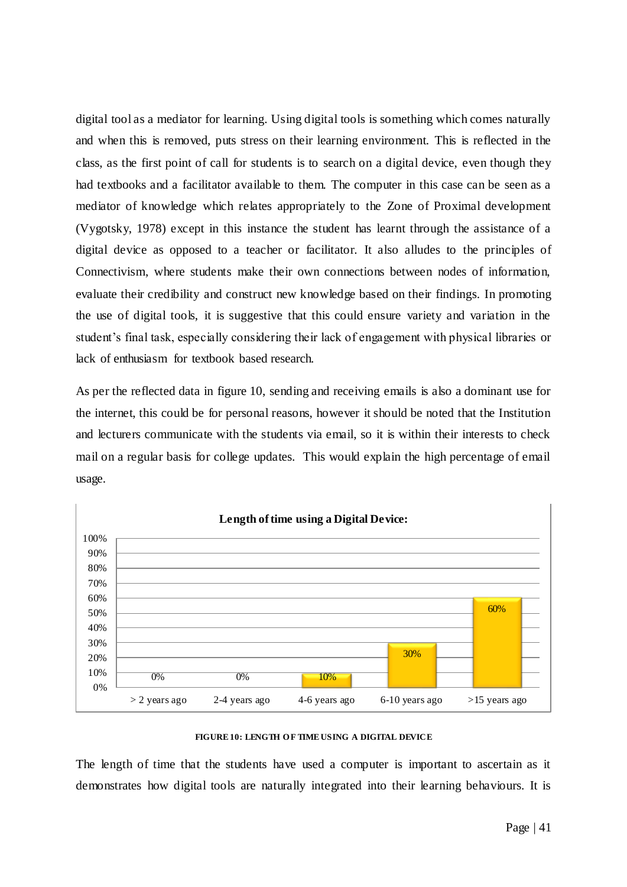digital tool as a mediator for learning. Using digital tools is something which comes naturally and when this is removed, puts stress on their learning environment. This is reflected in the class, as the first point of call for students is to search on a digital device, even though they had textbooks and a facilitator available to them. The computer in this case can be seen as a mediator of knowledge which relates appropriately to the Zone of Proximal development (Vygotsky, 1978) except in this instance the student has learnt through the assistance of a digital device as opposed to a teacher or facilitator. It also alludes to the principles of Connectivism, where students make their own connections between nodes of information, evaluate their credibility and construct new knowledge based on their findings. In promoting the use of digital tools, it is suggestive that this could ensure variety and variation in the student"s final task, especially considering their lack of engagement with physical libraries or lack of enthusiasm for textbook based research.

As per the reflected data in figure 10, sending and receiving emails is also a dominant use for the internet, this could be for personal reasons, however it should be noted that the Institution and lecturers communicate with the students via email, so it is within their interests to check mail on a regular basis for college updates. This would explain the high percentage of email usage.



### **FIGURE 10: LENGTH OF TIME USING A DIGITAL DEVICE**

The length of time that the students have used a computer is important to ascertain as it demonstrates how digital tools are naturally integrated into their learning behaviours. It is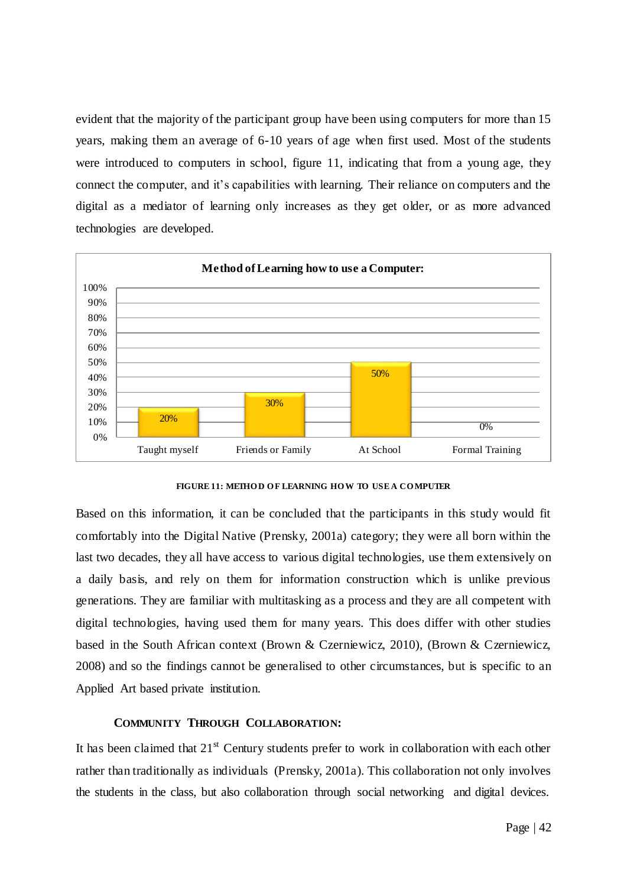evident that the majority of the participant group have been using computers for more than 15 years, making them an average of 6-10 years of age when first used. Most of the students were introduced to computers in school, figure 11, indicating that from a young age, they connect the computer, and it's capabilities with learning. Their reliance on computers and the digital as a mediator of learning only increases as they get older, or as more advanced technologies are developed.



**FIGURE 11: METHO D O F LEARNING HO W TO USE A CO MPUTER**

Based on this information, it can be concluded that the participants in this study would fit comfortably into the Digital Native (Prensky, 2001a) category; they were all born within the last two decades, they all have access to various digital technologies, use them extensively on a daily basis, and rely on them for information construction which is unlike previous generations. They are familiar with multitasking as a process and they are all competent with digital technologies, having used them for many years. This does differ with other studies based in the South African context (Brown & Czerniewicz, 2010), (Brown & Czerniewicz, 2008) and so the findings cannot be generalised to other circumstances, but is specific to an Applied Art based private institution.

## **COMMUNITY THROUGH COLLABORATION:**

It has been claimed that  $21<sup>st</sup>$  Century students prefer to work in collaboration with each other rather than traditionally as individuals (Prensky, 2001a). This collaboration not only involves the students in the class, but also collaboration through social networking and digital devices.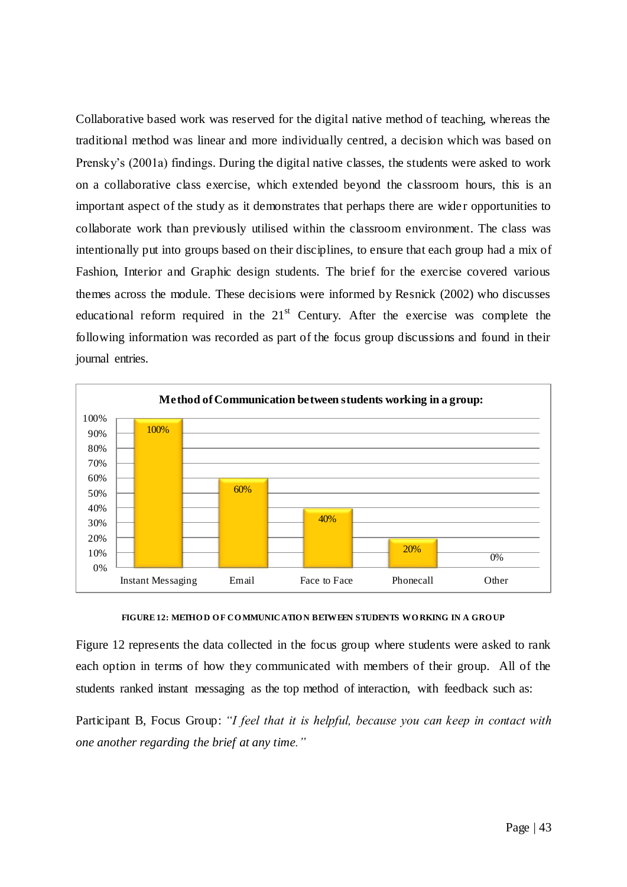Collaborative based work was reserved for the digital native method of teaching, whereas the traditional method was linear and more individually centred, a decision which was based on Prensky"s (2001a) findings. During the digital native classes, the students were asked to work on a collaborative class exercise, which extended beyond the classroom hours, this is an important aspect of the study as it demonstrates that perhaps there are wide r opportunities to collaborate work than previously utilised within the classroom environment. The class was intentionally put into groups based on their disciplines, to ensure that each group had a mix of Fashion, Interior and Graphic design students. The brief for the exercise covered various themes across the module. These decisions were informed by Resnick (2002) who discusses educational reform required in the  $21<sup>st</sup>$  Century. After the exercise was complete the following information was recorded as part of the focus group discussions and found in their journal entries.



FIGURE 12: METHOD OF COMMUNICATION BETWEEN STUDENTS WORKING IN A GROUP

Figure 12 represents the data collected in the focus group where students were asked to rank each option in terms of how they communicated with members of their group. All of the students ranked instant messaging as the top method of interaction, with feedback such as:

Participant B, Focus Group: *"I feel that it is helpful, because you can keep in contact with one another regarding the brief at any time."*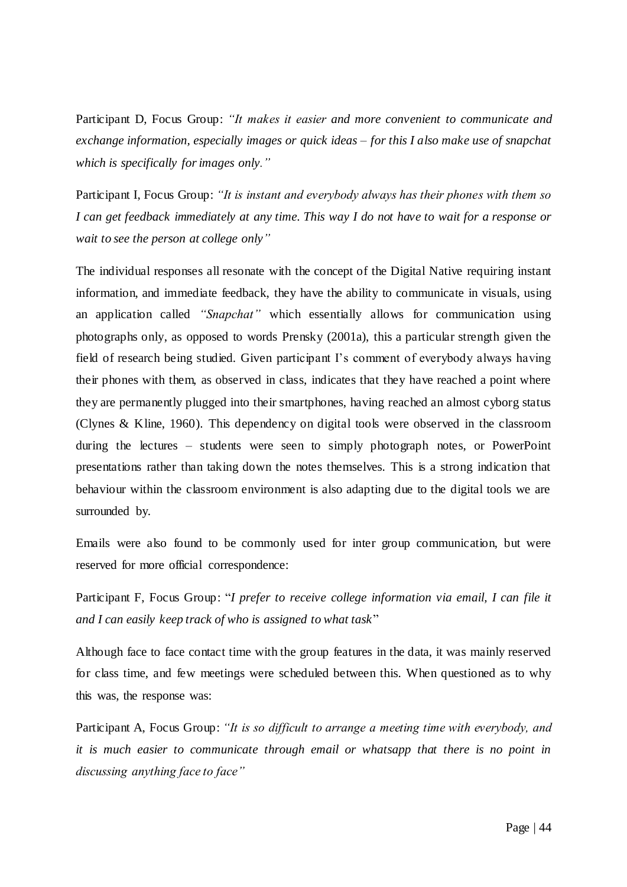Participant D, Focus Group: *"It makes it easier and more convenient to communicate and exchange information, especially images or quick ideas – for this I also make use of snapchat which is specifically for images only."*

Participant I, Focus Group: *"It is instant and everybody always has their phones with them so I can get feedback immediately at any time. This way I do not have to wait for a response or wait to see the person at college only"*

The individual responses all resonate with the concept of the Digital Native requiring instant information, and immediate feedback, they have the ability to communicate in visuals, using an application called *"Snapchat"* which essentially allows for communication using photographs only, as opposed to words Prensky (2001a), this a particular strength given the field of research being studied. Given participant I"s comment of everybody always having their phones with them, as observed in class, indicates that they have reached a point where they are permanently plugged into their smartphones, having reached an almost cyborg status (Clynes & Kline, 1960). This dependency on digital tools were observed in the classroom during the lectures – students were seen to simply photograph notes, or PowerPoint presentations rather than taking down the notes themselves. This is a strong indication that behaviour within the classroom environment is also adapting due to the digital tools we are surrounded by.

Emails were also found to be commonly used for inter group communication, but were reserved for more official correspondence:

Participant F, Focus Group: "*I prefer to receive college information via email, I can file it and I can easily keep track of who is assigned to what task*"

Although face to face contact time with the group features in the data, it was mainly reserved for class time, and few meetings were scheduled between this. When questioned as to why this was, the response was:

Participant A, Focus Group: *"It is so difficult to arrange a meeting time with everybody, and it is much easier to communicate through email or whatsapp that there is no point in discussing anything face to face"*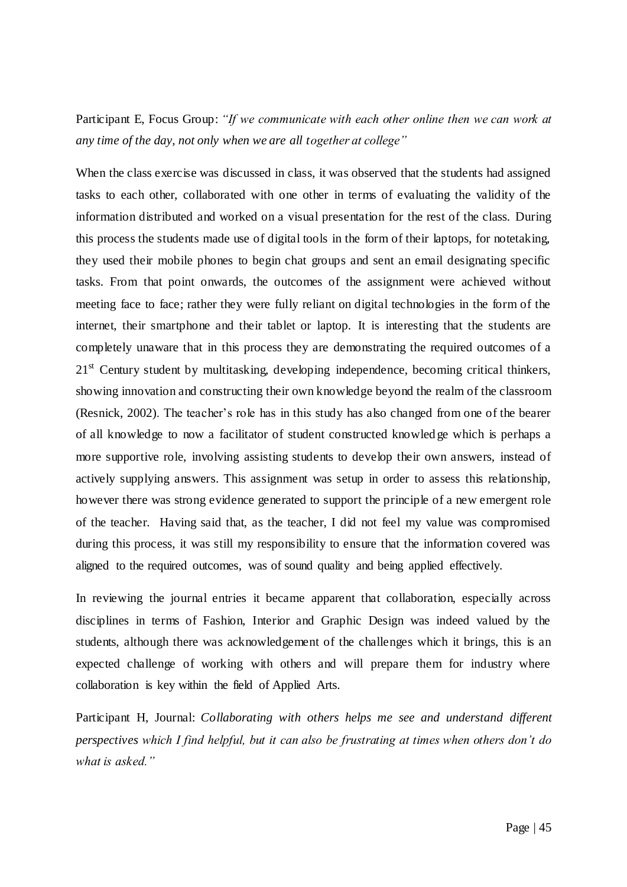# Participant E, Focus Group: *"If we communicate with each other online then we can work at any time of the day, not only when we are all together at college"*

When the class exercise was discussed in class, it was observed that the students had assigned tasks to each other, collaborated with one other in terms of evaluating the validity of the information distributed and worked on a visual presentation for the rest of the class. During this process the students made use of digital tools in the form of their laptops, for notetaking, they used their mobile phones to begin chat groups and sent an email designating specific tasks. From that point onwards, the outcomes of the assignment were achieved without meeting face to face; rather they were fully reliant on digital technologies in the form of the internet, their smartphone and their tablet or laptop. It is interesting that the students are completely unaware that in this process they are demonstrating the required outcomes of a 21<sup>st</sup> Century student by multitasking, developing independence, becoming critical thinkers, showing innovation and constructing their own knowledge beyond the realm of the classroom (Resnick, 2002). The teacher"s role has in this study has also changed from one of the bearer of all knowledge to now a facilitator of student constructed knowled ge which is perhaps a more supportive role, involving assisting students to develop their own answers, instead of actively supplying answers. This assignment was setup in order to assess this relationship, however there was strong evidence generated to support the principle of a new emergent role of the teacher. Having said that, as the teacher, I did not feel my value was compromised during this process, it was still my responsibility to ensure that the information covered was aligned to the required outcomes, was of sound quality and being applied effectively.

In reviewing the journal entries it became apparent that collaboration, especially across disciplines in terms of Fashion, Interior and Graphic Design was indeed valued by the students, although there was acknowledgement of the challenges which it brings, this is an expected challenge of working with others and will prepare them for industry where collaboration is key within the field of Applied Arts.

Participant H, Journal: *Collaborating with others helps me see and understand different perspectives which I find helpful, but it can also be frustrating at times when others don"t do what is asked."*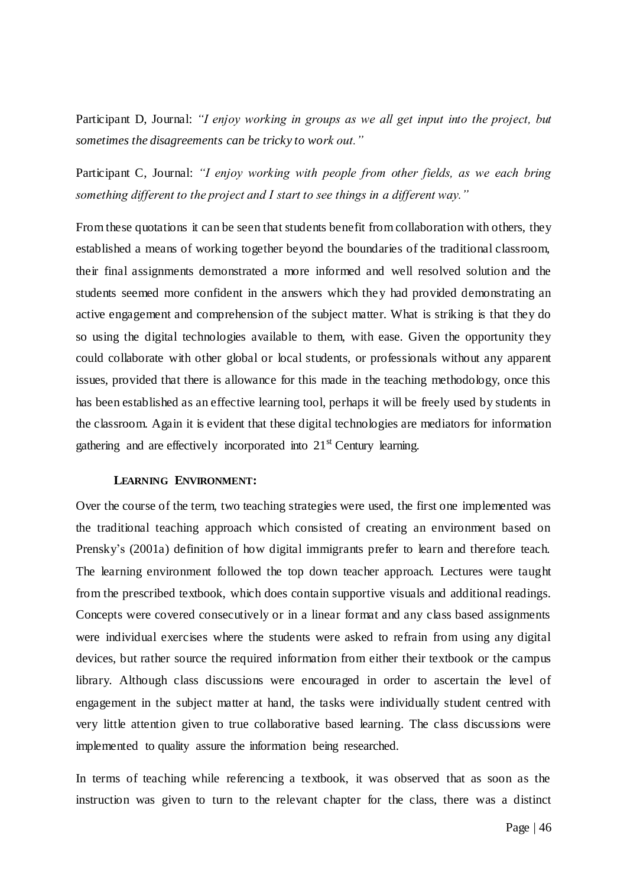Participant D, Journal: *"I enjoy working in groups as we all get input into the project, but sometimes the disagreements can be tricky to work out."*

Participant C, Journal: *"I enjoy working with people from other fields, as we each bring something different to the project and I start to see things in a different way."*

From these quotations it can be seen that students benefit from collaboration with others, they established a means of working together beyond the boundaries of the traditional classroom, their final assignments demonstrated a more informed and well resolved solution and the students seemed more confident in the answers which they had provided demonstrating an active engagement and comprehension of the subject matter. What is striking is that they do so using the digital technologies available to them, with ease. Given the opportunity they could collaborate with other global or local students, or professionals without any apparent issues, provided that there is allowance for this made in the teaching methodology, once this has been established as an effective learning tool, perhaps it will be freely used by students in the classroom. Again it is evident that these digital technologies are mediators for information gathering and are effectively incorporated into  $21<sup>st</sup>$  Century learning.

### **LEARNING ENVIRONMENT:**

Over the course of the term, two teaching strategies were used, the first one implemented was the traditional teaching approach which consisted of creating an environment based on Prensky"s (2001a) definition of how digital immigrants prefer to learn and therefore teach. The learning environment followed the top down teacher approach. Lectures were taught from the prescribed textbook, which does contain supportive visuals and additional readings. Concepts were covered consecutively or in a linear format and any class based assignments were individual exercises where the students were asked to refrain from using any digital devices, but rather source the required information from either their textbook or the campus library. Although class discussions were encouraged in order to ascertain the level of engagement in the subject matter at hand, the tasks were individually student centred with very little attention given to true collaborative based learning. The class discussions were implemented to quality assure the information being researched.

In terms of teaching while referencing a textbook, it was observed that as soon as the instruction was given to turn to the relevant chapter for the class, there was a distinct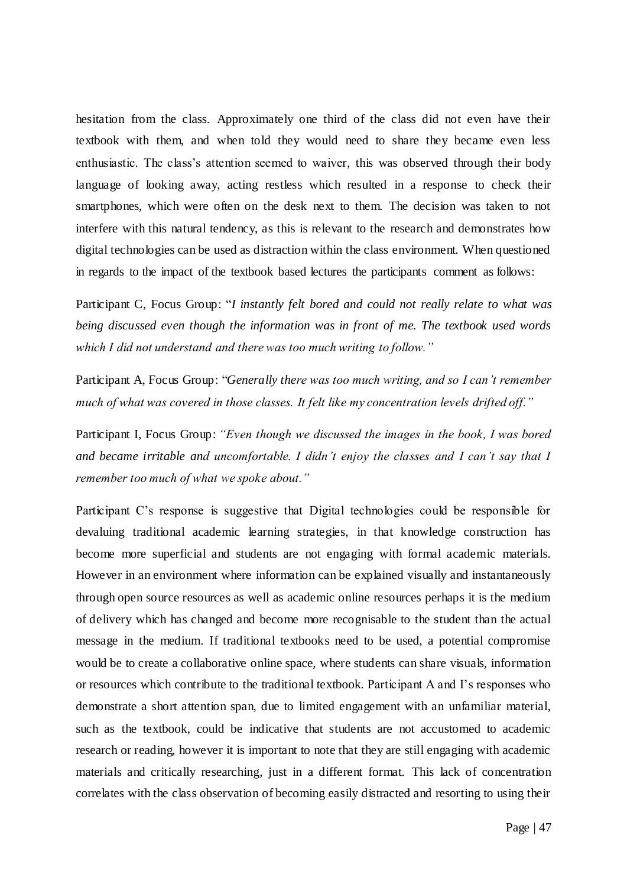hesitation from the class. Approximately one third of the class did not even have their textbook with them, and when told they would need to share they became even less enthusiastic. The class's attention seemed to waiver, this was observed through their body language of looking away, acting restless which resulted in a response to check their smartphones, which were often on the desk next to them. The decision was taken to not interfere with this natural tendency, as this is relevant to the research and demonstrates how digital technologies can be used as distraction within the class environment. When questioned in regards to the impact of the textbook based lectures the participants comment as follows:

Participant C, Focus Group: "*I instantly felt bored and could not really relate to what was being discussed even though the information was in front of me. The textbook used words which I did not understand and there was too much writing to follow."* 

Participant A, Focus Group: "*Generally there was too much writing, and so I can"t remember much of what was covered in those classes. It felt like my concentration levels drifted off."*

Participant I, Focus Group: *"Even though we discussed the images in the book, I was bored and became irritable and uncomfortable. I didn"t enjoy the classes and I can"t say that I remember too much of what we spoke about."*

Participant C"s response is suggestive that Digital technologies could be responsible for devaluing traditional academic learning strategies, in that knowledge construction has become more superficial and students are not engaging with formal academic materials. However in an environment where information can be explained visually and instantaneously through open source resources as well as academic online resources perhaps it is the medium of delivery which has changed and become more recognisable to the student than the actual message in the medium. If traditional textbooks need to be used, a potential compromise would be to create a collaborative online space, where students can share visuals, information or resources which contribute to the traditional textbook. Participant A and I"s responses who demonstrate a short attention span, due to limited engagement with an unfamiliar material, such as the textbook, could be indicative that students are not accustomed to academic research or reading, however it is important to note that they are still engaging with academic materials and critically researching, just in a different format. This lack of concentration correlates with the class observation of becoming easily distracted and resorting to using their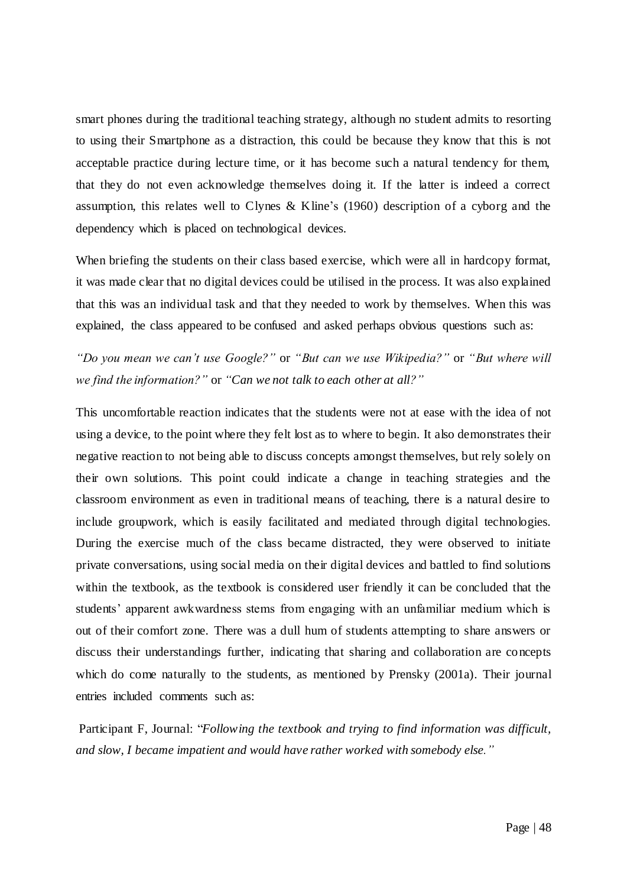smart phones during the traditional teaching strategy, although no student admits to resorting to using their Smartphone as a distraction, this could be because they know that this is not acceptable practice during lecture time, or it has become such a natural tendency for them, that they do not even acknowledge themselves doing it. If the latter is indeed a correct assumption, this relates well to Clynes & Kline's  $(1960)$  description of a cyborg and the dependency which is placed on technological devices.

When briefing the students on their class based exercise, which were all in hardcopy format, it was made clear that no digital devices could be utilised in the process. It was also explained that this was an individual task and that they needed to work by themselves. When this was explained, the class appeared to be confused and asked perhaps obvious questions such as:

*"Do you mean we can"t use Google?"* or *"But can we use Wikipedia?"* or *"But where will we find the information?"* or *"Can we not talk to each other at all?"*

This uncomfortable reaction indicates that the students were not at ease with the idea of not using a device, to the point where they felt lost as to where to begin. It also demonstrates their negative reaction to not being able to discuss concepts amongst themselves, but rely solely on their own solutions. This point could indicate a change in teaching strategies and the classroom environment as even in traditional means of teaching, there is a natural desire to include groupwork, which is easily facilitated and mediated through digital technologies. During the exercise much of the class became distracted, they were observed to initiate private conversations, using social media on their digital devices and battled to find solutions within the textbook, as the textbook is considered user friendly it can be concluded that the students' apparent awkwardness stems from engaging with an unfamiliar medium which is out of their comfort zone. There was a dull hum of students attempting to share answers or discuss their understandings further, indicating that sharing and collaboration are concepts which do come naturally to the students, as mentioned by Prensky (2001a). Their journal entries included comments such as:

Participant F, Journal: "*Following the textbook and trying to find information was difficult, and slow, I became impatient and would have rather worked with somebody else."*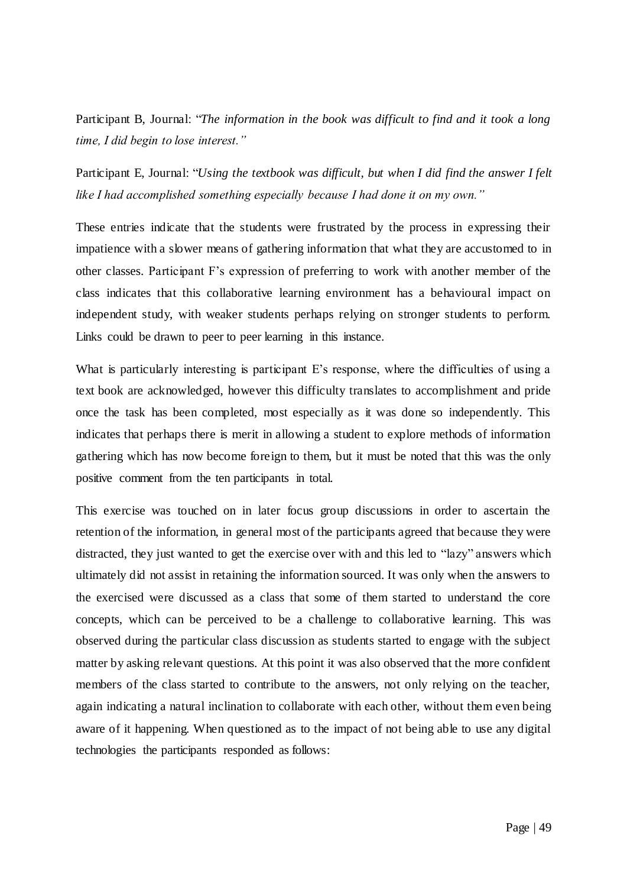Participant B, Journal: "*The information in the book was difficult to find and it took a long time, I did begin to lose interest."*

Participant E, Journal: "*Using the textbook was difficult, but when I did find the answer I felt like I had accomplished something especially because I had done it on my own."*

These entries indicate that the students were frustrated by the process in expressing their impatience with a slower means of gathering information that what they are accustomed to in other classes. Participant F"s expression of preferring to work with another member of the class indicates that this collaborative learning environment has a behavioural impact on independent study, with weaker students perhaps relying on stronger students to perform. Links could be drawn to peer to peer learning in this instance.

What is particularly interesting is participant E's response, where the difficulties of using a text book are acknowledged, however this difficulty translates to accomplishment and pride once the task has been completed, most especially as it was done so independently. This indicates that perhaps there is merit in allowing a student to explore methods of information gathering which has now become foreign to them, but it must be noted that this was the only positive comment from the ten participants in total.

This exercise was touched on in later focus group discussions in order to ascertain the retention of the information, in general most of the participants agreed that because they were distracted, they just wanted to get the exercise over with and this led to "lazy" answers which ultimately did not assist in retaining the information sourced. It was only when the answers to the exercised were discussed as a class that some of them started to understand the core concepts, which can be perceived to be a challenge to collaborative learning. This was observed during the particular class discussion as students started to engage with the subject matter by asking relevant questions. At this point it was also observed that the more confident members of the class started to contribute to the answers, not only relying on the teacher, again indicating a natural inclination to collaborate with each other, without them even being aware of it happening. When questioned as to the impact of not being able to use any digital technologies the participants responded as follows: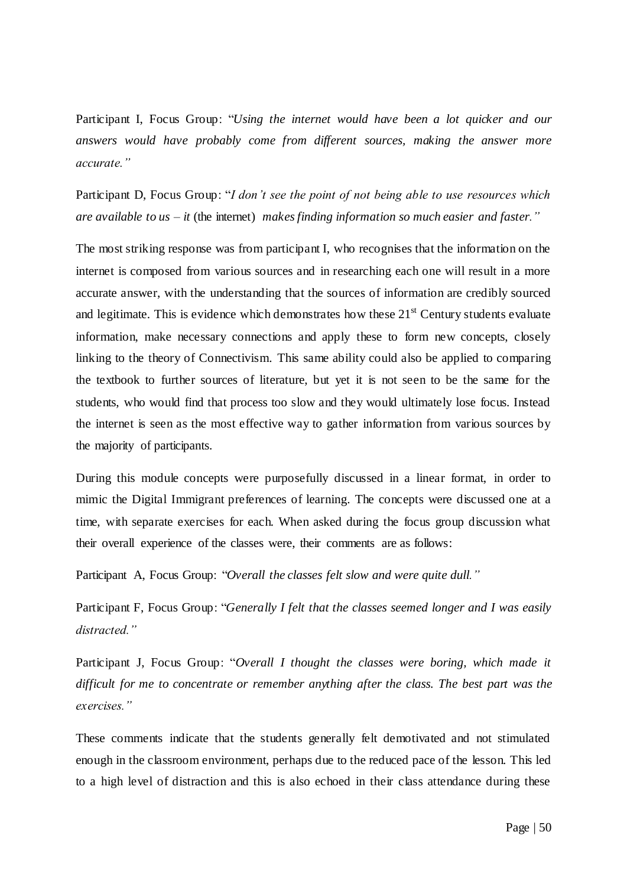Participant I, Focus Group: "*Using the internet would have been a lot quicker and our answers would have probably come from different sources, making the answer more accurate."*

Participant D, Focus Group: "*I don"t see the point of not being able to use resources which are available to us – it* (the internet) *makesfinding information so much easier and faster."*

The most striking response was from participant I, who recognises that the information on the internet is composed from various sources and in researching each one will result in a more accurate answer, with the understanding that the sources of information are credibly sourced and legitimate. This is evidence which demonstrates how these  $21<sup>st</sup>$  Century students evaluate information, make necessary connections and apply these to form new concepts, closely linking to the theory of Connectivism. This same ability could also be applied to comparing the textbook to further sources of literature, but yet it is not seen to be the same for the students, who would find that process too slow and they would ultimately lose focus. Instead the internet is seen as the most effective way to gather information from various sources by the majority of participants.

During this module concepts were purposefully discussed in a linear format, in order to mimic the Digital Immigrant preferences of learning. The concepts were discussed one at a time, with separate exercises for each. When asked during the focus group discussion what their overall experience of the classes were, their comments are as follows:

Participant A, Focus Group: "*Overall the classes felt slow and were quite dull."*

Participant F, Focus Group: "*Generally I felt that the classes seemed longer and I was easily distracted."*

Participant J, Focus Group: "*Overall I thought the classes were boring, which made it difficult for me to concentrate or remember anything after the class. The best part was the exercises."*

These comments indicate that the students generally felt demotivated and not stimulated enough in the classroom environment, perhaps due to the reduced pace of the lesson. This led to a high level of distraction and this is also echoed in their class attendance during these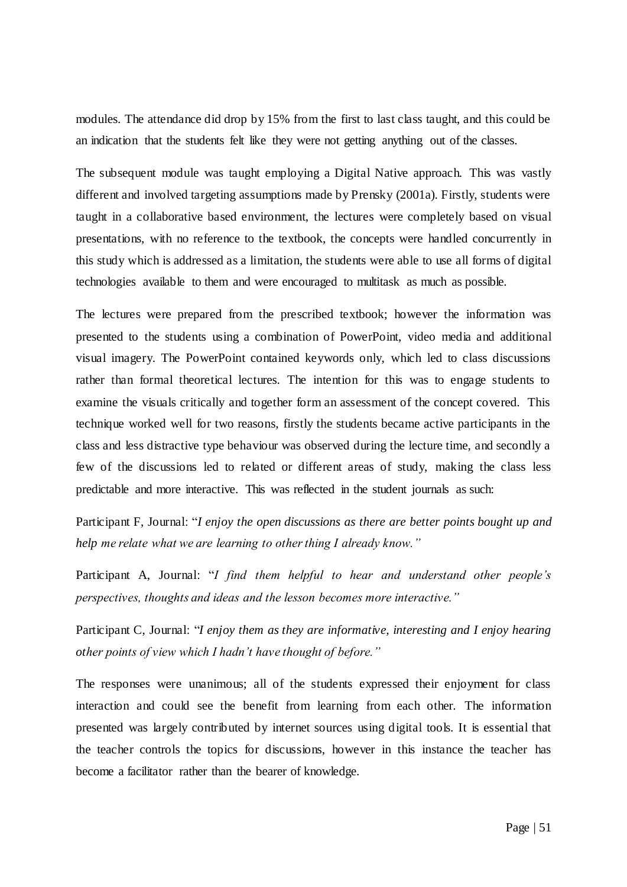modules. The attendance did drop by 15% from the first to last class taught, and this could be an indication that the students felt like they were not getting anything out of the classes.

The subsequent module was taught employing a Digital Native approach. This was vastly different and involved targeting assumptions made by Prensky (2001a). Firstly, students were taught in a collaborative based environment, the lectures were completely based on visual presentations, with no reference to the textbook, the concepts were handled concurrently in this study which is addressed as a limitation, the students were able to use all forms of digital technologies available to them and were encouraged to multitask as much as possible.

The lectures were prepared from the prescribed textbook; however the information was presented to the students using a combination of PowerPoint, video media and additional visual imagery. The PowerPoint contained keywords only, which led to class discussions rather than formal theoretical lectures. The intention for this was to engage students to examine the visuals critically and together form an assessment of the concept covered. This technique worked well for two reasons, firstly the students became active participants in the class and less distractive type behaviour was observed during the lecture time, and secondly a few of the discussions led to related or different areas of study, making the class less predictable and more interactive. This was reflected in the student journals as such:

Participant F, Journal: "*I enjoy the open discussions as there are better points bought up and help me relate what we are learning to other thing I already know."*

Participant A, Journal: "*I find them helpful to hear and understand other people"s perspectives, thoughts and ideas and the lesson becomes more interactive."*

Participant C, Journal: "*I enjoy them as they are informative, interesting and I enjoy hearing other points of view which I hadn"t have thought of before."*

The responses were unanimous; all of the students expressed their enjoyment for class interaction and could see the benefit from learning from each other. The information presented was largely contributed by internet sources using digital tools. It is essential that the teacher controls the topics for discussions, however in this instance the teacher has become a facilitator rather than the bearer of knowledge.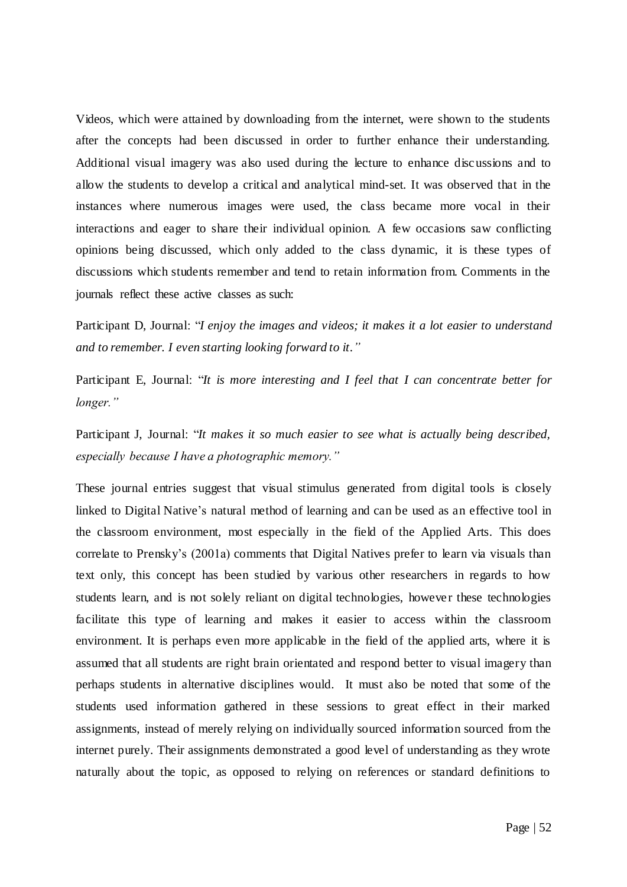Videos, which were attained by downloading from the internet, were shown to the students after the concepts had been discussed in order to further enhance their understanding. Additional visual imagery was also used during the lecture to enhance discussions and to allow the students to develop a critical and analytical mind-set. It was observed that in the instances where numerous images were used, the class became more vocal in their interactions and eager to share their individual opinion. A few occasions saw conflicting opinions being discussed, which only added to the class dynamic, it is these types of discussions which students remember and tend to retain information from. Comments in the journals reflect these active classes as such:

Participant D, Journal: "*I enjoy the images and videos; it makes it a lot easier to understand and to remember. I even starting looking forward to it."*

Participant E, Journal: "*It is more interesting and I feel that I can concentrate better for longer."*

Participant J, Journal: "*It makes it so much easier to see what is actually being described, especially because I have a photographic memory."*

These journal entries suggest that visual stimulus generated from digital tools is closely linked to Digital Native's natural method of learning and can be used as an effective tool in the classroom environment, most especially in the field of the Applied Arts. This does correlate to Prensky"s (2001a) comments that Digital Natives prefer to learn via visuals than text only, this concept has been studied by various other researchers in regards to how students learn, and is not solely reliant on digital technologies, however these technologies facilitate this type of learning and makes it easier to access within the classroom environment. It is perhaps even more applicable in the field of the applied arts, where it is assumed that all students are right brain orientated and respond better to visual imagery than perhaps students in alternative disciplines would. It must also be noted that some of the students used information gathered in these sessions to great effect in their marked assignments, instead of merely relying on individually sourced information sourced from the internet purely. Their assignments demonstrated a good level of understanding as they wrote naturally about the topic, as opposed to relying on references or standard definitions to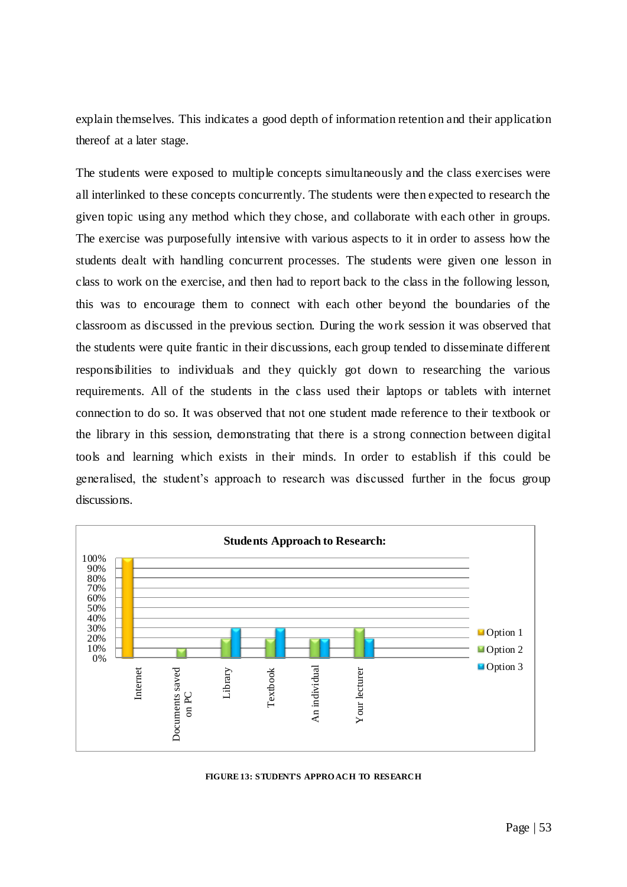explain themselves. This indicates a good depth of information retention and their application thereof at a later stage.

The students were exposed to multiple concepts simultaneously and the class exercises were all interlinked to these concepts concurrently. The students were then expected to research the given topic using any method which they chose, and collaborate with each other in groups. The exercise was purposefully intensive with various aspects to it in order to assess how the students dealt with handling concurrent processes. The students were given one lesson in class to work on the exercise, and then had to report back to the class in the following lesson, this was to encourage them to connect with each other beyond the boundaries of the classroom as discussed in the previous section. During the work session it was observed that the students were quite frantic in their discussions, each group tended to disseminate different responsibilities to individuals and they quickly got down to researching the various requirements. All of the students in the class used their laptops or tablets with internet connection to do so. It was observed that not one student made reference to their textbook or the library in this session, demonstrating that there is a strong connection between digital tools and learning which exists in their minds. In order to establish if this could be generalised, the student"s approach to research was discussed further in the focus group discussions.



#### **FIGURE 13: STUDENT'S APPRO ACH TO RESEARCH**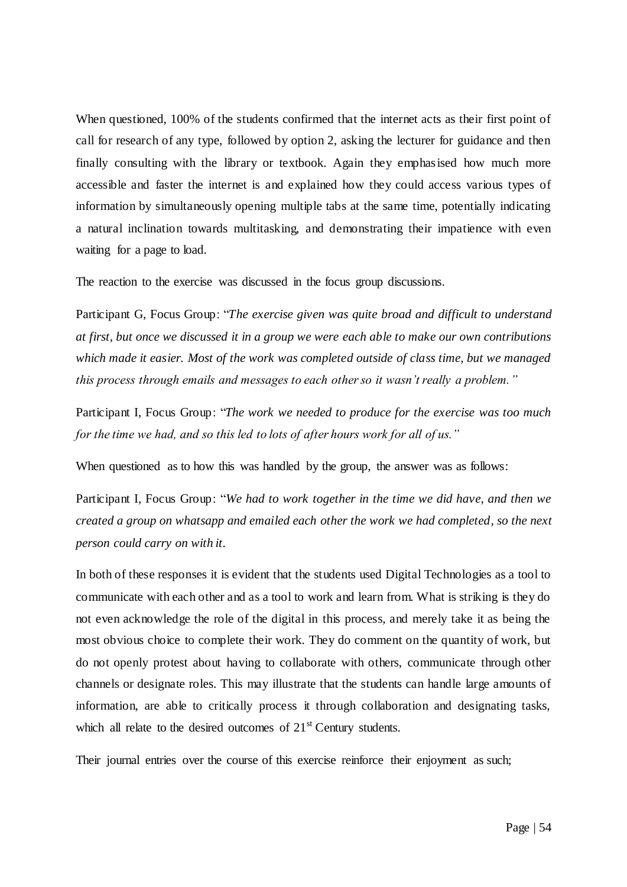When questioned, 100% of the students confirmed that the internet acts as their first point of call for research of any type, followed by option 2, asking the lecturer for guidance and then finally consulting with the library or textbook. Again they emphasised how much more accessible and faster the internet is and explained how they could access various types of information by simultaneously opening multiple tabs at the same time, potentially indicating a natural inclination towards multitasking, and demonstrating their impatience with even waiting for a page to load.

The reaction to the exercise was discussed in the focus group discussions.

Participant G, Focus Group: "*The exercise given was quite broad and difficult to understand at first, but once we discussed it in a group we were each able to make our own contributions which made it easier. Most of the work was completed outside of class time, but we managed this process through emails and messages to each other so it wasn"t really a problem."*

Participant I, Focus Group: "*The work we needed to produce for the exercise was too much for the time we had, and so this led to lots of after hours work for all of us."*

When questioned as to how this was handled by the group, the answer was as follows:

Participant I, Focus Group: "*We had to work together in the time we did have, and then we created a group on whatsapp and emailed each other the work we had completed, so the next person could carry on with it.*

In both of these responses it is evident that the students used Digital Technologies as a tool to communicate with each other and as a tool to work and learn from. What is striking is they do not even acknowledge the role of the digital in this process, and merely take it as being the most obvious choice to complete their work. They do comment on the quantity of work, but do not openly protest about having to collaborate with others, communicate through other channels or designate roles. This may illustrate that the students can handle large amounts of information, are able to critically process it through collaboration and designating tasks, which all relate to the desired outcomes of  $21<sup>st</sup>$  Century students.

Their journal entries over the course of this exercise reinforce their enjoyment as such;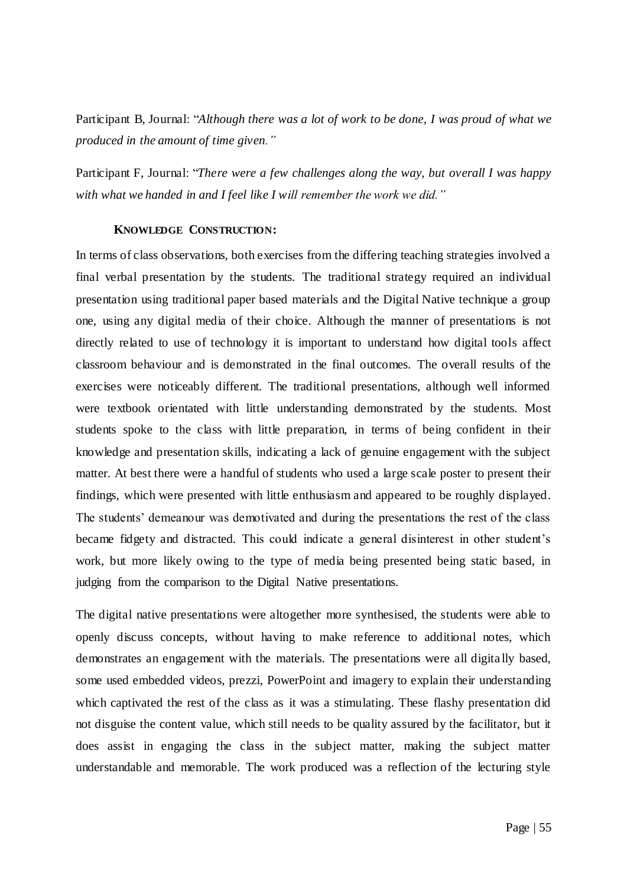Participant B, Journal: "*Although there was a lot of work to be done, I was proud of what we produced in the amount of time given."*

Participant F, Journal: "*There were a few challenges along the way, but overall I was happy with what we handed in and I feel like I will remember the work we did."*

### **KNOWLEDGE CONSTRUCTION:**

In terms of class observations, both exercises from the differing teaching strategies involved a final verbal presentation by the students. The traditional strategy required an individual presentation using traditional paper based materials and the Digital Native technique a group one, using any digital media of their choice. Although the manner of presentations is not directly related to use of technology it is important to understand how digital tools affect classroom behaviour and is demonstrated in the final outcomes. The overall results of the exercises were noticeably different. The traditional presentations, although well informed were textbook orientated with little understanding demonstrated by the students. Most students spoke to the class with little preparation, in terms of being confident in their knowledge and presentation skills, indicating a lack of genuine engagement with the subject matter. At best there were a handful of students who used a large scale poster to present their findings, which were presented with little enthusiasm and appeared to be roughly displayed. The students" demeanour was demotivated and during the presentations the rest of the class became fidgety and distracted. This could indicate a general disinterest in other student"s work, but more likely owing to the type of media being presented being static based, in judging from the comparison to the Digital Native presentations.

The digital native presentations were altogether more synthesised, the students were able to openly discuss concepts, without having to make reference to additional notes, which demonstrates an engagement with the materials. The presentations were all digita lly based, some used embedded videos, prezzi, PowerPoint and imagery to explain their understanding which captivated the rest of the class as it was a stimulating. These flashy presentation did not disguise the content value, which still needs to be quality assured by the facilitator, but it does assist in engaging the class in the subject matter, making the subject matter understandable and memorable. The work produced was a reflection of the lecturing style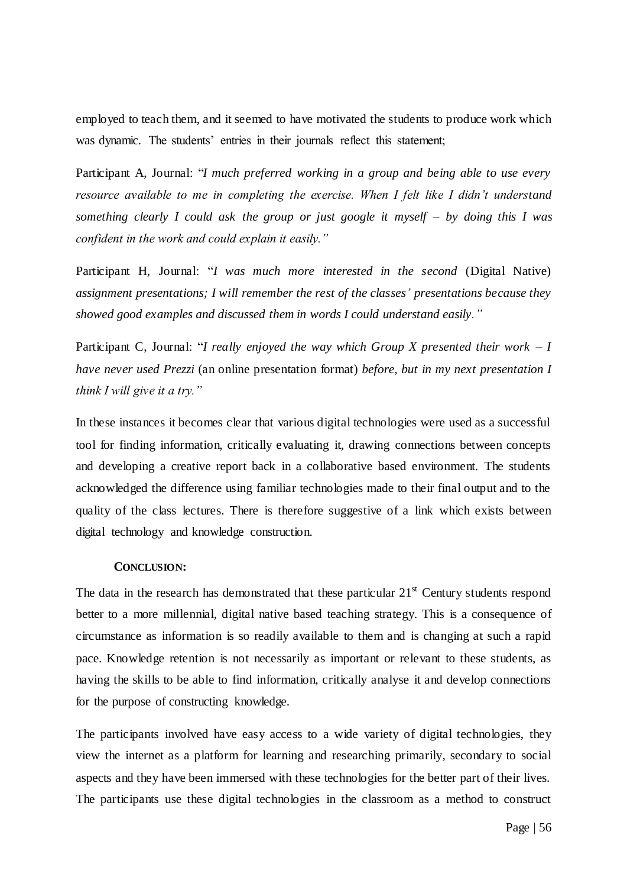employed to teach them, and it seemed to have motivated the students to produce work which was dynamic. The students' entries in their journals reflect this statement;

Participant A, Journal: "*I much preferred working in a group and being able to use every resource available to me in completing the exercise. When I felt like I didn"t understand something clearly I could ask the group or just google it myself – by doing this I was confident in the work and could explain it easily."*

Participant H, Journal: "*I was much more interested in the second* (Digital Native) *assignment presentations; I will remember the rest of the classes" presentations because they showed good examples and discussed them in words I could understand easily."*

Participant C, Journal: "*I really enjoyed the way which Group X presented their work – I have never used Prezzi* (an online presentation format) *before, but in my next presentation I think I will give it a try."*

In these instances it becomes clear that various digital technologies were used as a successful tool for finding information, critically evaluating it, drawing connections between concepts and developing a creative report back in a collaborative based environment. The students acknowledged the difference using familiar technologies made to their final output and to the quality of the class lectures. There is therefore suggestive of a link which exists between digital technology and knowledge construction.

### **CONCLUSION:**

The data in the research has demonstrated that these particular  $21<sup>st</sup>$  Century students respond better to a more millennial, digital native based teaching strategy. This is a consequence of circumstance as information is so readily available to them and is changing at such a rapid pace. Knowledge retention is not necessarily as important or relevant to these students, as having the skills to be able to find information, critically analyse it and develop connections for the purpose of constructing knowledge.

The participants involved have easy access to a wide variety of digital technologies, they view the internet as a platform for learning and researching primarily, secondary to social aspects and they have been immersed with these technologies for the better part of their lives. The participants use these digital technologies in the classroom as a method to construct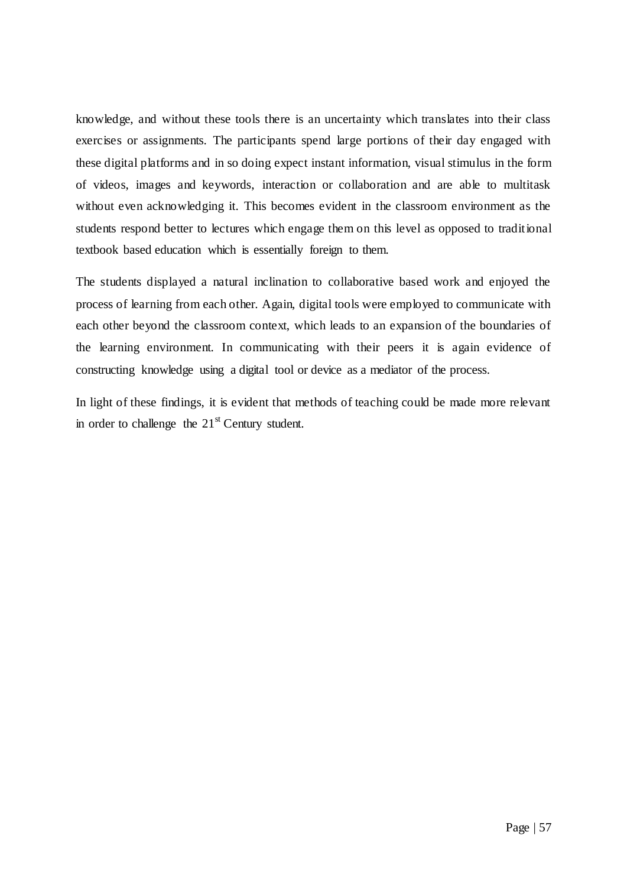knowledge, and without these tools there is an uncertainty which translates into their class exercises or assignments. The participants spend large portions of their day engaged with these digital platforms and in so doing expect instant information, visual stimulus in the form of videos, images and keywords, interaction or collaboration and are able to multitask without even acknowledging it. This becomes evident in the classroom environment as the students respond better to lectures which engage them on this level as opposed to traditional textbook based education which is essentially foreign to them.

The students displayed a natural inclination to collaborative based work and enjoyed the process of learning from each other. Again, digital tools were employed to communicate with each other beyond the classroom context, which leads to an expansion of the boundaries of the learning environment. In communicating with their peers it is again evidence of constructing knowledge using a digital tool or device as a mediator of the process.

In light of these findings, it is evident that methods of teaching could be made more relevant in order to challenge the  $21<sup>st</sup>$  Century student.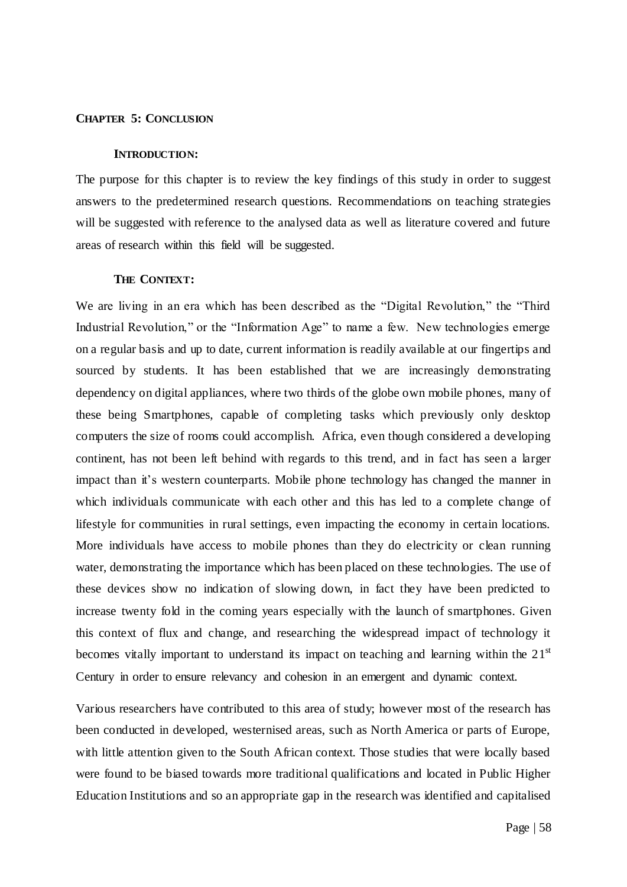#### **CHAPTER 5: CONCLUSION**

#### **INTRODUCTION:**

The purpose for this chapter is to review the key findings of this study in order to suggest answers to the predetermined research questions. Recommendations on teaching strategies will be suggested with reference to the analysed data as well as literature covered and future areas of research within this field will be suggested.

### **THE CONTEXT:**

We are living in an era which has been described as the "Digital Revolution," the "Third Industrial Revolution," or the "Information Age" to name a few. New technologies emerge on a regular basis and up to date, current information is readily available at our fingertips and sourced by students. It has been established that we are increasingly demonstrating dependency on digital appliances, where two thirds of the globe own mobile phones, many of these being Smartphones, capable of completing tasks which previously only desktop computers the size of rooms could accomplish. Africa, even though considered a developing continent, has not been left behind with regards to this trend, and in fact has seen a larger impact than it's western counterparts. Mobile phone technology has changed the manner in which individuals communicate with each other and this has led to a complete change of lifestyle for communities in rural settings, even impacting the economy in certain locations. More individuals have access to mobile phones than they do electricity or clean running water, demonstrating the importance which has been placed on these technologies. The use of these devices show no indication of slowing down, in fact they have been predicted to increase twenty fold in the coming years especially with the launch of smartphones. Given this context of flux and change, and researching the widespread impact of technology it becomes vitally important to understand its impact on teaching and learning within the  $21<sup>st</sup>$ Century in order to ensure relevancy and cohesion in an emergent and dynamic context.

Various researchers have contributed to this area of study; however most of the research has been conducted in developed, westernised areas, such as North America or parts of Europe, with little attention given to the South African context. Those studies that were locally based were found to be biased towards more traditional qualifications and located in Public Higher Education Institutions and so an appropriate gap in the research was identified and capitalised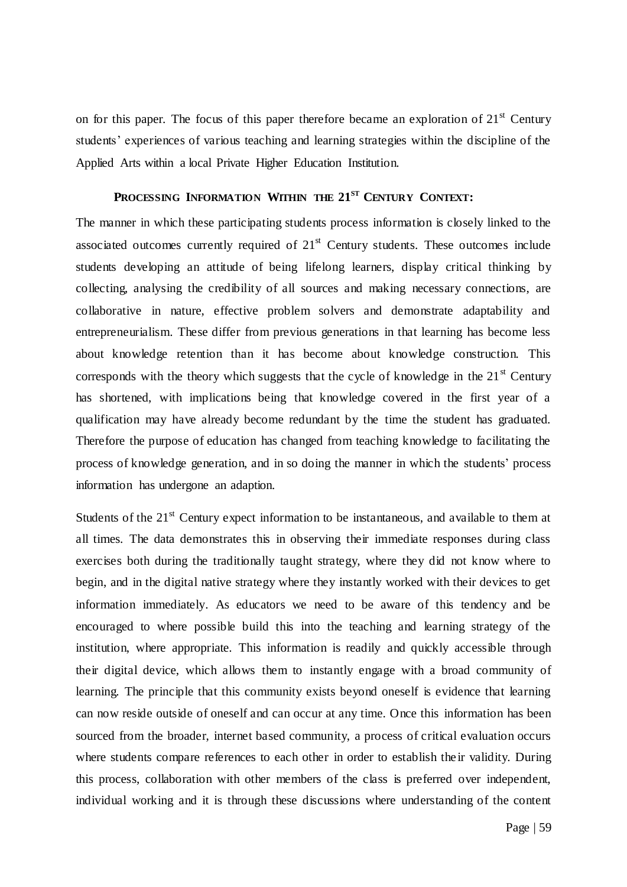on for this paper. The focus of this paper therefore became an exploration of  $21<sup>st</sup>$  Century students' experiences of various teaching and learning strategies within the discipline of the Applied Arts within a local Private Higher Education Institution.

## **PROCESSING INFORMATION WITHIN THE 21ST CENTURY CONTEXT:**

The manner in which these participating students process information is closely linked to the associated outcomes currently required of  $21<sup>st</sup>$  Century students. These outcomes include students developing an attitude of being lifelong learners, display critical thinking by collecting, analysing the credibility of all sources and making necessary connections, are collaborative in nature, effective problem solvers and demonstrate adaptability and entrepreneurialism. These differ from previous generations in that learning has become less about knowledge retention than it has become about knowledge construction. This corresponds with the theory which suggests that the cycle of knowledge in the  $21<sup>st</sup>$  Century has shortened, with implications being that knowledge covered in the first year of a qualification may have already become redundant by the time the student has graduated. Therefore the purpose of education has changed from teaching knowledge to facilitating the process of knowledge generation, and in so doing the manner in which the students" process information has undergone an adaption.

Students of the  $21<sup>st</sup>$  Century expect information to be instantaneous, and available to them at all times. The data demonstrates this in observing their immediate responses during class exercises both during the traditionally taught strategy, where they did not know where to begin, and in the digital native strategy where they instantly worked with their devices to get information immediately. As educators we need to be aware of this tendency and be encouraged to where possible build this into the teaching and learning strategy of the institution, where appropriate. This information is readily and quickly accessible through their digital device, which allows them to instantly engage with a broad community of learning. The principle that this community exists beyond oneself is evidence that learning can now reside outside of oneself and can occur at any time. Once this information has been sourced from the broader, internet based community, a process of critical evaluation occurs where students compare references to each other in order to establish their validity. During this process, collaboration with other members of the class is preferred over independent, individual working and it is through these discussions where understanding of the content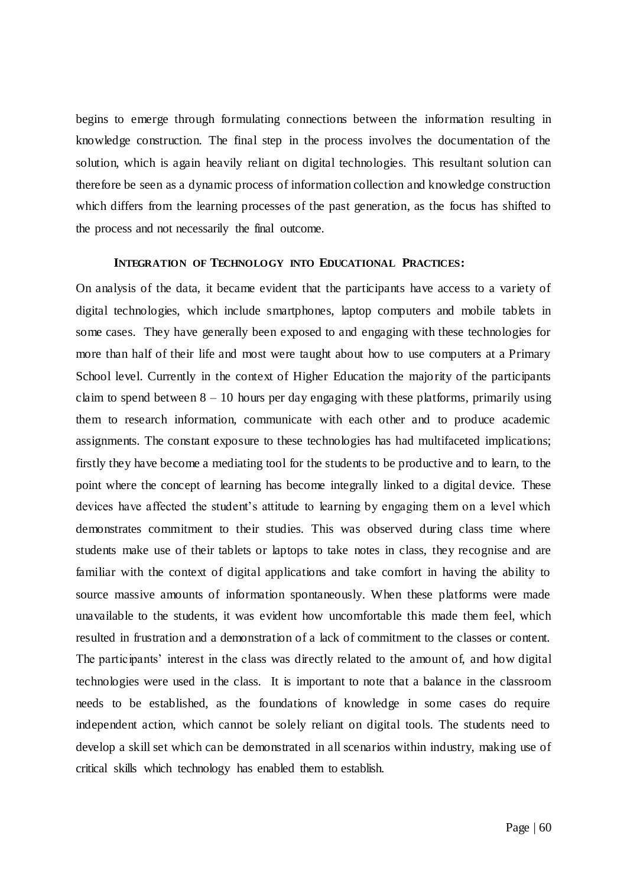begins to emerge through formulating connections between the information resulting in knowledge construction. The final step in the process involves the documentation of the solution, which is again heavily reliant on digital technologies. This resultant solution can therefore be seen as a dynamic process of information collection and knowledge construction which differs from the learning processes of the past generation, as the focus has shifted to the process and not necessarily the final outcome.

### **INTEGRATION OF TECHNOLOGY INTO EDUCATIONAL PRACTICES:**

On analysis of the data, it became evident that the participants have access to a variety of digital technologies, which include smartphones, laptop computers and mobile tablets in some cases. They have generally been exposed to and engaging with these technologies for more than half of their life and most were taught about how to use computers at a Primary School level. Currently in the context of Higher Education the majority of the participants claim to spend between  $8 - 10$  hours per day engaging with these platforms, primarily using them to research information, communicate with each other and to produce academic assignments. The constant exposure to these technologies has had multifaceted implications; firstly they have become a mediating tool for the students to be productive and to learn, to the point where the concept of learning has become integrally linked to a digital device. These devices have affected the student"s attitude to learning by engaging them on a level which demonstrates commitment to their studies. This was observed during class time where students make use of their tablets or laptops to take notes in class, they recognise and are familiar with the context of digital applications and take comfort in having the ability to source massive amounts of information spontaneously. When these platforms were made unavailable to the students, it was evident how uncomfortable this made them feel, which resulted in frustration and a demonstration of a lack of commitment to the classes or content. The participants' interest in the class was directly related to the amount of, and how digital technologies were used in the class. It is important to note that a balance in the classroom needs to be established, as the foundations of knowledge in some cases do require independent action, which cannot be solely reliant on digital tools. The students need to develop a skill set which can be demonstrated in all scenarios within industry, making use of critical skills which technology has enabled them to establish.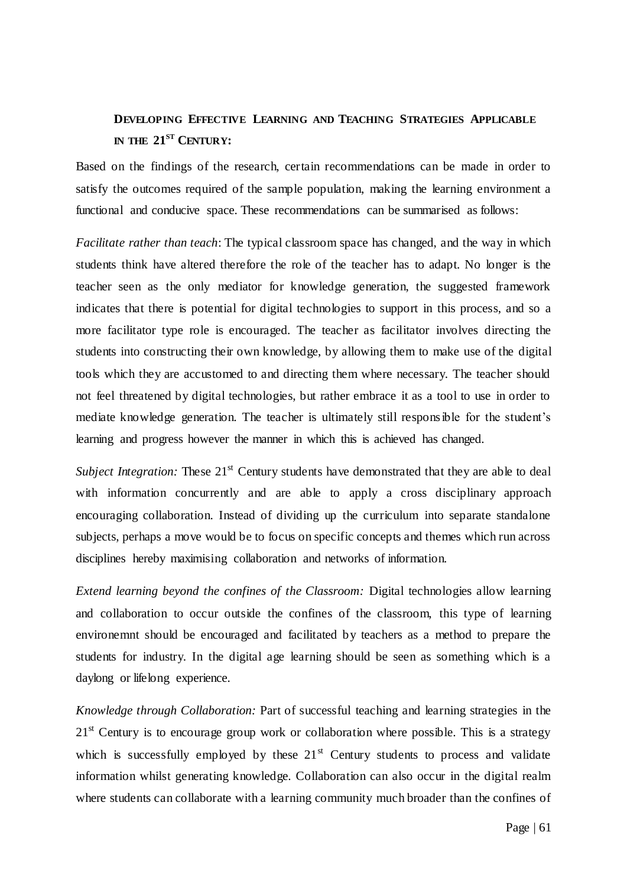# **DEVELOPING EFFECTIVE LEARNING AND TEACHING STRATEGIES APPLICABLE IN THE 21ST CENTURY:**

Based on the findings of the research, certain recommendations can be made in order to satisfy the outcomes required of the sample population, making the learning environment a functional and conducive space. These recommendations can be summarised as follows:

*Facilitate rather than teach*: The typical classroom space has changed, and the way in which students think have altered therefore the role of the teacher has to adapt. No longer is the teacher seen as the only mediator for knowledge generation, the suggested framework indicates that there is potential for digital technologies to support in this process, and so a more facilitator type role is encouraged. The teacher as facilitator involves directing the students into constructing their own knowledge, by allowing them to make use of the digital tools which they are accustomed to and directing them where necessary. The teacher should not feel threatened by digital technologies, but rather embrace it as a tool to use in order to mediate knowledge generation. The teacher is ultimately still responsible for the student"s learning and progress however the manner in which this is achieved has changed.

*Subject Integration:* These 21<sup>st</sup> Century students have demonstrated that they are able to deal with information concurrently and are able to apply a cross disciplinary approach encouraging collaboration. Instead of dividing up the curriculum into separate standalone subjects, perhaps a move would be to focus on specific concepts and themes which run across disciplines hereby maximising collaboration and networks of information.

*Extend learning beyond the confines of the Classroom:* Digital technologies allow learning and collaboration to occur outside the confines of the classroom, this type of learning environemnt should be encouraged and facilitated by teachers as a method to prepare the students for industry. In the digital age learning should be seen as something which is a daylong or lifelong experience.

*Knowledge through Collaboration:* Part of successful teaching and learning strategies in the  $21<sup>st</sup>$  Century is to encourage group work or collaboration where possible. This is a strategy which is successfully employed by these  $21<sup>st</sup>$  Century students to process and validate information whilst generating knowledge. Collaboration can also occur in the digital realm where students can collaborate with a learning community much broader than the confines of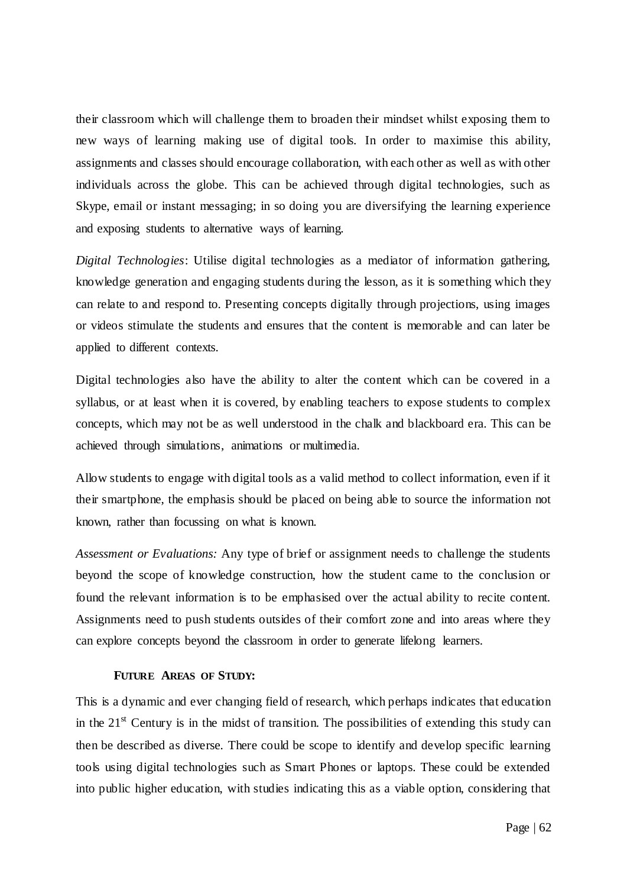their classroom which will challenge them to broaden their mindset whilst exposing them to new ways of learning making use of digital tools. In order to maximise this ability, assignments and classes should encourage collaboration, with each other as well as with other individuals across the globe. This can be achieved through digital technologies, such as Skype, email or instant messaging; in so doing you are diversifying the learning experience and exposing students to alternative ways of learning.

*Digital Technologies*: Utilise digital technologies as a mediator of information gathering, knowledge generation and engaging students during the lesson, as it is something which they can relate to and respond to. Presenting concepts digitally through projections, using images or videos stimulate the students and ensures that the content is memorable and can later be applied to different contexts.

Digital technologies also have the ability to alter the content which can be covered in a syllabus, or at least when it is covered, by enabling teachers to expose students to complex concepts, which may not be as well understood in the chalk and blackboard era. This can be achieved through simulations, animations or multimedia.

Allow students to engage with digital tools as a valid method to collect information, even if it their smartphone, the emphasis should be placed on being able to source the information not known, rather than focussing on what is known.

*Assessment or Evaluations:* Any type of brief or assignment needs to challenge the students beyond the scope of knowledge construction, how the student came to the conclusion or found the relevant information is to be emphasised over the actual ability to recite content. Assignments need to push students outsides of their comfort zone and into areas where they can explore concepts beyond the classroom in order to generate lifelong learners.

### **FUTURE AREAS OF STUDY:**

This is a dynamic and ever changing field of research, which perhaps indicates that education in the  $21<sup>st</sup>$  Century is in the midst of transition. The possibilities of extending this study can then be described as diverse. There could be scope to identify and develop specific learning tools using digital technologies such as Smart Phones or laptops. These could be extended into public higher education, with studies indicating this as a viable option, considering that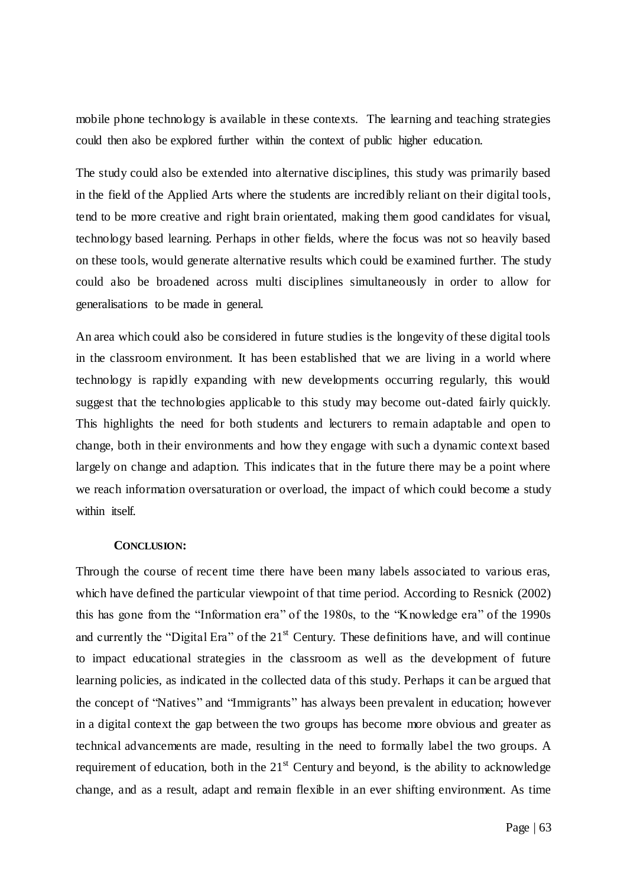mobile phone technology is available in these contexts. The learning and teaching strategies could then also be explored further within the context of public higher education.

The study could also be extended into alternative disciplines, this study was primarily based in the field of the Applied Arts where the students are incredibly reliant on their digital tools, tend to be more creative and right brain orientated, making them good candidates for visual, technology based learning. Perhaps in other fields, where the focus was not so heavily based on these tools, would generate alternative results which could be examined further. The study could also be broadened across multi disciplines simultaneously in order to allow for generalisations to be made in general.

An area which could also be considered in future studies is the longevity of these digital tools in the classroom environment. It has been established that we are living in a world where technology is rapidly expanding with new developments occurring regularly, this would suggest that the technologies applicable to this study may become out-dated fairly quickly. This highlights the need for both students and lecturers to remain adaptable and open to change, both in their environments and how they engage with such a dynamic context based largely on change and adaption. This indicates that in the future there may be a point where we reach information oversaturation or overload, the impact of which could become a study within itself.

### **CONCLUSION:**

Through the course of recent time there have been many labels associated to various eras, which have defined the particular viewpoint of that time period. According to Resnick (2002) this has gone from the "Information era" of the 1980s, to the "Knowledge era" of the 1990s and currently the "Digital Era" of the  $21<sup>st</sup>$  Century. These definitions have, and will continue to impact educational strategies in the classroom as well as the development of future learning policies, as indicated in the collected data of this study. Perhaps it can be argued that the concept of "Natives" and "Immigrants" has always been prevalent in education; however in a digital context the gap between the two groups has become more obvious and greater as technical advancements are made, resulting in the need to formally label the two groups. A requirement of education, both in the  $21<sup>st</sup>$  Century and beyond, is the ability to acknowledge change, and as a result, adapt and remain flexible in an ever shifting environment. As time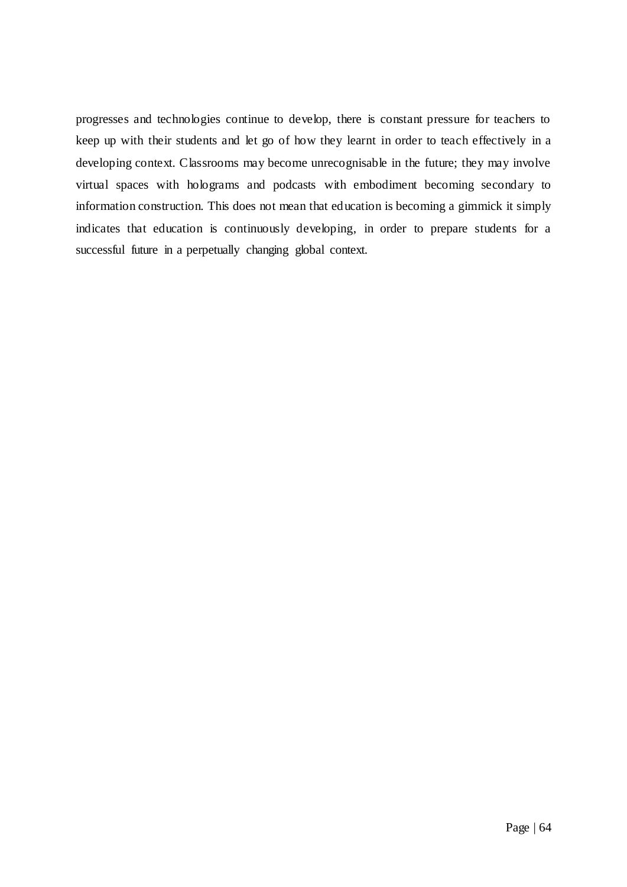progresses and technologies continue to develop, there is constant pressure for teachers to keep up with their students and let go of how they learnt in order to teach effectively in a developing context. Classrooms may become unrecognisable in the future; they may involve virtual spaces with holograms and podcasts with embodiment becoming secondary to information construction. This does not mean that education is becoming a gimmick it simply indicates that education is continuously developing, in order to prepare students for a successful future in a perpetually changing global context.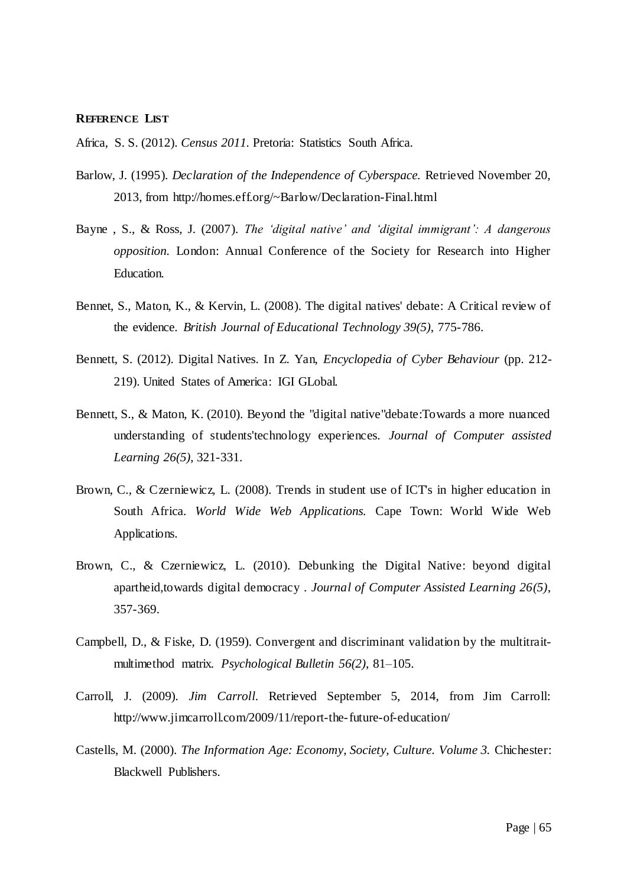#### **REFERENCE LIST**

Africa, S. S. (2012). *Census 2011.* Pretoria: Statistics South Africa.

- Barlow, J. (1995). *Declaration of the Independence of Cyberspace.* Retrieved November 20, 2013, from http://homes.eff.org/~Barlow/Declaration-Final.html
- Bayne , S., & Ross, J. (2007). *The "digital native" and "digital immigrant": A dangerous opposition.* London: Annual Conference of the Society for Research into Higher Education.
- Bennet, S., Maton, K., & Kervin, L. (2008). The digital natives' debate: A Critical review of the evidence. *British Journal of Educational Technology 39(5)*, 775-786.
- Bennett, S. (2012). Digital Natives. In Z. Yan, *Encyclopedia of Cyber Behaviour* (pp. 212- 219). United States of America: IGI GLobal.
- Bennett, S., & Maton, K. (2010). Beyond the "digital native"debate:Towards a more nuanced understanding of students'technology experiences. *Journal of Computer assisted Learning 26(5)*, 321-331.
- Brown, C., & Czerniewicz, L. (2008). Trends in student use of ICT's in higher education in South Africa. *World Wide Web Applications.* Cape Town: World Wide Web Applications.
- Brown, C., & Czerniewicz, L. (2010). Debunking the Digital Native: beyond digital apartheid,towards digital democracy . *Journal of Computer Assisted Learning 26(5)*, 357-369.
- Campbell, D., & Fiske, D. (1959). Convergent and discriminant validation by the multitraitmultimethod matrix. *Psychological Bulletin 56(2)*, 81–105.
- Carroll, J. (2009). *Jim Carroll*. Retrieved September 5, 2014, from Jim Carroll: http://www.jimcarroll.com/2009/11/report-the-future-of-education/
- Castells, M. (2000). *The Information Age: Economy, Society, Culture. Volume 3.* Chichester: Blackwell Publishers.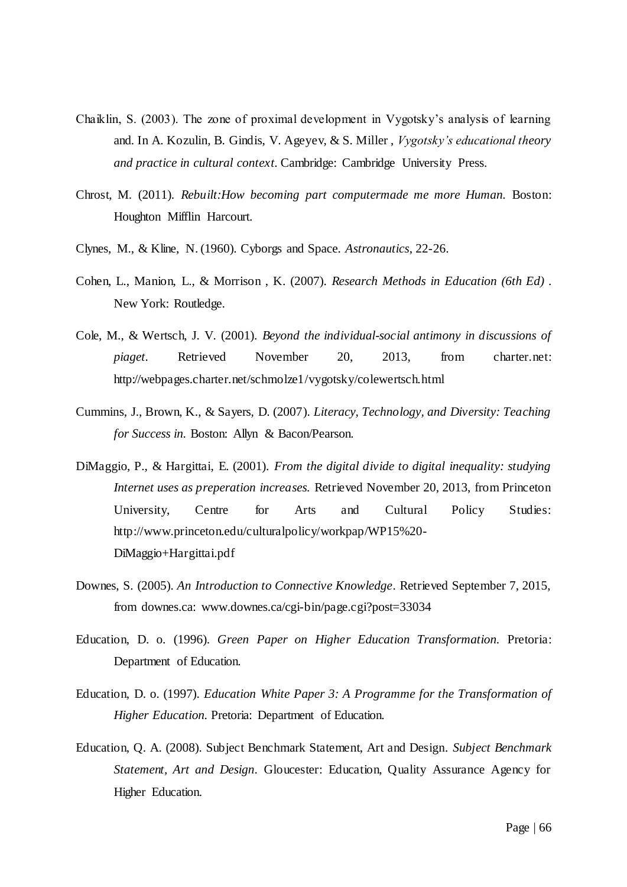- Chaiklin, S. (2003). The zone of proximal development in Vygotsky"s analysis of learning and. In A. Kozulin, B. Gindis, V. Ageyev, & S. Miller , *Vygotsky"s educational theory and practice in cultural context.* Cambridge: Cambridge University Press.
- Chrost, M. (2011). *Rebuilt:How becoming part computermade me more Human.* Boston: Houghton Mifflin Harcourt.
- Clynes, M., & Kline, N. (1960). Cyborgs and Space. *Astronautics*, 22-26.
- Cohen, L., Manion, L., & Morrison , K. (2007). *Research Methods in Education (6th Ed) .* New York: Routledge.
- Cole, M., & Wertsch, J. V. (2001). *Beyond the individual-social antimony in discussions of piaget.* Retrieved November 20, 2013, from charter.net: http://webpages.charter.net/schmolze1/vygotsky/colewertsch.html
- Cummins, J., Brown, K., & Sayers, D. (2007). *Literacy, Technology, and Diversity: Teaching for Success in.* Boston: Allyn & Bacon/Pearson.
- DiMaggio, P., & Hargittai, E. (2001). *From the digital divide to digital inequality: studying Internet uses as preperation increases.* Retrieved November 20, 2013, from Princeton University, Centre for Arts and Cultural Policy Studies: http://www.princeton.edu/culturalpolicy/workpap/WP15%20- DiMaggio+Hargittai.pdf
- Downes, S. (2005). *An Introduction to Connective Knowledge*. Retrieved September 7, 2015, from downes.ca: www.downes.ca/cgi-bin/page.cgi?post=33034
- Education, D. o. (1996). *Green Paper on Higher Education Transformation.* Pretoria: Department of Education.
- Education, D. o. (1997). *Education White Paper 3: A Programme for the Transformation of Higher Education.* Pretoria: Department of Education.
- Education, Q. A. (2008). Subject Benchmark Statement, Art and Design. *Subject Benchmark Statement, Art and Design*. Gloucester: Education, Quality Assurance Agency for Higher Education.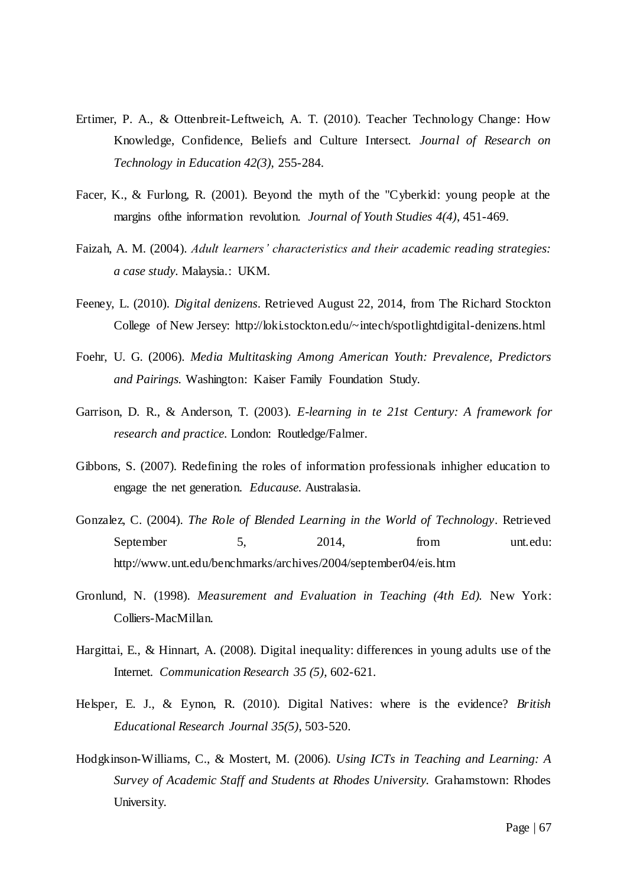- Ertimer, P. A., & Ottenbreit-Leftweich, A. T. (2010). Teacher Technology Change: How Knowledge, Confidence, Beliefs and Culture Intersect. *Journal of Research on Technology in Education 42(3)*, 255-284.
- Facer, K., & Furlong, R. (2001). Beyond the myth of the "Cyberkid: young people at the margins ofthe information revolution. *Journal of Youth Studies 4(4)*, 451-469.
- Faizah, A. M. (2004). *Adult learners" characteristics and their academic reading strategies: a case study.* Malaysia.: UKM.
- Feeney, L. (2010). *Digital denizens*. Retrieved August 22, 2014, from The Richard Stockton College of New Jersey: http://loki.stockton.edu/~intech/spotlightdigital-denizens.html
- Foehr, U. G. (2006). *Media Multitasking Among American Youth: Prevalence, Predictors and Pairings.* Washington: Kaiser Family Foundation Study.
- Garrison, D. R., & Anderson, T. (2003). *E-learning in te 21st Century: A framework for research and practice.* London: Routledge/Falmer.
- Gibbons, S. (2007). Redefining the roles of information professionals inhigher education to engage the net generation. *Educause.* Australasia.
- Gonzalez, C. (2004). *The Role of Blended Learning in the World of Technology*. Retrieved September 5, 2014, from unt.edu: http://www.unt.edu/benchmarks/archives/2004/september04/eis.htm
- Gronlund, N. (1998). *Measurement and Evaluation in Teaching (4th Ed).* New York: Colliers-MacMillan.
- Hargittai, E., & Hinnart, A. (2008). Digital inequality: differences in young adults use of the Internet. *Communication Research 35 (5)*, 602-621.
- Helsper, E. J., & Eynon, R. (2010). Digital Natives: where is the evidence? *British Educational Research Journal 35(5)*, 503-520.
- Hodgkinson-Williams, C., & Mostert, M. (2006). *Using ICTs in Teaching and Learning: A Survey of Academic Staff and Students at Rhodes University.* Grahamstown: Rhodes University.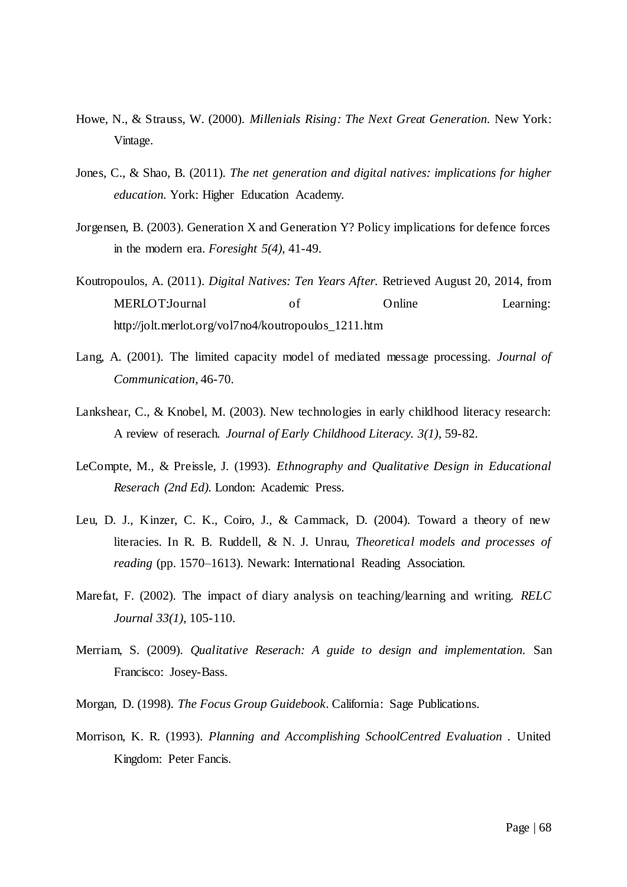- Howe, N., & Strauss, W. (2000). *Millenials Rising: The Next Great Generation.* New York: Vintage.
- Jones, C., & Shao, B. (2011). *The net generation and digital natives: implications for higher education.* York: Higher Education Academy.
- Jorgensen, B. (2003). Generation X and Generation Y? Policy implications for defence forces in the modern era. *Foresight 5(4)*, 41-49.
- Koutropoulos, A. (2011). *Digital Natives: Ten Years After.* Retrieved August 20, 2014, from MERLOT:Journal of Online Learning: http://jolt.merlot.org/vol7no4/koutropoulos\_1211.htm
- Lang, A. (2001). The limited capacity model of mediated message processing. *Journal of Communication*, 46-70.
- Lankshear, C., & Knobel, M. (2003). New technologies in early childhood literacy research: A review of reserach. *Journal of Early Childhood Literacy. 3(1)*, 59-82.
- LeCompte, M., & Preissle, J. (1993). *Ethnography and Qualitative Design in Educational Reserach (2nd Ed).* London: Academic Press.
- Leu, D. J., Kinzer, C. K., Coiro, J., & Cammack, D. (2004). Toward a theory of new literacies. In R. B. Ruddell, & N. J. Unrau, *Theoretical models and processes of reading* (pp. 1570–1613). Newark: International Reading Association.
- Marefat, F. (2002). The impact of diary analysis on teaching/learning and writing. *RELC Journal 33(1)*, 105-110.
- Merriam, S. (2009). *Qualitative Reserach: A guide to design and implementation.* San Francisco: Josey-Bass.
- Morgan, D. (1998). *The Focus Group Guidebook.* California: Sage Publications.
- Morrison, K. R. (1993). *Planning and Accomplishing SchoolCentred Evaluation .* United Kingdom: Peter Fancis.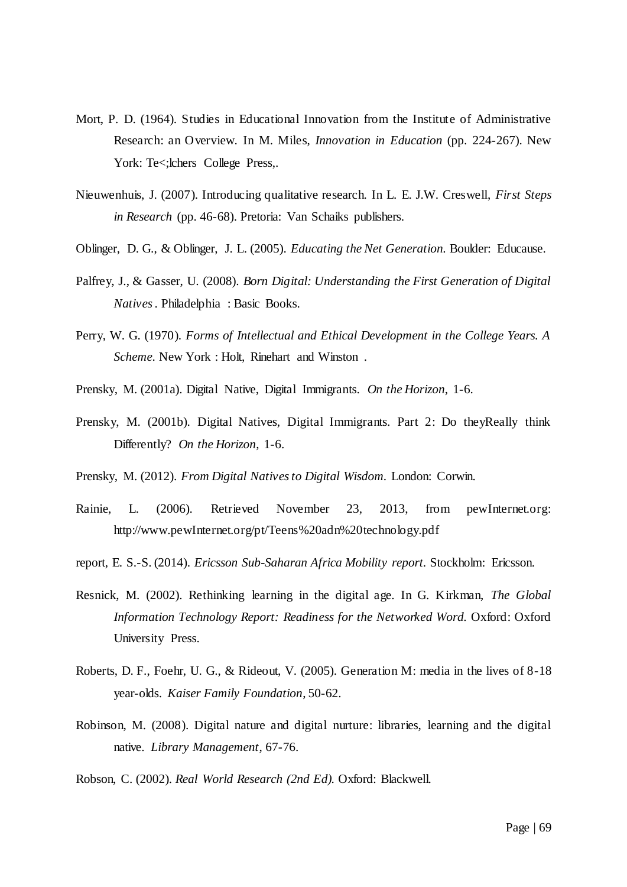- Mort, P. D. (1964). Studies in Educational Innovation from the Institute of Administrative Research: an Overview. In M. Miles, *Innovation in Education* (pp. 224-267). New York: Te<; lchers College Press,.
- Nieuwenhuis, J. (2007). Introducing qualitative research. In L. E. J.W. Creswell, *First Steps in Research* (pp. 46-68). Pretoria: Van Schaiks publishers.
- Oblinger, D. G., & Oblinger, J. L. (2005). *Educating the Net Generation.* Boulder: Educause.
- Palfrey, J., & Gasser, U. (2008). *Born Digital: Understanding the First Generation of Digital Natives .* Philadelphia : Basic Books.
- Perry, W. G. (1970). *Forms of Intellectual and Ethical Development in the College Years. A Scheme.* New York : Holt, Rinehart and Winston .
- Prensky, M. (2001a). Digital Native, Digital Immigrants. *On the Horizon*, 1-6.
- Prensky, M. (2001b). Digital Natives, Digital Immigrants. Part 2: Do theyReally think Differently? *On the Horizon*, 1-6.
- Prensky, M. (2012). *From Digital Natives to Digital Wisdom.* London: Corwin.
- Rainie, L. (2006). Retrieved November 23, 2013, from pewInternet.org: http://www.pewInternet.org/pt/Teens%20adn%20technology.pdf
- report, E. S.-S. (2014). *Ericsson Sub-Saharan Africa Mobility report.* Stockholm: Ericsson.
- Resnick, M. (2002). Rethinking learning in the digital age. In G. Kirkman, *The Global Information Technology Report: Readiness for the Networked Word.* Oxford: Oxford University Press.
- Roberts, D. F., Foehr, U. G., & Rideout, V. (2005). Generation M: media in the lives of 8-18 year-olds. *Kaiser Family Foundation*, 50-62.
- Robinson, M. (2008). Digital nature and digital nurture: libraries, learning and the digital native. *Library Management*, 67-76.
- Robson, C. (2002). *Real World Research (2nd Ed).* Oxford: Blackwell.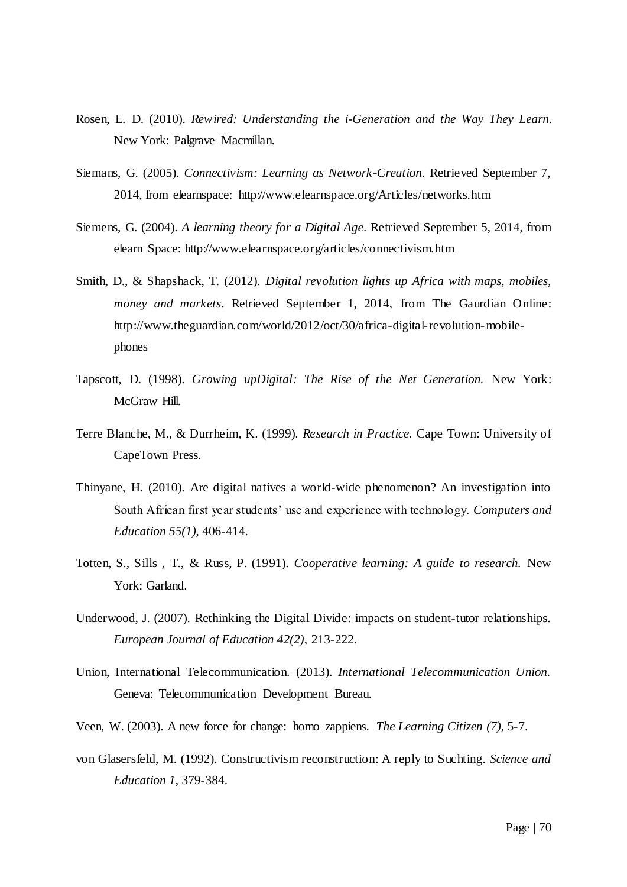- Rosen, L. D. (2010). *Rewired: Understanding the i-Generation and the Way They Learn.* New York: Palgrave Macmillan.
- Siemans, G. (2005). *Connectivism: Learning as Network-Creation*. Retrieved September 7, 2014, from elearnspace: http://www.elearnspace.org/Articles/networks.htm
- Siemens, G. (2004). *A learning theory for a Digital Age*. Retrieved September 5, 2014, from elearn Space: http://www.elearnspace.org/articles/connectivism.htm
- Smith, D., & Shapshack, T. (2012). *Digital revolution lights up Africa with maps, mobiles, money and markets*. Retrieved September 1, 2014, from The Gaurdian Online: http://www.theguardian.com/world/2012/oct/30/africa-digital-revolution-mobilephones
- Tapscott, D. (1998). *Growing upDigital: The Rise of the Net Generation.* New York: McGraw Hill.
- Terre Blanche, M., & Durrheim, K. (1999). *Research in Practice.* Cape Town: University of CapeTown Press.
- Thinyane, H. (2010). Are digital natives a world-wide phenomenon? An investigation into South African first year students" use and experience with technology. *Computers and Education 55(1)*, 406-414.
- Totten, S., Sills , T., & Russ, P. (1991). *Cooperative learning: A guide to research.* New York: Garland.
- Underwood, J. (2007). Rethinking the Digital Divide: impacts on student-tutor relationships. *European Journal of Education 42(2)*, 213-222.
- Union, International Telecommunication. (2013). *International Telecommunication Union.* Geneva: Telecommunication Development Bureau.
- Veen, W. (2003). A new force for change: homo zappiens. *The Learning Citizen (7)*, 5-7.
- von Glasersfeld, M. (1992). Constructivism reconstruction: A reply to Suchting. *Science and Education 1*, 379-384.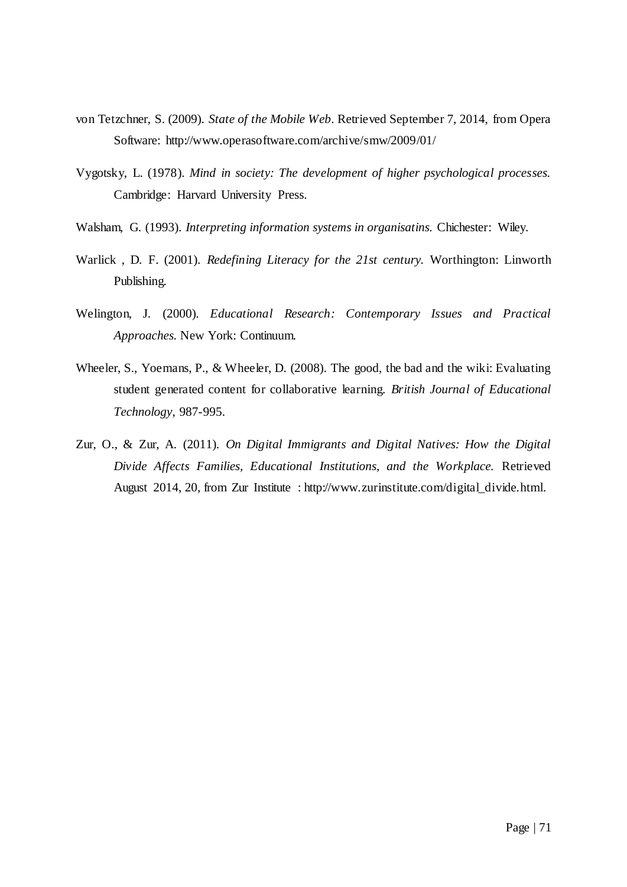- von Tetzchner, S. (2009). *State of the Mobile Web*. Retrieved September 7, 2014, from Opera Software: http://www.operasoftware.com/archive/smw/2009/01/
- Vygotsky, L. (1978). *Mind in society: The development of higher psychological processes.* Cambridge: Harvard University Press.
- Walsham, G. (1993). *Interpreting information systems in organisatins.* Chichester: Wiley.
- Warlick , D. F. (2001). *Redefining Literacy for the 21st century.* Worthington: Linworth Publishing.
- Welington, J. (2000). *Educational Research: Contemporary Issues and Practical Approaches.* New York: Continuum.
- Wheeler, S., Yoemans, P., & Wheeler, D. (2008). The good, the bad and the wiki: Evaluating student generated content for collaborative learning. *British Journal of Educational Technology*, 987-995.
- Zur, O., & Zur, A. (2011). *On Digital Immigrants and Digital Natives: How the Digital Divide Affects Families, Educational Institutions, and the Workplace.* Retrieved August 2014, 20, from Zur Institute : http://www.zurinstitute.com/digital\_divide.html.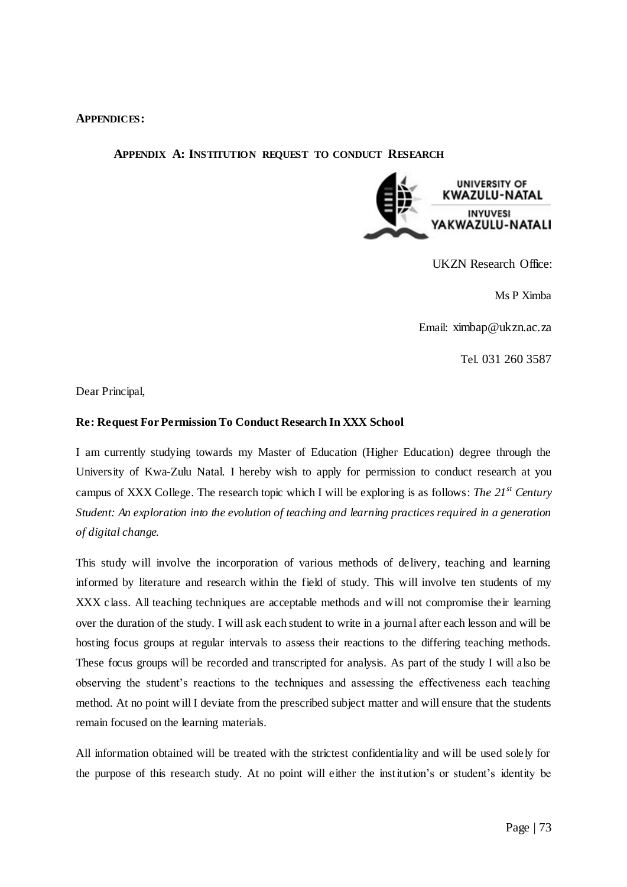### **APPENDICES:**

### **APPENDIX A: INSTITUTION REQUEST TO CONDUCT RESEARCH**



UKZN Research Office:

Ms P Ximba

Email: [ximbap@ukzn.ac.za](mailto:ximbap@ukzn.ac.za)

Tel. 031 260 3587

Dear Principal,

### **Re: Request For Permission To Conduct Research In XXX School**

I am currently studying towards my Master of Education (Higher Education) degree through the University of Kwa-Zulu Natal. I hereby wish to apply for permission to conduct research at you campus of XXX College. The research topic which I will be exploring is as follows: *The 21st Century Student: An exploration into the evolution of teaching and learning practices required in a generation of digital change.*

This study will involve the incorporation of various methods of delivery, teaching and learning informed by literature and research within the field of study. This will involve ten students of my XXX class. All teaching techniques are acceptable methods and will not compromise their learning over the duration of the study. I will ask each student to write in a journal after each lesson and will be hosting focus groups at regular intervals to assess their reactions to the differing teaching methods. These focus groups will be recorded and transcripted for analysis. As part of the study I will also be observing the student"s reactions to the techniques and assessing the effectiveness each teaching method. At no point will I deviate from the prescribed subject matter and will ensure that the students remain focused on the learning materials.

All information obtained will be treated with the strictest confidentiality and will be used solely for the purpose of this research study. At no point will either the institution"s or student"s identity be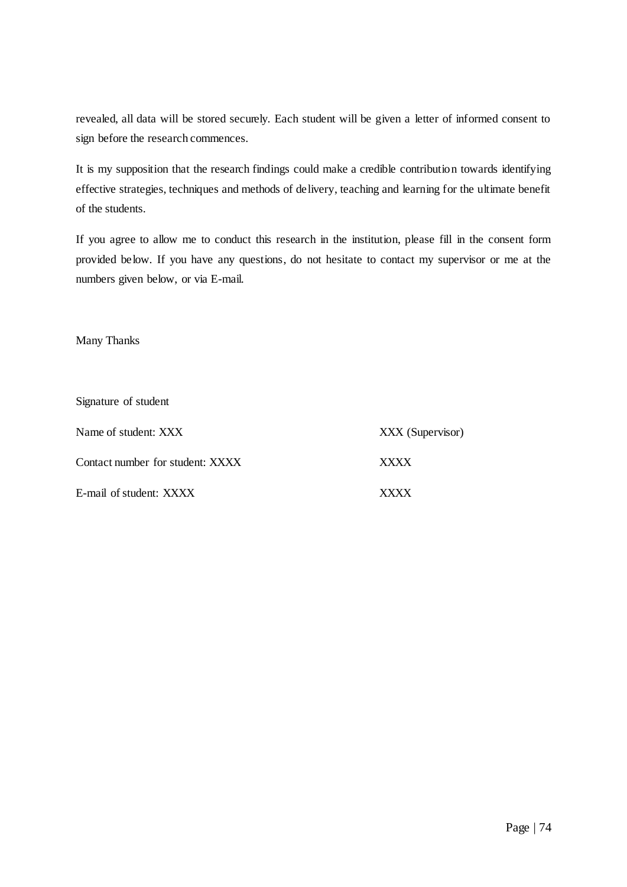revealed, all data will be stored securely. Each student will be given a letter of informed consent to sign before the research commences.

It is my supposition that the research findings could make a credible contribution towards identifying effective strategies, techniques and methods of delivery, teaching and learning for the ultimate benefit of the students.

If you agree to allow me to conduct this research in the institution, please fill in the consent form provided below. If you have any questions, do not hesitate to contact my supervisor or me at the numbers given below, or via E-mail.

Many Thanks

| Signature of student             |                  |
|----------------------------------|------------------|
| Name of student: XXX             | XXX (Supervisor) |
| Contact number for student: XXXX | <b>XXXX</b>      |
| E-mail of student: XXXX          | x x x            |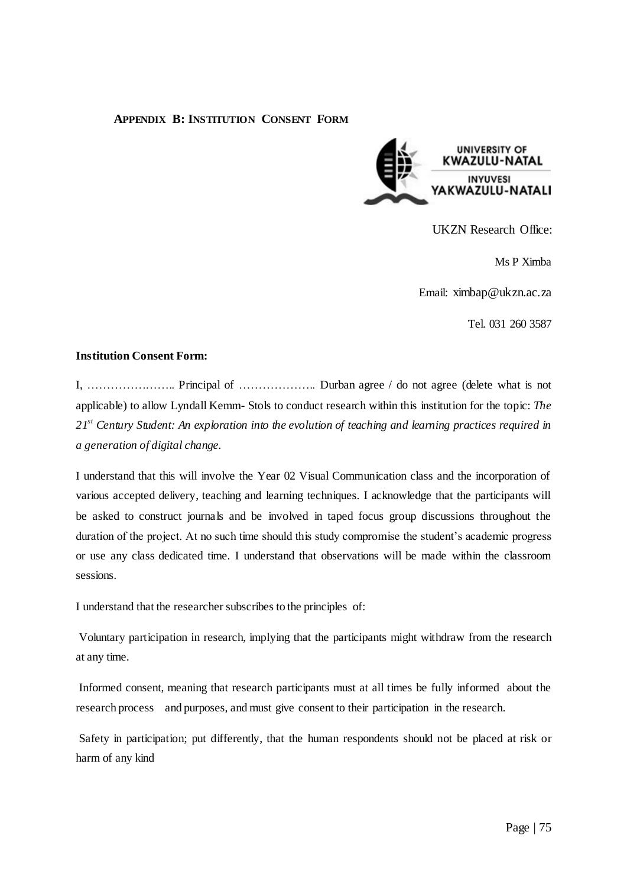### **APPENDIX B: INSTITUTION CONSENT FORM**



UKZN Research Office:

Ms P Ximba

Email: [ximbap@ukzn.ac.za](mailto:ximbap@ukzn.ac.za)

Tel. 031 260 3587

#### **Institution Consent Form:**

I, ………………….. Principal of ……………….. Durban agree / do not agree (delete what is not applicable) to allow Lyndall Kemm- Stols to conduct research within this institution for the topic: *The 21st Century Student: An exploration into the evolution of teaching and learning practices required in a generation of digital change.*

I understand that this will involve the Year 02 Visual Communication class and the incorporation of various accepted delivery, teaching and learning techniques. I acknowledge that the participants will be asked to construct journals and be involved in taped focus group discussions throughout the duration of the project. At no such time should this study compromise the student's academic progress or use any class dedicated time. I understand that observations will be made within the classroom sessions.

I understand that the researcher subscribes to the principles of:

Voluntary participation in research, implying that the participants might withdraw from the research at any time.

Informed consent, meaning that research participants must at all times be fully informed about the research process and purposes, and must give consent to their participation in the research.

Safety in participation; put differently, that the human respondents should not be placed at risk or harm of any kind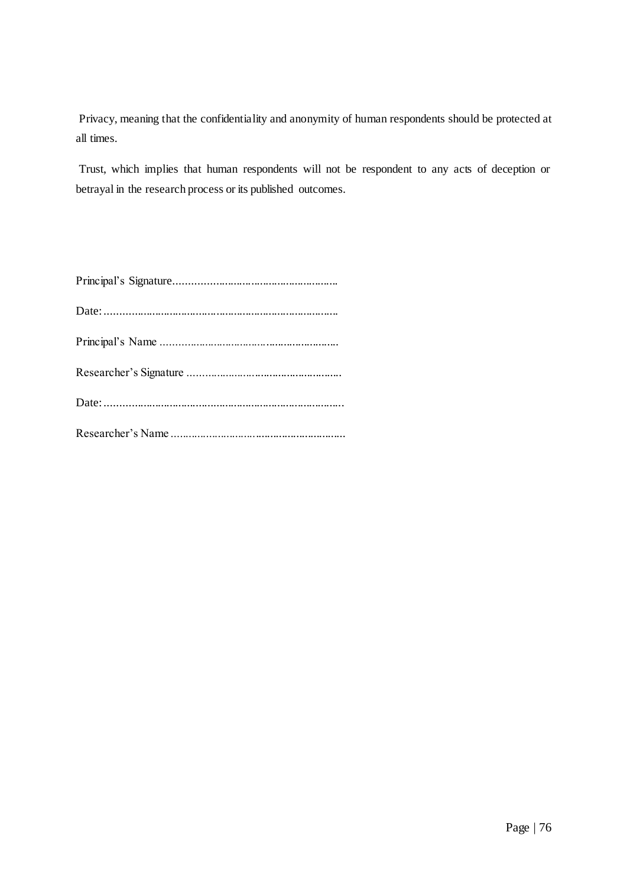Privacy, meaning that the confidentiality and anonymity of human respondents should be protected at all times.

Trust, which implies that human respondents will not be respondent to any acts of deception or betrayal in the research process or its published outcomes.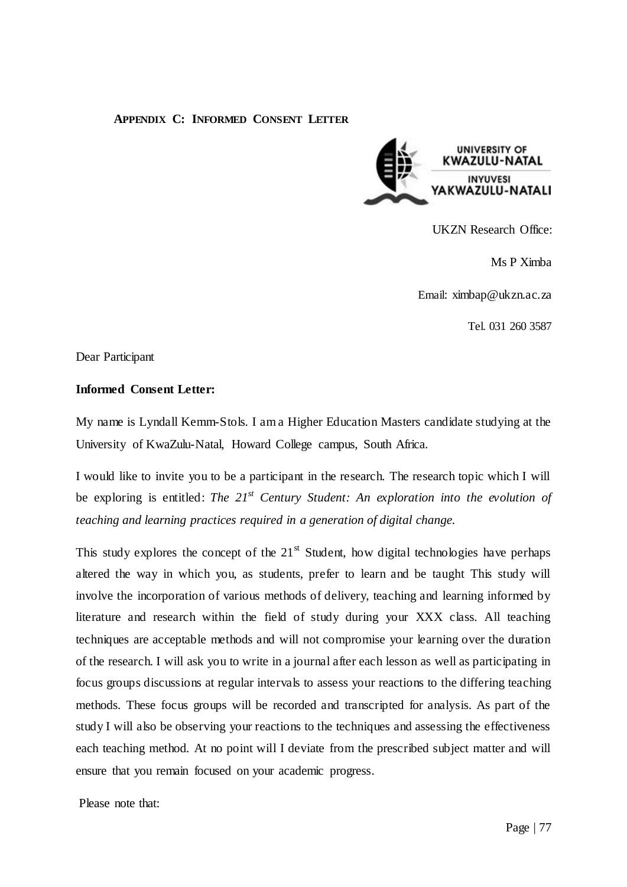## **APPENDIX C: INFORMED CONSENT LETTER**



UKZN Research Office:

Ms P Ximba

Email[: ximbap@ukzn.ac.za](mailto:ximbap@ukzn.ac.za)

Tel. 031 260 3587

Dear Participant

## **Informed Consent Letter:**

My name is Lyndall Kemm-Stols. I am a Higher Education Masters candidate studying at the University of KwaZulu-Natal, Howard College campus, South Africa.

I would like to invite you to be a participant in the research. The research topic which I will be exploring is entitled: *The 21st Century Student: An exploration into the evolution of teaching and learning practices required in a generation of digital change.*

This study explores the concept of the  $21<sup>st</sup>$  Student, how digital technologies have perhaps altered the way in which you, as students, prefer to learn and be taught This study will involve the incorporation of various methods of delivery, teaching and learning informed by literature and research within the field of study during your XXX class. All teaching techniques are acceptable methods and will not compromise your learning over the duration of the research. I will ask you to write in a journal after each lesson as well as participating in focus groups discussions at regular intervals to assess your reactions to the differing teaching methods. These focus groups will be recorded and transcripted for analysis. As part of the study I will also be observing your reactions to the techniques and assessing the effectiveness each teaching method. At no point will I deviate from the prescribed subject matter and will ensure that you remain focused on your academic progress.

Please note that: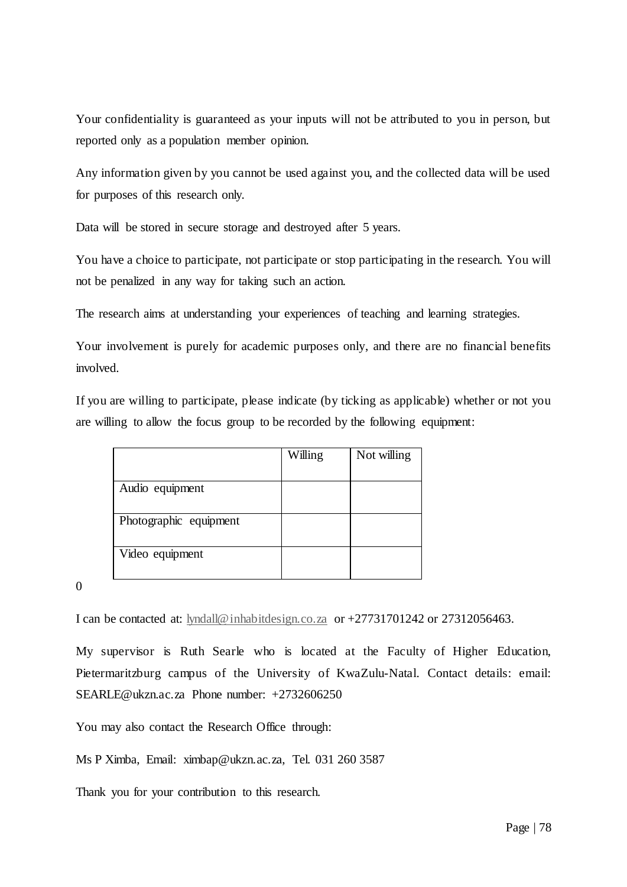Your confidentiality is guaranteed as your inputs will not be attributed to you in person, but reported only as a population member opinion.

Any information given by you cannot be used against you, and the collected data will be used for purposes of this research only.

Data will be stored in secure storage and destroyed after 5 years.

You have a choice to participate, not participate or stop participating in the research. You will not be penalized in any way for taking such an action.

The research aims at understanding your experiences of teaching and learning strategies.

Your involvement is purely for academic purposes only, and there are no financial benefits involved.

If you are willing to participate, please indicate (by ticking as applicable) whether or not you are willing to allow the focus group to be recorded by the following equipment:

|                        | Willing | Not willing |
|------------------------|---------|-------------|
|                        |         |             |
| Audio equipment        |         |             |
|                        |         |             |
| Photographic equipment |         |             |
|                        |         |             |
| Video equipment        |         |             |
|                        |         |             |

0

I can be contacted at: [lyndall@inhabitdesign.co.za](mailto:lyndall@inhabitdesign.co.za) or +27731701242 or 27312056463.

My supervisor is Ruth Searle who is located at the Faculty of Higher Education, Pietermaritzburg campus of the University of KwaZulu-Natal. Contact details: email: SEARLE@ukzn.ac.za Phone number: +2732606250

You may also contact the Research Office through:

Ms P Ximba, Email: [ximbap@ukzn.ac.za,](mailto:ximbap@ukzn.ac.za) Tel. 031 260 3587

Thank you for your contribution to this research.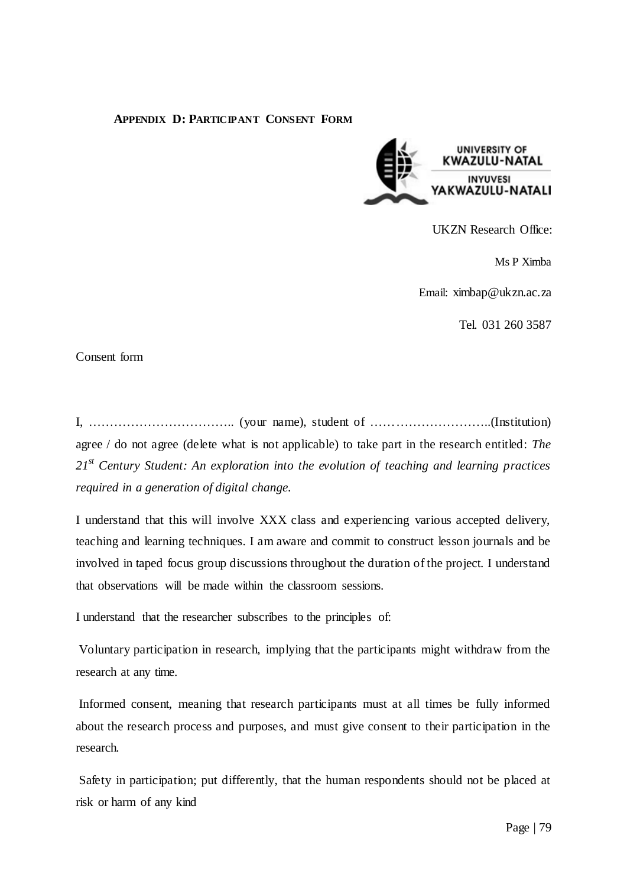## **APPENDIX D: PARTICIPANT CONSENT FORM**



UKZN Research Office:

Ms P Ximba

Email: [ximbap@ukzn.ac.za](mailto:ximbap@ukzn.ac.za)

Tel. 031 260 3587

Consent form

I, …………………………….. (your name), student of ………………………..(Institution) agree / do not agree (delete what is not applicable) to take part in the research entitled: *The 21st Century Student: An exploration into the evolution of teaching and learning practices required in a generation of digital change.*

I understand that this will involve XXX class and experiencing various accepted delivery, teaching and learning techniques. I am aware and commit to construct lesson journals and be involved in taped focus group discussions throughout the duration of the project. I understand that observations will be made within the classroom sessions.

I understand that the researcher subscribes to the principles of:

Voluntary participation in research, implying that the participants might withdraw from the research at any time.

Informed consent, meaning that research participants must at all times be fully informed about the research process and purposes, and must give consent to their participation in the research.

Safety in participation; put differently, that the human respondents should not be placed at risk or harm of any kind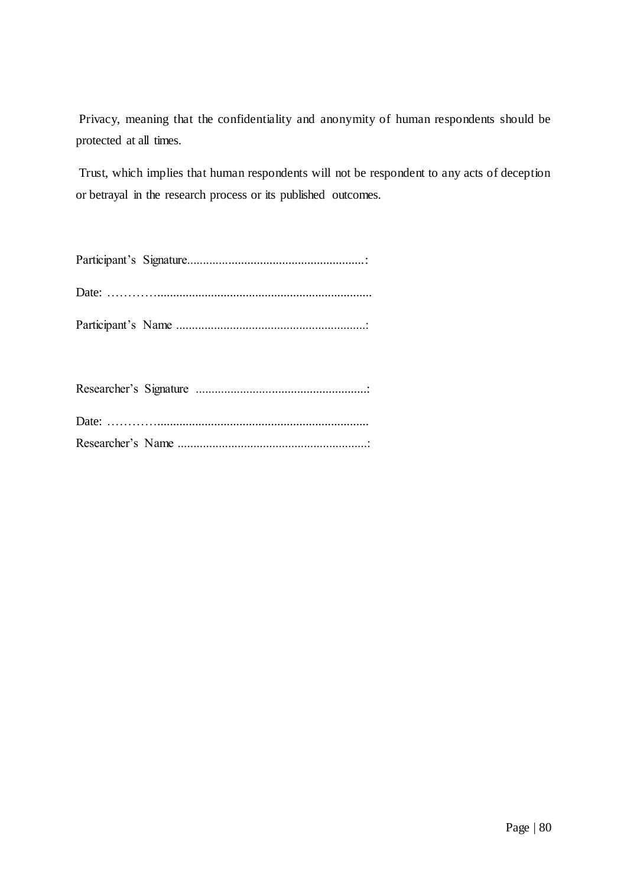Privacy, meaning that the confidentiality and anonymity of human respondents should be protected at all times.

Trust, which implies that human respondents will not be respondent to any acts of deception or betrayal in the research process or its published outcomes.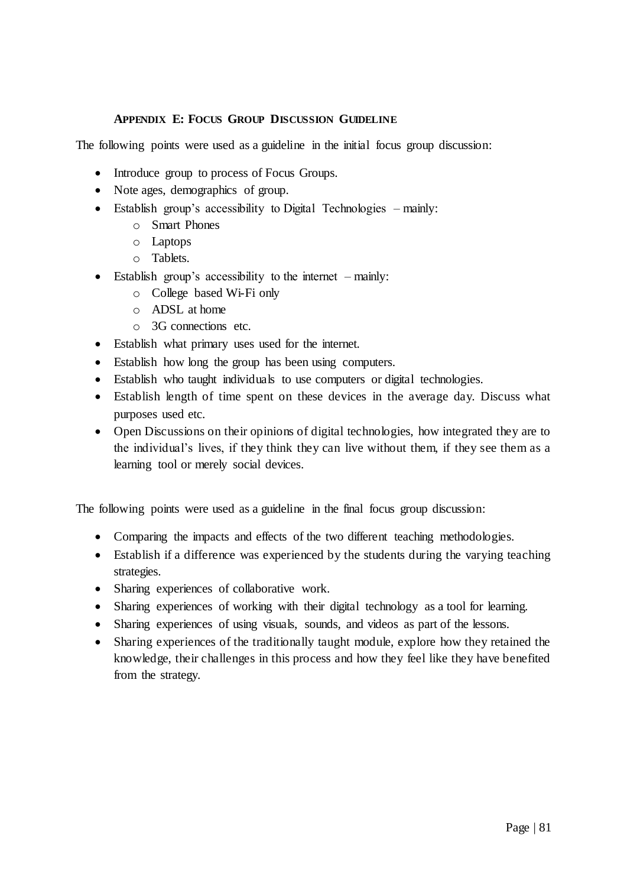# **APPENDIX E: FOCUS GROUP DISCUSSION GUIDELINE**

The following points were used as a guideline in the initial focus group discussion:

- Introduce group to process of Focus Groups.
- Note ages, demographics of group.
- Establish group's accessibility to Digital Technologies mainly:
	- o Smart Phones
	- o Laptops
	- o Tablets.
- $\bullet$  Establish group's accessibility to the internet mainly:
	- o College based Wi-Fi only
	- o ADSL at home
	- o 3G connections etc.
- Establish what primary uses used for the internet.
- Establish how long the group has been using computers.
- Establish who taught individuals to use computers or digital technologies.
- Establish length of time spent on these devices in the average day. Discuss what purposes used etc.
- Open Discussions on their opinions of digital technologies, how integrated they are to the individual"s lives, if they think they can live without them, if they see them as a learning tool or merely social devices.

The following points were used as a guideline in the final focus group discussion:

- Comparing the impacts and effects of the two different teaching methodologies.
- Establish if a difference was experienced by the students during the varying teaching strategies.
- Sharing experiences of collaborative work.
- Sharing experiences of working with their digital technology as a tool for learning.
- Sharing experiences of using visuals, sounds, and videos as part of the lessons.
- Sharing experiences of the traditionally taught module, explore how they retained the knowledge, their challenges in this process and how they feel like they have benefited from the strategy.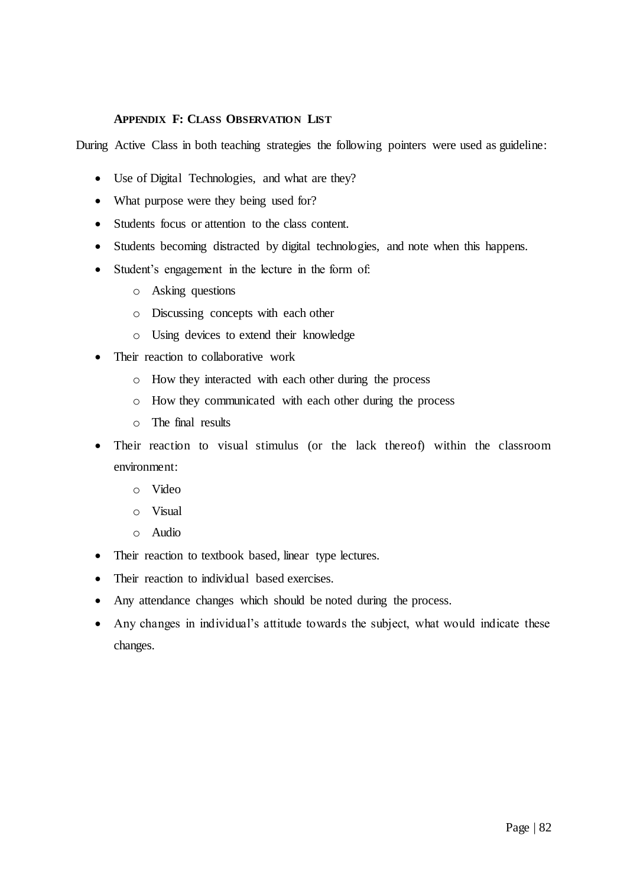### **APPENDIX F: CLASS OBSERVATION LIST**

During Active Class in both teaching strategies the following pointers were used as guideline:

- Use of Digital Technologies, and what are they?
- What purpose were they being used for?
- Students focus or attention to the class content.
- Students becoming distracted by digital technologies, and note when this happens.
- Student's engagement in the lecture in the form of:
	- o Asking questions
	- o Discussing concepts with each other
	- o Using devices to extend their knowledge
- Their reaction to collaborative work
	- o How they interacted with each other during the process
	- o How they communicated with each other during the process
	- o The final results
- Their reaction to visual stimulus (or the lack thereof) within the classroom environment:
	- o Video
	- o Visual
	- o Audio
- Their reaction to textbook based, linear type lectures.
- Their reaction to individual based exercises.
- Any attendance changes which should be noted during the process.
- Any changes in individual's attitude towards the subject, what would indicate these changes.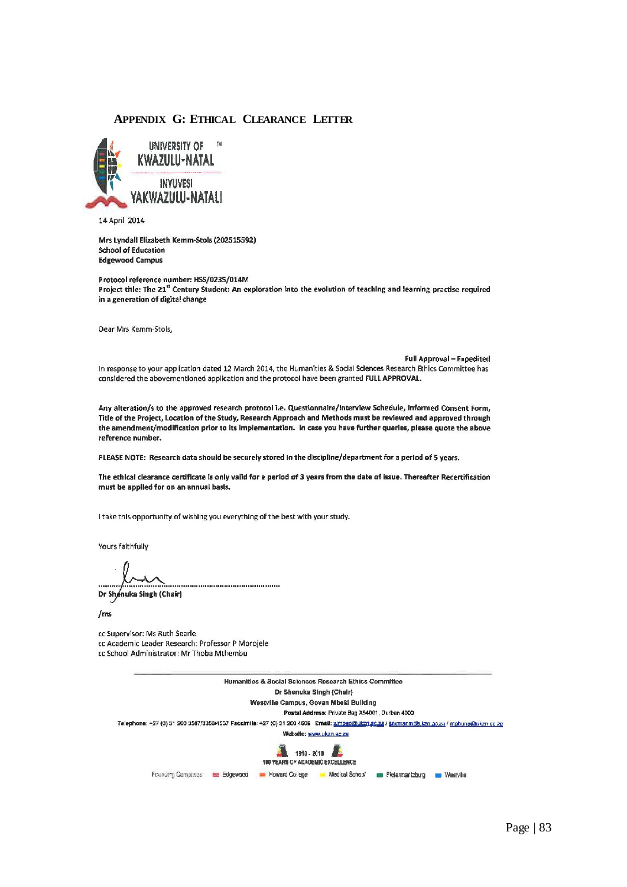#### **APPENDIX G: ETHICAL CLEARANCE LETTER**



14 April 2014

Mrs Lyndall Elizabeth Kemm-Stols (202515592) **School of Education Edgewood Campus** 

Protocol reference number: HSS/0235/014M Project title: The 21<sup>st</sup> Century Student: An exploration into the evolution of teaching and learning practise required in a generation of digital change

Dear Mrs Kemm-Stols,

Full Approval - Expedited In response to your application dated 12 March 2014, the Humanities & Social Sciences Research Ethics Committee has considered the abovementioned application and the protocol have been granted FULL APPROVAL.

Any alteration/s to the approved research protocol i.e. Questionnaire/interview Schedule, Informed Consent Form, Title of the Project, Location of the Study, Research Approach and Methods must be reviewed and approved through the amendment/modification prior to its implementation. In case you have further queries, please quote the above reference number.

PLEASE NOTE: Research data should be securely stored in the discipline/department for a period of 5 years.

The ethical clearance certificate is only vaild for a period of 3 years from the date of issue. Thereafter Recertification must be applied for on an annual basis.

I take this opportunity of wishing you everything of the best with your study.

Yours faithfully

.....................................

Dr Shenuka Singh (Chair)

 $/ms$ 

cc Supervisor: Ms Ruth Searle cc Academic Leader Research: Professor P Morojele cc School Administrator: Mr Thoba Mthembu

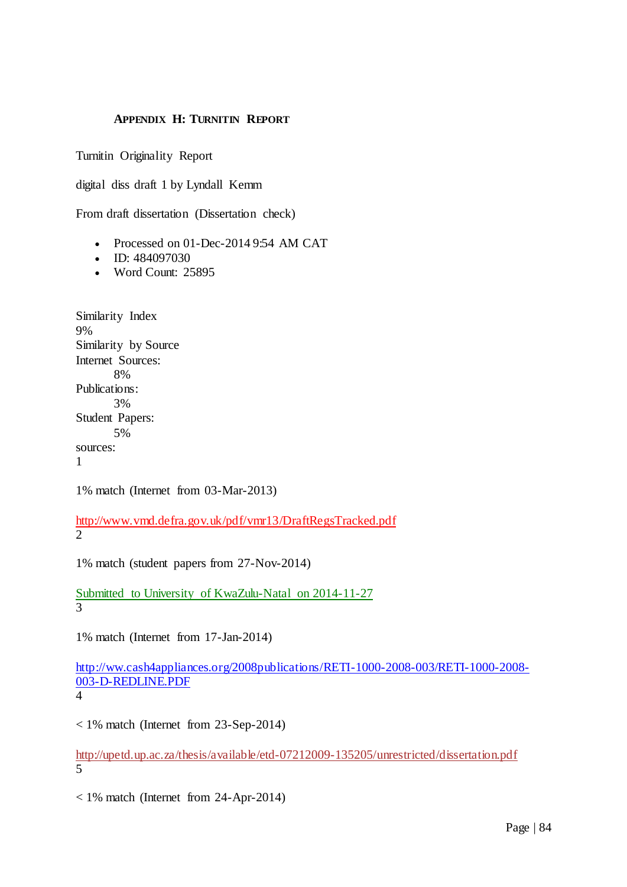# **APPENDIX H: TURNITIN REPORT**

Turnitin Originality Report

digital diss draft 1 by Lyndall Kemm

From draft dissertation (Dissertation check)

- Processed on 01-Dec-2014 9:54 AM CAT
- $ID: 484097030$
- Word Count: 25895

Similarity Index 9% Similarity by Source Internet Sources: 8% Publications: 3% Student Papers: 5% sources: 1

1% match (Internet from 03-Mar-2013)

<http://www.vmd.defra.gov.uk/pdf/vmr13/DraftRegsTracked.pdf> 2

1% match (student papers from 27-Nov-2014)

[Submitted to University of KwaZulu-Natal on 2014-11-27](http://www.turnitin.com/paperInfo.asp?r=93.950520107828&svr=05&lang=en_us&oid=483160398&perc=1) 3

1% match (Internet from 17-Jan-2014)

[http://ww.cash4appliances.org/2008publications/RETI-1000-2008-003/RETI-1000-2008-](http://ww.cash4appliances.org/2008publications/RETI-1000-2008-003/RETI-1000-2008-003-D-REDLINE.PDF) [003-D-REDLINE.PDF](http://ww.cash4appliances.org/2008publications/RETI-1000-2008-003/RETI-1000-2008-003-D-REDLINE.PDF)

4

< 1% match (Internet from 23-Sep-2014)

<http://upetd.up.ac.za/thesis/available/etd-07212009-135205/unrestricted/dissertation.pdf> 5

< 1% match (Internet from 24-Apr-2014)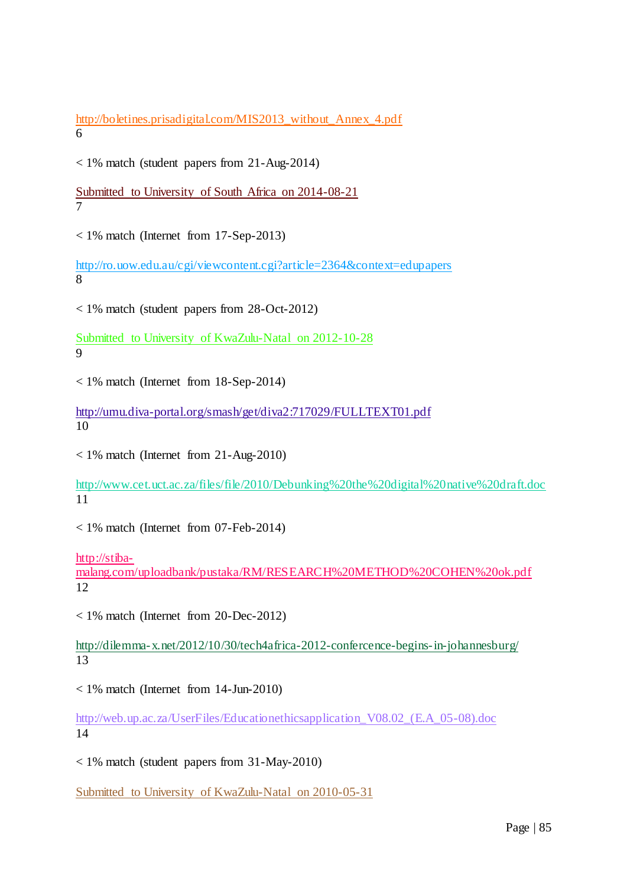[http://boletines.prisadigital.com/MIS2013\\_without\\_Annex\\_4.pdf](http://boletines.prisadigital.com/MIS2013_without_Annex_4.pdf) 6

< 1% match (student papers from 21-Aug-2014)

[Submitted to University of South Africa on 2014-08-21](http://www.turnitin.com/paperInfo.asp?r=93.950520107828&svr=05&lang=en_us&oid=445484040&perc=0) 7

< 1% match (Internet from 17-Sep-2013)

<http://ro.uow.edu.au/cgi/viewcontent.cgi?article=2364&context=edupapers> 8

< 1% match (student papers from 28-Oct-2012)

[Submitted to University of KwaZulu-Natal on 2012-10-28](http://www.turnitin.com/paperInfo.asp?r=93.950520107828&svr=05&lang=en_us&oid=279542021&perc=0) 9

< 1% match (Internet from 18-Sep-2014)

<http://umu.diva-portal.org/smash/get/diva2:717029/FULLTEXT01.pdf> 10

 $<$  1% match (Internet from 21-Aug-2010)

<http://www.cet.uct.ac.za/files/file/2010/Debunking%20the%20digital%20native%20draft.doc> 11

< 1% match (Internet from 07-Feb-2014)

[http://stiba-](http://stiba-malang.com/uploadbank/pustaka/RM/RESEARCH%20METHOD%20COHEN%20ok.pdf)

[malang.com/uploadbank/pustaka/RM/RESEARCH%20METHOD%20COHEN%20ok.pdf](http://stiba-malang.com/uploadbank/pustaka/RM/RESEARCH%20METHOD%20COHEN%20ok.pdf) 12

< 1% match (Internet from 20-Dec-2012)

<http://dilemma-x.net/2012/10/30/tech4africa-2012-confercence-begins-in-johannesburg/> 13

< 1% match (Internet from 14-Jun-2010)

[http://web.up.ac.za/UserFiles/Educationethicsapplication\\_V08.02\\_\(E.A\\_05-08\).doc](http://lrd.yahooapis.com/_ylc=X3oDMTVnNm1tcmdiBF9TAzIwMjMxNTI3MDIEYXBwaWQDTHJlazRUTFYzNEdRVjYwVDFRYVlHeC5xMDYuMHVja2pJb3dfYzJFV3NGejhWZzVHX2xkQjRPX1YweDZPdVNOME9zVjg2a0I2BGNsaWVudANib3NzBHNlcnZpY2UDQk9TUwRzbGsDdGl0bGUEc3JjcHZpZAMxbVVHSjBnZUF1MEQzV0NhT0pRNmQ2NG5KbS5UVGt3V1FfRUFCODRG/SIG=12k4t39tt/**http%3A/web.up.ac.za/UserFiles/Educationethicsapplication_V08.02_%28E.A_05-08%29.doc) 14

< 1% match (student papers from 31-May-2010)

[Submitted to University of KwaZulu-Natal on 2010-05-31](http://www.turnitin.com/paperInfo.asp?r=93.950520107828&svr=05&lang=en_us&oid=138956578&perc=0)